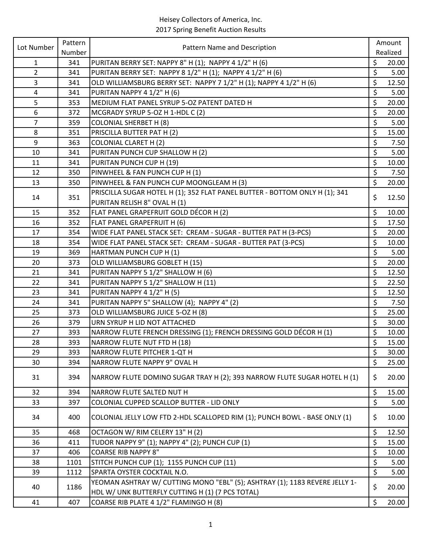| Lot Number<br>Pattern Name and Description                                                                                                    |                          |          |
|-----------------------------------------------------------------------------------------------------------------------------------------------|--------------------------|----------|
| Number                                                                                                                                        |                          | Realized |
| PURITAN BERRY SET: NAPPY 8" H (1); NAPPY 4 1/2" H (6)<br>$\mathbf{1}$<br>341                                                                  | \$                       | 20.00    |
| $\overline{2}$<br>PURITAN BERRY SET: NAPPY 8 1/2" H (1); NAPPY 4 1/2" H (6)<br>341                                                            | \$                       | 5.00     |
| $\overline{3}$<br>OLD WILLIAMSBURG BERRY SET: NAPPY 7 1/2" H (1); NAPPY 4 1/2" H (6)<br>341                                                   | \$                       | 12.50    |
| PURITAN NAPPY 4 1/2" H (6)<br>4<br>341                                                                                                        | \$                       | 5.00     |
| 5<br>353<br>MEDIUM FLAT PANEL SYRUP 5-OZ PATENT DATED H                                                                                       | \$                       | 20.00    |
| $\overline{6}$<br>372<br>MCGRADY SYRUP 5-OZ H 1-HDL C (2)                                                                                     | \$                       | 20.00    |
| $\overline{7}$<br>359<br><b>COLONIAL SHERBET H (8)</b>                                                                                        | \$                       | 5.00     |
| 8<br>351<br>PRISCILLA BUTTER PAT H (2)                                                                                                        | $\overline{\mathcal{S}}$ | 15.00    |
| 9<br><b>COLONIAL CLARET H (2)</b><br>363                                                                                                      | \$                       | 7.50     |
| PURITAN PUNCH CUP SHALLOW H (2)<br>10<br>341                                                                                                  | \$                       | 5.00     |
| PURITAN PUNCH CUP H (19)<br>11<br>341                                                                                                         | \$                       | 10.00    |
| PINWHEEL & FAN PUNCH CUP H (1)<br>12<br>350                                                                                                   | \$                       | 7.50     |
| PINWHEEL & FAN PUNCH CUP MOONGLEAM H (3)<br>13<br>350                                                                                         | \$                       | 20.00    |
| PRISCILLA SUGAR HOTEL H (1); 352 FLAT PANEL BUTTER - BOTTOM ONLY H (1); 341<br>351<br>14                                                      | \$                       | 12.50    |
| PURITAN RELISH 8" OVAL H (1)                                                                                                                  |                          |          |
| FLAT PANEL GRAPEFRUIT GOLD DÉCOR H (2)<br>352<br>15                                                                                           | \$                       | 10.00    |
| FLAT PANEL GRAPEFRUIT H (6)<br>16<br>352                                                                                                      | $\zeta$                  | 17.50    |
| WIDE FLAT PANEL STACK SET: CREAM - SUGAR - BUTTER PAT H (3-PCS)<br>17<br>354                                                                  | \$                       | 20.00    |
| WIDE FLAT PANEL STACK SET: CREAM - SUGAR - BUTTER PAT (3-PCS)<br>18<br>354                                                                    | \$                       | 10.00    |
| HARTMAN PUNCH CUP H (1)<br>19<br>369                                                                                                          | \$                       | 5.00     |
| OLD WILLIAMSBURG GOBLET H (15)<br>20<br>373                                                                                                   | $\zeta$                  | 20.00    |
| 21<br>341<br>PURITAN NAPPY 5 1/2" SHALLOW H (6)                                                                                               | \$                       | 12.50    |
| PURITAN NAPPY 5 1/2" SHALLOW H (11)<br>22<br>341                                                                                              | $\zeta$                  | 22.50    |
| PURITAN NAPPY 4 1/2" H (5)<br>23<br>341                                                                                                       | \$                       | 12.50    |
| PURITAN NAPPY 5" SHALLOW (4); NAPPY 4" (2)<br>24<br>341                                                                                       | $\zeta$                  | 7.50     |
| OLD WILLIAMSBURG JUICE 5-OZ H (8)<br>25<br>373                                                                                                | \$                       | 25.00    |
| 379<br>URN SYRUP H LID NOT ATTACHED<br>26                                                                                                     | $\boldsymbol{\zeta}$     | 30.00    |
| NARROW FLUTE FRENCH DRESSING (1); FRENCH DRESSING GOLD DÉCOR H (1)<br>27<br>393                                                               | \$                       | 10.00    |
| 28<br>393<br>NARROW FLUTE NUT FTD H (18)                                                                                                      | \$                       | 15.00    |
| 29<br>393<br>NARROW FLUTE PITCHER 1-QT H                                                                                                      | \$                       | 30.00    |
| 30<br>394<br>NARROW FLUTE NAPPY 9" OVAL H                                                                                                     | $\zeta$                  | 25.00    |
| 31<br>394<br>NARROW FLUTE DOMINO SUGAR TRAY H (2); 393 NARROW FLUTE SUGAR HOTEL H (1)                                                         | \$                       | 20.00    |
| NARROW FLUTE SALTED NUT H<br>32<br>394                                                                                                        | \$                       | 15.00    |
| 33<br>COLONIAL CUPPED SCALLOP BUTTER - LID ONLY<br>397                                                                                        | \$                       | 5.00     |
| 400<br>COLONIAL JELLY LOW FTD 2-HDL SCALLOPED RIM (1); PUNCH BOWL - BASE ONLY (1)<br>34                                                       | \$                       | 10.00    |
| OCTAGON W/ RIM CELERY 13" H (2)<br>35<br>468                                                                                                  | \$                       | 12.50    |
| TUDOR NAPPY 9" (1); NAPPY 4" (2); PUNCH CUP (1)<br>36<br>411                                                                                  | \$                       | 15.00    |
| <b>COARSE RIB NAPPY 8"</b><br>406<br>37                                                                                                       | $\zeta$                  | 10.00    |
| STITCH PUNCH CUP (1); 1155 PUNCH CUP (11)<br>38<br>1101                                                                                       | $\zeta$                  | 5.00     |
| SPARTA OYSTER COCKTAIL N.O.<br>39<br>1112                                                                                                     | \$                       | 5.00     |
| YEOMAN ASHTRAY W/ CUTTING MONO "EBL" (5); ASHTRAY (1); 1183 REVERE JELLY 1-<br>1186<br>40<br>HDL W/ UNK BUTTERFLY CUTTING H (1) (7 PCS TOTAL) | \$                       | 20.00    |
| COARSE RIB PLATE 4 1/2" FLAMINGO H (8)<br>407<br>41                                                                                           | $\zeta$                  | 20.00    |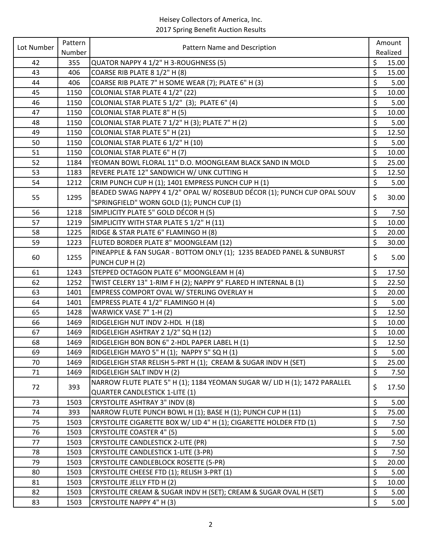| Lot Number | Pattern | Pattern Name and Description                                               |                          | Amount   |
|------------|---------|----------------------------------------------------------------------------|--------------------------|----------|
|            | Number  |                                                                            |                          | Realized |
| 42         | 355     | QUATOR NAPPY 4 1/2" H 3-ROUGHNESS (5)                                      | \$                       | 15.00    |
| 43         | 406     | COARSE RIB PLATE 8 1/2" H (8)                                              | \$                       | 15.00    |
| 44         | 406     | COARSE RIB PLATE 7" H SOME WEAR (7); PLATE 6" H (3)                        | \$                       | 5.00     |
| 45         | 1150    | COLONIAL STAR PLATE 4 1/2" (22)                                            | \$                       | 10.00    |
| 46         | 1150    | COLONIAL STAR PLATE 5 1/2" (3); PLATE 6" (4)                               | \$                       | 5.00     |
| 47         | 1150    | <b>COLONIAL STAR PLATE 8" H (5)</b>                                        | $\boldsymbol{\zeta}$     | 10.00    |
| 48         | 1150    | COLONIAL STAR PLATE 7 1/2" H (3); PLATE 7" H (2)                           | \$                       | 5.00     |
| 49         | 1150    | <b>COLONIAL STAR PLATE 5" H (21)</b>                                       | \$                       | 12.50    |
| 50         | 1150    | COLONIAL STAR PLATE 6 1/2" H (10)                                          | \$                       | 5.00     |
| 51         | 1150    | <b>COLONIAL STAR PLATE 6" H (7)</b>                                        | $\zeta$                  | 10.00    |
| 52         | 1184    | YEOMAN BOWL FLORAL 11" D.O. MOONGLEAM BLACK SAND IN MOLD                   | \$                       | 25.00    |
| 53         | 1183    | REVERE PLATE 12" SANDWICH W/ UNK CUTTING H                                 | $\zeta$                  | 12.50    |
| 54         | 1212    | CRIM PUNCH CUP H (1); 1401 EMPRESS PUNCH CUP H (1)                         | \$                       | 5.00     |
| 55         | 1295    | BEADED SWAG NAPPY 4 1/2" OPAL W/ ROSEBUD DÉCOR (1); PUNCH CUP OPAL SOUV    | \$                       | 30.00    |
|            |         | "SPRINGFIELD" WORN GOLD (1); PUNCH CUP (1)                                 |                          |          |
| 56         | 1218    | SIMPLICITY PLATE 5" GOLD DÉCOR H (5)                                       | \$                       | 7.50     |
| 57         | 1219    | SIMPLICITY WITH STAR PLATE 5 1/2" H (11)                                   | \$                       | 10.00    |
| 58         | 1225    | RIDGE & STAR PLATE 6" FLAMINGO H (8)                                       | $\zeta$                  | 20.00    |
| 59         | 1223    | FLUTED BORDER PLATE 8" MOONGLEAM (12)                                      | $\zeta$                  | 30.00    |
| 60         | 1255    | PINEAPPLE & FAN SUGAR - BOTTOM ONLY (1); 1235 BEADED PANEL & SUNBURST      | \$                       | 5.00     |
|            |         | PUNCH CUP H (2)                                                            |                          |          |
| 61         | 1243    | STEPPED OCTAGON PLATE 6" MOONGLEAM H (4)                                   | \$                       | 17.50    |
| 62         | 1252    | TWIST CELERY 13" 1-RIM F H (2); NAPPY 9" FLARED H INTERNAL B (1)           | $\overline{\xi}$         | 22.50    |
| 63         | 1401    | EMPRESS COMPORT OVAL W/ STERLING OVERLAY H                                 | \$                       | 20.00    |
| 64         | 1401    | EMPRESS PLATE 4 1/2" FLAMINGO H (4)                                        | \$                       | 5.00     |
| 65         | 1428    | WARWICK VASE 7" 1-H (2)                                                    | $\zeta$                  | 12.50    |
| 66         | 1469    | RIDGELEIGH NUT INDV 2-HDL H (18)                                           | \$                       | 10.00    |
| 67         | 1469    | RIDGELEIGH ASHTRAY 2 1/2" SQ H (12)                                        | \$                       | 10.00    |
| 68         | 1469    | RIDGELEIGH BON BON 6" 2-HDL PAPER LABEL H (1)                              | \$                       | 12.50    |
| 69         | 1469    | RIDGELEIGH MAYO 5" H (1); NAPPY 5" SQ H (1)                                | \$                       | 5.00     |
| 70         | 1469    | RIDGELEIGH STAR RELISH 5-PRT H (1); CREAM & SUGAR INDV H (SET)             | \$                       | 25.00    |
| 71         | 1469    | RIDGELEIGH SALT INDV H (2)                                                 | \$                       | 7.50     |
| 72         | 393     | NARROW FLUTE PLATE 5" H (1); 1184 YEOMAN SUGAR W/ LID H (1); 1472 PARALLEL | \$                       | 17.50    |
|            |         | <b>QUARTER CANDLESTICK 1-LITE (1)</b>                                      |                          |          |
| 73         | 1503    | <b>CRYSTOLITE ASHTRAY 3" INDV (8)</b>                                      | \$                       | 5.00     |
| 74         | 393     | NARROW FLUTE PUNCH BOWL H (1); BASE H (1); PUNCH CUP H (11)                | \$                       | 75.00    |
| 75         | 1503    | CRYSTOLITE CIGARETTE BOX W/ LID 4" H (1); CIGARETTE HOLDER FTD (1)         | \$                       | 7.50     |
| 76         | 1503    | <b>CRYSTOLITE COASTER 4" (5)</b>                                           | \$                       | 5.00     |
| 77         | 1503    | <b>CRYSTOLITE CANDLESTICK 2-LITE (PR)</b>                                  | \$                       | 7.50     |
| 78         | 1503    | CRYSTOLITE CANDLESTICK 1-LITE (3-PR)                                       | \$                       | 7.50     |
| 79         | 1503    | CRYSTOLITE CANDLEBLOCK ROSETTE (5-PR)                                      | \$                       | 20.00    |
| 80         | 1503    | CRYSTOLITE CHEESE FTD (1); RELISH 3-PRT (1)                                | \$                       | 5.00     |
| 81         | 1503    | CRYSTOLITE JELLY FTD H (2)                                                 | \$                       | 10.00    |
| 82         | 1503    | CRYSTOLITE CREAM & SUGAR INDV H (SET); CREAM & SUGAR OVAL H (SET)          | $\overline{\mathcal{S}}$ | 5.00     |
| 83         | 1503    | CRYSTOLITE NAPPY 4" H (3)                                                  | \$                       | 5.00     |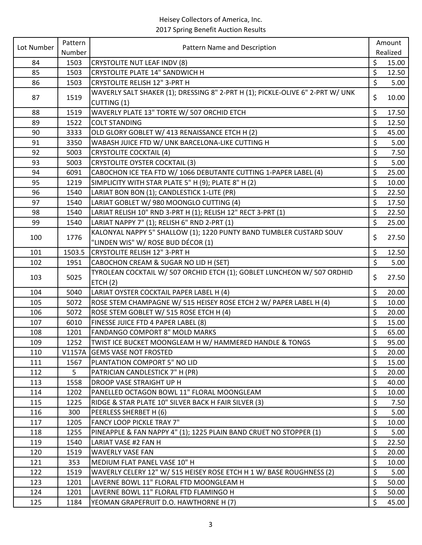| Lot Number | Pattern | Pattern Name and Description                                                   |                      | Amount   |
|------------|---------|--------------------------------------------------------------------------------|----------------------|----------|
|            | Number  |                                                                                |                      | Realized |
| 84         | 1503    | <b>CRYSTOLITE NUT LEAF INDV (8)</b>                                            | \$                   | 15.00    |
| 85         | 1503    | <b>CRYSTOLITE PLATE 14" SANDWICH H</b>                                         | \$                   | 12.50    |
| 86         | 1503    | <b>CRYSTOLITE RELISH 12" 3-PRT H</b>                                           | \$                   | 5.00     |
| 87         | 1519    | WAVERLY SALT SHAKER (1); DRESSING 8" 2-PRT H (1); PICKLE-OLIVE 6" 2-PRT W/ UNK | \$                   | 10.00    |
|            |         | CUTTING (1)                                                                    |                      |          |
| 88         | 1519    | WAVERLY PLATE 13" TORTE W/ 507 ORCHID ETCH                                     | \$                   | 17.50    |
| 89         | 1522    | <b>COLT STANDING</b>                                                           | $\zeta$              | 12.50    |
| 90         | 3333    | OLD GLORY GOBLET W/ 413 RENAISSANCE ETCH H (2)                                 | \$                   | 45.00    |
| 91         | 3350    | WABASH JUICE FTD W/ UNK BARCELONA-LIKE CUTTING H                               | \$                   | 5.00     |
| 92         | 5003    | <b>CRYSTOLITE COCKTAIL (4)</b>                                                 | \$                   | 7.50     |
| 93         | 5003    | <b>CRYSTOLITE OYSTER COCKTAIL (3)</b>                                          | \$                   | 5.00     |
| 94         | 6091    | CABOCHON ICE TEA FTD W/ 1066 DEBUTANTE CUTTING 1-PAPER LABEL (4)               | \$                   | 25.00    |
| 95         | 1219    | SIMPLICITY WITH STAR PLATE 5" H (9); PLATE 8" H (2)                            | \$                   | 10.00    |
| 96         | 1540    | LARIAT BON BON (1); CANDLESTICK 1-LITE (PR)                                    | \$                   | 22.50    |
| 97         | 1540    | LARIAT GOBLET W/ 980 MOONGLO CUTTING (4)                                       | \$                   | 17.50    |
| 98         | 1540    | LARIAT RELISH 10" RND 3-PRT H (1); RELISH 12" RECT 3-PRT (1)                   | $\zeta$              | 22.50    |
| 99         | 1540    | LARIAT NAPPY 7" (1); RELISH 6" RND 2-PRT (1)                                   | \$                   | 25.00    |
| 100        | 1776    | KALONYAL NAPPY 5" SHALLOW (1); 1220 PUNTY BAND TUMBLER CUSTARD SOUV            | \$                   | 27.50    |
|            |         | "LINDEN WIS" W/ ROSE BUD DÉCOR (1)                                             |                      |          |
| 101        | 1503.5  | <b>CRYSTOLITE RELISH 12" 3-PRT H</b>                                           | \$                   | 12.50    |
| 102        | 1951    | CABOCHON CREAM & SUGAR NO LID H (SET)                                          | \$                   | 5.00     |
| 103        | 5025    | TYROLEAN COCKTAIL W/ 507 ORCHID ETCH (1); GOBLET LUNCHEON W/ 507 ORDHID        | \$                   | 27.50    |
|            |         | ETCH(2)                                                                        |                      |          |
| 104        | 5040    | LARIAT OYSTER COCKTAIL PAPER LABEL H (4)                                       | \$                   | 20.00    |
| 105        | 5072    | ROSE STEM CHAMPAGNE W/ 515 HEISEY ROSE ETCH 2 W/ PAPER LABEL H (4)             | \$                   | 10.00    |
| 106        | 5072    | ROSE STEM GOBLET W/ 515 ROSE ETCH H (4)                                        | \$                   | 20.00    |
| 107        | 6010    | FINESSE JUICE FTD 4 PAPER LABEL (8)                                            | $\zeta$              | 15.00    |
| 108        | 1201    | FANDANGO COMPORT 8" MOLD MARKS                                                 | $\zeta$              | 65.00    |
| 109        | 1252    | TWIST ICE BUCKET MOONGLEAM H W/ HAMMERED HANDLE & TONGS                        | \$                   | 95.00    |
| 110        | V1157A  | <b>GEMS VASE NOT FROSTED</b>                                                   | \$                   | 20.00    |
| 111        | 1567    | PLANTATION COMPORT 5" NO LID                                                   | $\zeta$              | 15.00    |
| 112        | 5       | PATRICIAN CANDLESTICK 7" H (PR)                                                | $\zeta$              | 20.00    |
| 113        | 1558    | DROOP VASE STRAIGHT UP H                                                       | \$                   | 40.00    |
| 114        | 1202    | PANELLED OCTAGON BOWL 11" FLORAL MOONGLEAM                                     | \$                   | 10.00    |
| 115        | 1225    | RIDGE & STAR PLATE 10" SILVER BACK H FAIR SILVER (3)                           | \$                   | 7.50     |
| 116        | 300     | PEERLESS SHERBET H (6)                                                         | \$                   | 5.00     |
| 117        | 1205    | <b>FANCY LOOP PICKLE TRAY 7"</b>                                               | $\boldsymbol{\zeta}$ | 10.00    |
| 118        | 1255    | PINEAPPLE & FAN NAPPY 4" (1); 1225 PLAIN BAND CRUET NO STOPPER (1)             | \$                   | 5.00     |
| 119        | 1540    | LARIAT VASE #2 FAN H                                                           | \$                   | 22.50    |
| 120        | 1519    | <b>WAVERLY VASE FAN</b>                                                        | \$                   | 20.00    |
| 121        | 353     | MEDIUM FLAT PANEL VASE 10" H                                                   | \$                   | 10.00    |
| 122        | 1519    | WAVERLY CELERY 12" W/ 515 HEISEY ROSE ETCH H 1 W/ BASE ROUGHNESS (2)           | \$                   | 5.00     |
| 123        | 1201    | LAVERNE BOWL 11" FLORAL FTD MOONGLEAM H                                        | \$                   | 50.00    |
| 124        | 1201    | LAVERNE BOWL 11" FLORAL FTD FLAMINGO H                                         | \$                   | 50.00    |
| 125        | 1184    | YEOMAN GRAPEFRUIT D.O. HAWTHORNE H (7)                                         | \$                   | 45.00    |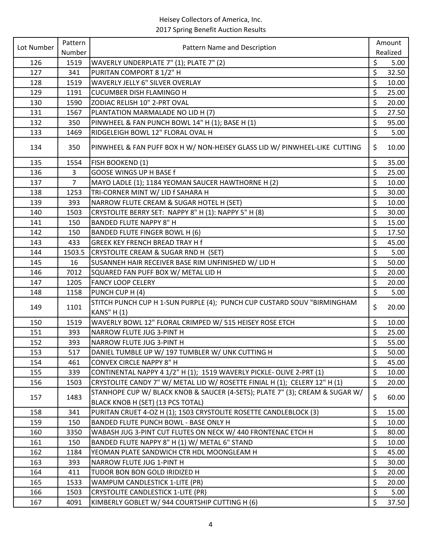| Lot Number | Pattern        | Pattern Name and Description                                                 |                      | Amount   |
|------------|----------------|------------------------------------------------------------------------------|----------------------|----------|
|            | Number         |                                                                              |                      | Realized |
| 126        | 1519           | WAVERLY UNDERPLATE 7" (1); PLATE 7" (2)                                      | \$                   | 5.00     |
| 127        | 341            | PURITAN COMPORT 8 1/2" H                                                     | $\zeta$              | 32.50    |
| 128        | 1519           | <b>WAVERLY JELLY 6" SILVER OVERLAY</b>                                       | \$                   | 10.00    |
| 129        | 1191           | <b>CUCUMBER DISH FLAMINGO H</b>                                              | \$                   | 25.00    |
| 130        | 1590           | ZODIAC RELISH 10" 2-PRT OVAL                                                 | \$                   | 20.00    |
| 131        | 1567           | PLANTATION MARMALADE NO LID H (7)                                            | \$                   | 27.50    |
| 132        | 350            | PINWHEEL & FAN PUNCH BOWL 14" H (1); BASE H (1)                              | $\zeta$              | 95.00    |
| 133        | 1469           | RIDGELEIGH BOWL 12" FLORAL OVAL H                                            | \$                   | 5.00     |
| 134        | 350            | PINWHEEL & FAN PUFF BOX H W/ NON-HEISEY GLASS LID W/ PINWHEEL-LIKE CUTTING   | \$                   | 10.00    |
| 135        | 1554           | FISH BOOKEND (1)                                                             | \$                   | 35.00    |
| 136        | 3              | GOOSE WINGS UP H BASE f                                                      | \$                   | 25.00    |
| 137        | $\overline{7}$ | MAYO LADLE (1); 1184 YEOMAN SAUCER HAWTHORNE H (2)                           | $\boldsymbol{\zeta}$ | 10.00    |
| 138        | 1253           | TRI-CORNER MINT W/ LID f SAHARA H                                            | $\zeta$              | 30.00    |
| 139        | 393            | NARROW FLUTE CREAM & SUGAR HOTEL H (SET)                                     | \$                   | 10.00    |
| 140        | 1503           | CRYSTOLITE BERRY SET: NAPPY 8" H (1): NAPPY 5" H (8)                         | \$                   | 30.00    |
| 141        | 150            | <b>BANDED FLUTE NAPPY 8" H</b>                                               | \$                   | 15.00    |
| 142        | 150            | BANDED FLUTE FINGER BOWL H (6)                                               | $\zeta$              | 17.50    |
| 143        | 433            | GREEK KEY FRENCH BREAD TRAY H f                                              | \$                   | 45.00    |
| 144        | 1503.5         | CRYSTOLITE CREAM & SUGAR RND H (SET)                                         | \$                   | 5.00     |
| 145        | 16             | SUSANNEH HAIR RECEIVER BASE RIM UNFINISHED W/ LID H                          | $\zeta$              | 50.00    |
| 146        | 7012           | SQUARED FAN PUFF BOX W/ METAL LID H                                          | \$                   | 20.00    |
| 147        | 1205           | <b>FANCY LOOP CELERY</b>                                                     | $\zeta$              | 20.00    |
| 148        | 1158           | PUNCH CUP H (4)                                                              | $\zeta$              | 5.00     |
| 149        | 1101           | STITCH PUNCH CUP H 1-SUN PURPLE (4); PUNCH CUP CUSTARD SOUV "BIRMINGHAM      | \$                   | 20.00    |
|            |                | <b>KANS" H (1)</b>                                                           |                      |          |
| 150        | 1519           | WAVERLY BOWL 12" FLORAL CRIMPED W/ 515 HEISEY ROSE ETCH                      | \$                   | 10.00    |
| 151        | 393            | NARROW FLUTE JUG 3-PINT H                                                    | \$                   | 25.00    |
| 152        | 393            | NARROW FLUTE JUG 3-PINT H                                                    | \$                   | 55.00    |
| 153        | 517            | DANIEL TUMBLE UP W/ 197 TUMBLER W/ UNK CUTTING H                             | \$                   | 50.00    |
| 154        | 461            | <b>CONVEX CIRCLE NAPPY 8" H</b>                                              | \$                   | 45.00    |
| 155        | 339            | CONTINENTAL NAPPY 4 1/2" H (1); 1519 WAVERLY PICKLE- OLIVE 2-PRT (1)         | \$                   | 10.00    |
| 156        | 1503           | CRYSTOLITE CANDY 7" W/ METAL LID W/ ROSETTE FINIAL H (1); CELERY 12" H (1)   | $\zeta$              | 20.00    |
| 157        | 1483           | STANHOPE CUP W/ BLACK KNOB & SAUCER (4-SETS); PLATE 7" (3); CREAM & SUGAR W/ | \$                   | 60.00    |
|            |                | BLACK KNOB H (SET) (13 PCS TOTAL)                                            |                      |          |
| 158        | 341            | PURITAN CRUET 4-OZ H (1); 1503 CRYSTOLITE ROSETTE CANDLEBLOCK (3)            | $\zeta$              | 15.00    |
| 159        | 150            | BANDED FLUTE PUNCH BOWL - BASE ONLY H                                        | \$                   | 10.00    |
| 160        | 3350           | WABASH JUG 3-PINT CUT FLUTES ON NECK W/ 440 FRONTENAC ETCH H                 | \$                   | 80.00    |
| 161        | 150            | BANDED FLUTE NAPPY 8" H (1) W/ METAL 6" STAND                                | \$                   | 10.00    |
| 162        | 1184           | YEOMAN PLATE SANDWICH CTR HDL MOONGLEAM H                                    | \$                   | 45.00    |
| 163        | 393            | NARROW FLUTE JUG 1-PINT H                                                    | \$                   | 30.00    |
| 164        | 411            | TUDOR BON BON GOLD IRIDIZED H                                                | \$                   | 20.00    |
| 165        | 1533           | WAMPUM CANDLESTICK 1-LITE (PR)                                               | $\zeta$              | 20.00    |
| 166        | 1503           | CRYSTOLITE CANDLESTICK 1-LITE (PR)                                           | $\zeta$              | 5.00     |
| 167        | 4091           | KIMBERLY GOBLET W/ 944 COURTSHIP CUTTING H (6)                               | $\zeta$              | 37.50    |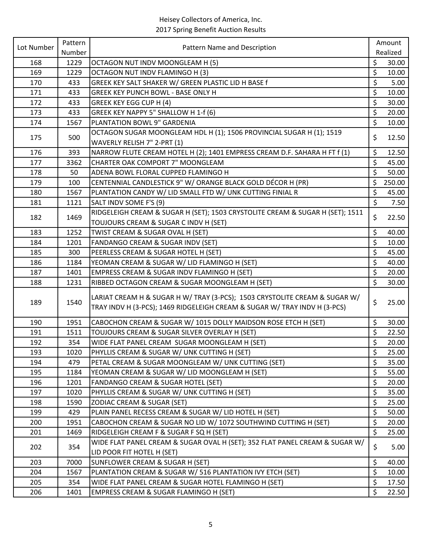| Lot Number | Pattern | Pattern Name and Description                                                  |         | Amount   |
|------------|---------|-------------------------------------------------------------------------------|---------|----------|
|            | Number  |                                                                               |         | Realized |
| 168        | 1229    | OCTAGON NUT INDV MOONGLEAM H (5)                                              | \$      | 30.00    |
| 169        | 1229    | OCTAGON NUT INDV FLAMINGO H (3)                                               | \$      | 10.00    |
| 170        | 433     | GREEK KEY SALT SHAKER W/ GREEN PLASTIC LID H BASE f                           | \$      | 5.00     |
| 171        | 433     | GREEK KEY PUNCH BOWL - BASE ONLY H                                            | \$      | 10.00    |
| 172        | 433     | <b>GREEK KEY EGG CUP H (4)</b>                                                | \$      | 30.00    |
| 173        | 433     | GREEK KEY NAPPY 5" SHALLOW H 1-f (6)                                          | \$      | 20.00    |
| 174        | 1567    | PLANTATION BOWL 9" GARDENIA                                                   | $\zeta$ | 10.00    |
| 175        | 500     | OCTAGON SUGAR MOONGLEAM HDL H (1); 1506 PROVINCIAL SUGAR H (1); 1519          | \$      | 12.50    |
|            |         | WAVERLY RELISH 7" 2-PRT (1)                                                   |         |          |
| 176        | 393     | NARROW FLUTE CREAM HOTEL H (2); 1401 EMPRESS CREAM D.F. SAHARA H FT f (1)     | \$      | 12.50    |
| 177        | 3362    | CHARTER OAK COMPORT 7" MOONGLEAM                                              | \$      | 45.00    |
| 178        | 50      | ADENA BOWL FLORAL CUPPED FLAMINGO H                                           | \$      | 50.00    |
| 179        | 100     | CENTENNIAL CANDLESTICK 9" W/ ORANGE BLACK GOLD DÉCOR H (PR)                   | \$      | 250.00   |
| 180        | 1567    | PLANTATION CANDY W/ LID SMALL FTD W/ UNK CUTTING FINIAL R                     | $\zeta$ | 45.00    |
| 181        | 1121    | SALT INDV SOME F'S (9)                                                        | \$      | 7.50     |
| 182        | 1469    | RIDGELEIGH CREAM & SUGAR H (SET); 1503 CRYSTOLITE CREAM & SUGAR H (SET); 1511 | \$      | 22.50    |
|            |         | TOUJOURS CREAM & SUGAR C INDV H (SET)                                         |         |          |
| 183        | 1252    | TWIST CREAM & SUGAR OVAL H (SET)                                              | \$      | 40.00    |
| 184        | 1201    | FANDANGO CREAM & SUGAR INDV (SET)                                             | \$      | 10.00    |
| 185        | 300     | PEERLESS CREAM & SUGAR HOTEL H (SET)                                          | \$      | 45.00    |
| 186        | 1184    | YEOMAN CREAM & SUGAR W/ LID FLAMINGO H (SET)                                  | \$      | 40.00    |
| 187        | 1401    | EMPRESS CREAM & SUGAR INDV FLAMINGO H (SET)                                   | $\zeta$ | 20.00    |
| 188        | 1231    | RIBBED OCTAGON CREAM & SUGAR MOONGLEAM H (SET)                                | $\zeta$ | 30.00    |
|            |         | LARIAT CREAM H & SUGAR H W/ TRAY (3-PCS); 1503 CRYSTOLITE CREAM & SUGAR W/    |         |          |
| 189        | 1540    | TRAY INDV H (3-PCS); 1469 RIDGELEIGH CREAM & SUGAR W/ TRAY INDV H (3-PCS)     | \$      | 25.00    |
|            |         |                                                                               |         |          |
| 190        | 1951    | CABOCHON CREAM & SUGAR W/ 1015 DOLLY MAIDSON ROSE ETCH H (SET)                | \$      | 30.00    |
| 191        | 1511    | TOUJOURS CREAM & SUGAR SILVER OVERLAY H (SET)                                 | \$      | 22.50    |
| 192        | 354     | WIDE FLAT PANEL CREAM SUGAR MOONGLEAM H (SET)                                 | \$      | 20.00    |
| 193        | 1020    | PHYLLIS CREAM & SUGAR W/ UNK CUTTING H (SET)                                  | \$      | 25.00    |
| 194        | 479     | PETAL CREAM & SUGAR MOONGLEAM W/ UNK CUTTING (SET)                            | \$      | 35.00    |
| 195        | 1184    | YEOMAN CREAM & SUGAR W/ LID MOONGLEAM H (SET)                                 | \$      | 55.00    |
| 196        | 1201    | FANDANGO CREAM & SUGAR HOTEL (SET)                                            | \$      | 20.00    |
| 197        | 1020    | PHYLLIS CREAM & SUGAR W/ UNK CUTTING H (SET)                                  | \$      | 35.00    |
| 198        | 1590    | ZODIAC CREAM & SUGAR (SET)                                                    | \$      | 25.00    |
| 199        | 429     | PLAIN PANEL RECESS CREAM & SUGAR W/ LID HOTEL H (SET)                         | \$      | 50.00    |
| 200        | 1951    | CABOCHON CREAM & SUGAR NO LID W/ 1072 SOUTHWIND CUTTING H (SET)               | \$      | 20.00    |
| 201        | 1469    | RIDGELEIGH CREAM F & SUGAR F SQ H (SET)                                       | $\zeta$ | 25.00    |
| 202        | 354     | WIDE FLAT PANEL CREAM & SUGAR OVAL H (SET); 352 FLAT PANEL CREAM & SUGAR W/   | \$      | 5.00     |
|            |         | LID POOR FIT HOTEL H (SET)                                                    |         |          |
| 203        | 7000    | SUNFLOWER CREAM & SUGAR H (SET)                                               | \$      | 40.00    |
| 204        | 1567    | PLANTATION CREAM & SUGAR W/ 516 PLANTATION IVY ETCH (SET)                     | \$      | 10.00    |
| 205        | 354     | WIDE FLAT PANEL CREAM & SUGAR HOTEL FLAMINGO H (SET)                          | \$      | 17.50    |
| 206        | 1401    | EMPRESS CREAM & SUGAR FLAMINGO H (SET)                                        | \$      | 22.50    |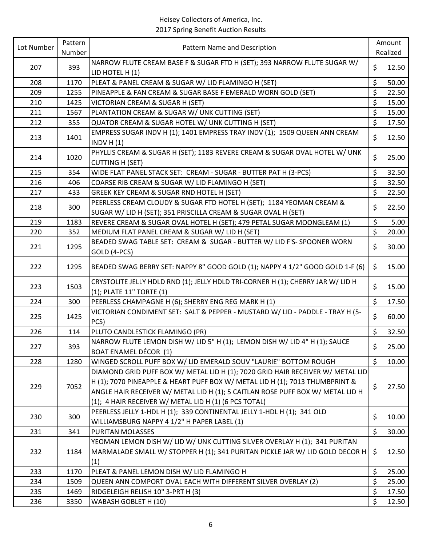| Lot Number | Pattern | Pattern Name and Description                                                                                                                                                                                                                                                                              |         | Amount   |
|------------|---------|-----------------------------------------------------------------------------------------------------------------------------------------------------------------------------------------------------------------------------------------------------------------------------------------------------------|---------|----------|
|            | Number  |                                                                                                                                                                                                                                                                                                           |         | Realized |
| 207        | 393     | NARROW FLUTE CREAM BASE F & SUGAR FTD H (SET); 393 NARROW FLUTE SUGAR W/<br>LID HOTEL H (1)                                                                                                                                                                                                               | \$      | 12.50    |
| 208        | 1170    | PLEAT & PANEL CREAM & SUGAR W/ LID FLAMINGO H (SET)                                                                                                                                                                                                                                                       | \$      | 50.00    |
| 209        | 1255    | PINEAPPLE & FAN CREAM & SUGAR BASE F EMERALD WORN GOLD (SET)                                                                                                                                                                                                                                              | \$      | 22.50    |
| 210        | 1425    | VICTORIAN CREAM & SUGAR H (SET)                                                                                                                                                                                                                                                                           | \$      | 15.00    |
| 211        | 1567    | PLANTATION CREAM & SUGAR W/ UNK CUTTING (SET)                                                                                                                                                                                                                                                             | \$      | 15.00    |
| 212        | 355     | QUATOR CREAM & SUGAR HOTEL W/ UNK CUTTING H (SET)                                                                                                                                                                                                                                                         | $\zeta$ | 17.50    |
|            | 1401    | EMPRESS SUGAR INDV H (1); 1401 EMPRESS TRAY INDV (1); 1509 QUEEN ANN CREAM                                                                                                                                                                                                                                | \$      | 12.50    |
| 213        |         | INDV $H(1)$                                                                                                                                                                                                                                                                                               |         |          |
| 214        | 1020    | PHYLLIS CREAM & SUGAR H (SET); 1183 REVERE CREAM & SUGAR OVAL HOTEL W/ UNK<br><b>CUTTING H (SET)</b>                                                                                                                                                                                                      | \$      | 25.00    |
| 215        | 354     | WIDE FLAT PANEL STACK SET: CREAM - SUGAR - BUTTER PAT H (3-PCS)                                                                                                                                                                                                                                           | \$      | 32.50    |
| 216        | 406     | COARSE RIB CREAM & SUGAR W/ LID FLAMINGO H (SET)                                                                                                                                                                                                                                                          | \$      | 32.50    |
| 217        | 433     | GREEK KEY CREAM & SUGAR RND HOTEL H (SET)                                                                                                                                                                                                                                                                 | \$      | 22.50    |
|            |         | PEERLESS CREAM CLOUDY & SUGAR FTD HOTEL H (SET); 1184 YEOMAN CREAM &                                                                                                                                                                                                                                      |         |          |
| 218        | 300     | SUGAR W/ LID H (SET); 351 PRISCILLA CREAM & SUGAR OVAL H (SET)                                                                                                                                                                                                                                            | \$      | 22.50    |
| 219        | 1183    | REVERE CREAM & SUGAR OVAL HOTEL H (SET); 479 PETAL SUGAR MOONGLEAM (1)                                                                                                                                                                                                                                    | \$      | 5.00     |
| 220        | 352     | MEDIUM FLAT PANEL CREAM & SUGAR W/ LID H (SET)                                                                                                                                                                                                                                                            | \$      | 20.00    |
| 221        | 1295    | BEADED SWAG TABLE SET: CREAM & SUGAR - BUTTER W/ LID F'S- SPOONER WORN<br>GOLD (4-PCS)                                                                                                                                                                                                                    | \$      | 30.00    |
| 222        | 1295    | BEADED SWAG BERRY SET: NAPPY 8" GOOD GOLD (1); NAPPY 4 1/2" GOOD GOLD 1-F (6)                                                                                                                                                                                                                             | \$      | 15.00    |
| 223        | 1503    | CRYSTOLITE JELLY HDLD RND (1); JELLY HDLD TRI-CORNER H (1); CHERRY JAR W/ LID H<br>(1); PLATE 11" TORTE (1)                                                                                                                                                                                               | \$      | 15.00    |
| 224        | 300     | PEERLESS CHAMPAGNE H (6); SHERRY ENG REG MARK H (1)                                                                                                                                                                                                                                                       | \$      | 17.50    |
|            |         | VICTORIAN CONDIMENT SET: SALT & PEPPER - MUSTARD W/ LID - PADDLE - TRAY H (5-                                                                                                                                                                                                                             |         |          |
| 225        | 1425    | PCS)                                                                                                                                                                                                                                                                                                      | \$      | 60.00    |
| 226        | 114     | PLUTO CANDLESTICK FLAMINGO (PR)                                                                                                                                                                                                                                                                           | \$      | 32.50    |
| 227        | 393     | NARROW FLUTE LEMON DISH W/ LID 5" H (1); LEMON DISH W/ LID 4" H (1); SAUCE<br><b>BOAT ENAMEL DÉCOR (1)</b>                                                                                                                                                                                                | \$      | 25.00    |
| 228        | 1280    | WINGED SCROLL PUFF BOX W/ LID EMERALD SOUV "LAURIE" BOTTOM ROUGH                                                                                                                                                                                                                                          | \$      | 10.00    |
| 229        | 7052    | DIAMOND GRID PUFF BOX W/ METAL LID H (1); 7020 GRID HAIR RECEIVER W/ METAL LID<br>H (1); 7070 PINEAPPLE & HEART PUFF BOX W/ METAL LID H (1); 7013 THUMBPRINT &<br>ANGLE HAIR RECEIVER W/ METAL LID H (1); 5 CAITLAN ROSE PUFF BOX W/ METAL LID H<br>(1); 4 HAIR RECEIVER W/ METAL LID H (1) (6 PCS TOTAL) | \$      | 27.50    |
| 230        | 300     | PEERLESS JELLY 1-HDL H (1); 339 CONTINENTAL JELLY 1-HDL H (1); 341 OLD<br>WILLIAMSBURG NAPPY 4 1/2" H PAPER LABEL (1)                                                                                                                                                                                     | \$      | 10.00    |
| 231        | 341     | PURITAN MOLASSES                                                                                                                                                                                                                                                                                          | \$      | 30.00    |
| 232        | 1184    | YEOMAN LEMON DISH W/ LID W/ UNK CUTTING SILVER OVERLAY H (1); 341 PURITAN<br>MARMALADE SMALL W/ STOPPER H (1); 341 PURITAN PICKLE JAR W/ LID GOLD DECOR H<br>(1)                                                                                                                                          | \$      | 12.50    |
| 233        | 1170    | PLEAT & PANEL LEMON DISH W/ LID FLAMINGO H                                                                                                                                                                                                                                                                | \$      | 25.00    |
| 234        | 1509    | QUEEN ANN COMPORT OVAL EACH WITH DIFFERENT SILVER OVERLAY (2)                                                                                                                                                                                                                                             | \$      | 25.00    |
| 235        | 1469    | RIDGELEIGH RELISH 10" 3-PRT H (3)                                                                                                                                                                                                                                                                         | \$      | 17.50    |
| 236        | 3350    | WABASH GOBLET H (10)                                                                                                                                                                                                                                                                                      | \$      | 12.50    |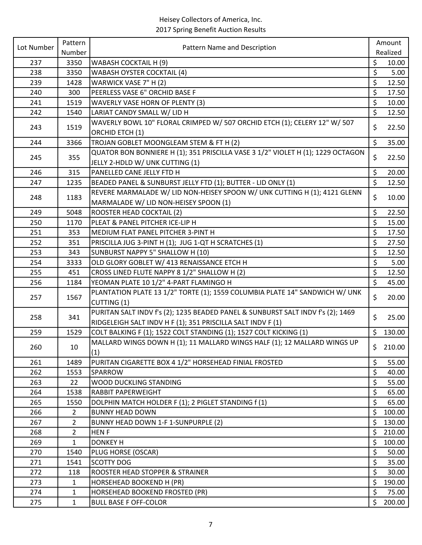| Number<br>Realized<br>\$<br>237<br>3350<br><b>WABASH COCKTAIL H (9)</b><br>10.00<br>\$<br>238<br><b>WABASH OYSTER COCKTAIL (4)</b><br>5.00<br>3350<br>\$<br>WARWICK VASE 7" H (2)<br>12.50<br>239<br>1428<br>\$<br>PEERLESS VASE 6" ORCHID BASE F<br>240<br>300<br>17.50<br>\$<br>10.00<br>241<br>1519<br>WAVERLY VASE HORN OF PLENTY (3)<br>\$<br>12.50<br>242<br>1540<br>LARIAT CANDY SMALL W/ LID H<br>WAVERLY BOWL 10" FLORAL CRIMPED W/ 507 ORCHID ETCH (1); CELERY 12" W/ 507<br>\$<br>22.50<br>243<br>1519<br>ORCHID ETCH (1)<br>$\zeta$<br>TROJAN GOBLET MOONGLEAM STEM & FT H (2)<br>35.00<br>244<br>3366<br>QUATOR BON BONNIERE H (1); 351 PRISCILLA VASE 3 1/2" VIOLET H (1); 1229 OCTAGON<br>\$<br>22.50<br>245<br>355<br>JELLY 2-HDLD W/ UNK CUTTING (1)<br>\$<br>20.00<br>246<br>315<br>PANELLED CANE JELLY FTD H<br>\$<br>BEADED PANEL & SUNBURST JELLY FTD (1); BUTTER - LID ONLY (1)<br>1235<br>247<br>12.50<br>REVERE MARMALADE W/ LID NON-HEISEY SPOON W/ UNK CUTTING H (1); 4121 GLENN<br>\$<br>10.00<br>248<br>1183<br>MARMALADE W/ LID NON-HEISEY SPOON (1)<br>\$<br>ROOSTER HEAD COCKTAIL (2)<br>22.50<br>249<br>5048<br>\$<br>250<br>1170<br>PLEAT & PANEL PITCHER ICE-LIP H<br>15.00<br>\$<br>353<br>MEDIUM FLAT PANEL PITCHER 3-PINT H<br>17.50<br>251<br>\$<br>252<br>351<br>PRISCILLA JUG 3-PINT H (1); JUG 1-QT H SCRATCHES (1)<br>27.50<br>\$<br>253<br>343<br>SUNBURST NAPPY 5" SHALLOW H (10)<br>12.50<br>\$<br>254<br>OLD GLORY GOBLET W/ 413 RENAISSANCE ETCH H<br>5.00<br>3333<br>\$<br>CROSS LINED FLUTE NAPPY 8 1/2" SHALLOW H (2)<br>12.50<br>255<br>451<br>\$<br>YEOMAN PLATE 10 1/2" 4-PART FLAMINGO H<br>256<br>45.00<br>1184<br>PLANTATION PLATE 13 1/2" TORTE (1); 1559 COLUMBIA PLATE 14" SANDWICH W/ UNK<br>\$<br>1567<br>20.00<br>257<br>CUTTING (1)<br>PURITAN SALT INDV f's (2); 1235 BEADED PANEL & SUNBURST SALT INDV f's (2); 1469<br>\$<br>25.00<br>258<br>341<br>RIDGELEIGH SALT INDV H F (1); 351 PRISCILLA SALT INDV F (1)<br>COLT BALKING F (1); 1522 COLT STANDING (1); 1527 COLT KICKING (1)<br>\$<br>130.00<br>259<br>1529<br>MALLARD WINGS DOWN H (1); 11 MALLARD WINGS HALF (1); 12 MALLARD WINGS UP<br>\$210.00<br>260<br>10<br>(1)<br>\$<br>PURITAN CIGARETTE BOX 4 1/2" HORSEHEAD FINIAL FROSTED<br>55.00<br>261<br>1489<br>\$<br>262<br>40.00<br>1553<br>SPARROW<br>\$<br>263<br>55.00<br>22<br>WOOD DUCKLING STANDING<br>\$<br>264<br>1538<br>65.00<br><b>RABBIT PAPERWEIGHT</b><br>$\zeta$<br>265<br>1550<br>DOLPHIN MATCH HOLDER F (1); 2 PIGLET STANDING f (1)<br>65.00<br>\$<br>100.00<br>266<br>$\overline{2}$<br><b>BUNNY HEAD DOWN</b><br>\$<br>130.00<br>267<br>BUNNY HEAD DOWN 1-F 1-SUNPURPLE (2)<br>$\overline{2}$<br>\$<br>210.00<br>268<br>$\overline{2}$<br><b>HENF</b><br>\$<br>100.00<br>269<br>$\mathbf{1}$<br><b>DONKEY H</b><br>\$<br>270<br>PLUG HORSE (OSCAR)<br>50.00<br>1540<br>\$<br><b>SCOTTY DOG</b><br>271<br>35.00<br>1541<br>$\zeta$<br>272<br>ROOSTER HEAD STOPPER & STRAINER<br>30.00<br>118<br>\$<br>190.00<br>273<br>$\mathbf{1}$<br>HORSEHEAD BOOKEND H (PR) | Lot Number | Pattern | Pattern Name and Description   | Amount      |
|------------------------------------------------------------------------------------------------------------------------------------------------------------------------------------------------------------------------------------------------------------------------------------------------------------------------------------------------------------------------------------------------------------------------------------------------------------------------------------------------------------------------------------------------------------------------------------------------------------------------------------------------------------------------------------------------------------------------------------------------------------------------------------------------------------------------------------------------------------------------------------------------------------------------------------------------------------------------------------------------------------------------------------------------------------------------------------------------------------------------------------------------------------------------------------------------------------------------------------------------------------------------------------------------------------------------------------------------------------------------------------------------------------------------------------------------------------------------------------------------------------------------------------------------------------------------------------------------------------------------------------------------------------------------------------------------------------------------------------------------------------------------------------------------------------------------------------------------------------------------------------------------------------------------------------------------------------------------------------------------------------------------------------------------------------------------------------------------------------------------------------------------------------------------------------------------------------------------------------------------------------------------------------------------------------------------------------------------------------------------------------------------------------------------------------------------------------------------------------------------------------------------------------------------------------------------------------------------------------------------------------------------------------------------------------------------------------------------------------------------------------------------------------------------------------------------------------------------------------------------------------------------------------------------------------------------------------------------------------------------------------------------------------------------------------------|------------|---------|--------------------------------|-------------|
|                                                                                                                                                                                                                                                                                                                                                                                                                                                                                                                                                                                                                                                                                                                                                                                                                                                                                                                                                                                                                                                                                                                                                                                                                                                                                                                                                                                                                                                                                                                                                                                                                                                                                                                                                                                                                                                                                                                                                                                                                                                                                                                                                                                                                                                                                                                                                                                                                                                                                                                                                                                                                                                                                                                                                                                                                                                                                                                                                                                                                                                                  |            |         |                                |             |
|                                                                                                                                                                                                                                                                                                                                                                                                                                                                                                                                                                                                                                                                                                                                                                                                                                                                                                                                                                                                                                                                                                                                                                                                                                                                                                                                                                                                                                                                                                                                                                                                                                                                                                                                                                                                                                                                                                                                                                                                                                                                                                                                                                                                                                                                                                                                                                                                                                                                                                                                                                                                                                                                                                                                                                                                                                                                                                                                                                                                                                                                  |            |         |                                |             |
|                                                                                                                                                                                                                                                                                                                                                                                                                                                                                                                                                                                                                                                                                                                                                                                                                                                                                                                                                                                                                                                                                                                                                                                                                                                                                                                                                                                                                                                                                                                                                                                                                                                                                                                                                                                                                                                                                                                                                                                                                                                                                                                                                                                                                                                                                                                                                                                                                                                                                                                                                                                                                                                                                                                                                                                                                                                                                                                                                                                                                                                                  |            |         |                                |             |
|                                                                                                                                                                                                                                                                                                                                                                                                                                                                                                                                                                                                                                                                                                                                                                                                                                                                                                                                                                                                                                                                                                                                                                                                                                                                                                                                                                                                                                                                                                                                                                                                                                                                                                                                                                                                                                                                                                                                                                                                                                                                                                                                                                                                                                                                                                                                                                                                                                                                                                                                                                                                                                                                                                                                                                                                                                                                                                                                                                                                                                                                  |            |         |                                |             |
|                                                                                                                                                                                                                                                                                                                                                                                                                                                                                                                                                                                                                                                                                                                                                                                                                                                                                                                                                                                                                                                                                                                                                                                                                                                                                                                                                                                                                                                                                                                                                                                                                                                                                                                                                                                                                                                                                                                                                                                                                                                                                                                                                                                                                                                                                                                                                                                                                                                                                                                                                                                                                                                                                                                                                                                                                                                                                                                                                                                                                                                                  |            |         |                                |             |
|                                                                                                                                                                                                                                                                                                                                                                                                                                                                                                                                                                                                                                                                                                                                                                                                                                                                                                                                                                                                                                                                                                                                                                                                                                                                                                                                                                                                                                                                                                                                                                                                                                                                                                                                                                                                                                                                                                                                                                                                                                                                                                                                                                                                                                                                                                                                                                                                                                                                                                                                                                                                                                                                                                                                                                                                                                                                                                                                                                                                                                                                  |            |         |                                |             |
|                                                                                                                                                                                                                                                                                                                                                                                                                                                                                                                                                                                                                                                                                                                                                                                                                                                                                                                                                                                                                                                                                                                                                                                                                                                                                                                                                                                                                                                                                                                                                                                                                                                                                                                                                                                                                                                                                                                                                                                                                                                                                                                                                                                                                                                                                                                                                                                                                                                                                                                                                                                                                                                                                                                                                                                                                                                                                                                                                                                                                                                                  |            |         |                                |             |
|                                                                                                                                                                                                                                                                                                                                                                                                                                                                                                                                                                                                                                                                                                                                                                                                                                                                                                                                                                                                                                                                                                                                                                                                                                                                                                                                                                                                                                                                                                                                                                                                                                                                                                                                                                                                                                                                                                                                                                                                                                                                                                                                                                                                                                                                                                                                                                                                                                                                                                                                                                                                                                                                                                                                                                                                                                                                                                                                                                                                                                                                  |            |         |                                |             |
|                                                                                                                                                                                                                                                                                                                                                                                                                                                                                                                                                                                                                                                                                                                                                                                                                                                                                                                                                                                                                                                                                                                                                                                                                                                                                                                                                                                                                                                                                                                                                                                                                                                                                                                                                                                                                                                                                                                                                                                                                                                                                                                                                                                                                                                                                                                                                                                                                                                                                                                                                                                                                                                                                                                                                                                                                                                                                                                                                                                                                                                                  |            |         |                                |             |
|                                                                                                                                                                                                                                                                                                                                                                                                                                                                                                                                                                                                                                                                                                                                                                                                                                                                                                                                                                                                                                                                                                                                                                                                                                                                                                                                                                                                                                                                                                                                                                                                                                                                                                                                                                                                                                                                                                                                                                                                                                                                                                                                                                                                                                                                                                                                                                                                                                                                                                                                                                                                                                                                                                                                                                                                                                                                                                                                                                                                                                                                  |            |         |                                |             |
|                                                                                                                                                                                                                                                                                                                                                                                                                                                                                                                                                                                                                                                                                                                                                                                                                                                                                                                                                                                                                                                                                                                                                                                                                                                                                                                                                                                                                                                                                                                                                                                                                                                                                                                                                                                                                                                                                                                                                                                                                                                                                                                                                                                                                                                                                                                                                                                                                                                                                                                                                                                                                                                                                                                                                                                                                                                                                                                                                                                                                                                                  |            |         |                                |             |
|                                                                                                                                                                                                                                                                                                                                                                                                                                                                                                                                                                                                                                                                                                                                                                                                                                                                                                                                                                                                                                                                                                                                                                                                                                                                                                                                                                                                                                                                                                                                                                                                                                                                                                                                                                                                                                                                                                                                                                                                                                                                                                                                                                                                                                                                                                                                                                                                                                                                                                                                                                                                                                                                                                                                                                                                                                                                                                                                                                                                                                                                  |            |         |                                |             |
|                                                                                                                                                                                                                                                                                                                                                                                                                                                                                                                                                                                                                                                                                                                                                                                                                                                                                                                                                                                                                                                                                                                                                                                                                                                                                                                                                                                                                                                                                                                                                                                                                                                                                                                                                                                                                                                                                                                                                                                                                                                                                                                                                                                                                                                                                                                                                                                                                                                                                                                                                                                                                                                                                                                                                                                                                                                                                                                                                                                                                                                                  |            |         |                                |             |
|                                                                                                                                                                                                                                                                                                                                                                                                                                                                                                                                                                                                                                                                                                                                                                                                                                                                                                                                                                                                                                                                                                                                                                                                                                                                                                                                                                                                                                                                                                                                                                                                                                                                                                                                                                                                                                                                                                                                                                                                                                                                                                                                                                                                                                                                                                                                                                                                                                                                                                                                                                                                                                                                                                                                                                                                                                                                                                                                                                                                                                                                  |            |         |                                |             |
|                                                                                                                                                                                                                                                                                                                                                                                                                                                                                                                                                                                                                                                                                                                                                                                                                                                                                                                                                                                                                                                                                                                                                                                                                                                                                                                                                                                                                                                                                                                                                                                                                                                                                                                                                                                                                                                                                                                                                                                                                                                                                                                                                                                                                                                                                                                                                                                                                                                                                                                                                                                                                                                                                                                                                                                                                                                                                                                                                                                                                                                                  |            |         |                                |             |
|                                                                                                                                                                                                                                                                                                                                                                                                                                                                                                                                                                                                                                                                                                                                                                                                                                                                                                                                                                                                                                                                                                                                                                                                                                                                                                                                                                                                                                                                                                                                                                                                                                                                                                                                                                                                                                                                                                                                                                                                                                                                                                                                                                                                                                                                                                                                                                                                                                                                                                                                                                                                                                                                                                                                                                                                                                                                                                                                                                                                                                                                  |            |         |                                |             |
|                                                                                                                                                                                                                                                                                                                                                                                                                                                                                                                                                                                                                                                                                                                                                                                                                                                                                                                                                                                                                                                                                                                                                                                                                                                                                                                                                                                                                                                                                                                                                                                                                                                                                                                                                                                                                                                                                                                                                                                                                                                                                                                                                                                                                                                                                                                                                                                                                                                                                                                                                                                                                                                                                                                                                                                                                                                                                                                                                                                                                                                                  |            |         |                                |             |
|                                                                                                                                                                                                                                                                                                                                                                                                                                                                                                                                                                                                                                                                                                                                                                                                                                                                                                                                                                                                                                                                                                                                                                                                                                                                                                                                                                                                                                                                                                                                                                                                                                                                                                                                                                                                                                                                                                                                                                                                                                                                                                                                                                                                                                                                                                                                                                                                                                                                                                                                                                                                                                                                                                                                                                                                                                                                                                                                                                                                                                                                  |            |         |                                |             |
|                                                                                                                                                                                                                                                                                                                                                                                                                                                                                                                                                                                                                                                                                                                                                                                                                                                                                                                                                                                                                                                                                                                                                                                                                                                                                                                                                                                                                                                                                                                                                                                                                                                                                                                                                                                                                                                                                                                                                                                                                                                                                                                                                                                                                                                                                                                                                                                                                                                                                                                                                                                                                                                                                                                                                                                                                                                                                                                                                                                                                                                                  |            |         |                                |             |
|                                                                                                                                                                                                                                                                                                                                                                                                                                                                                                                                                                                                                                                                                                                                                                                                                                                                                                                                                                                                                                                                                                                                                                                                                                                                                                                                                                                                                                                                                                                                                                                                                                                                                                                                                                                                                                                                                                                                                                                                                                                                                                                                                                                                                                                                                                                                                                                                                                                                                                                                                                                                                                                                                                                                                                                                                                                                                                                                                                                                                                                                  |            |         |                                |             |
|                                                                                                                                                                                                                                                                                                                                                                                                                                                                                                                                                                                                                                                                                                                                                                                                                                                                                                                                                                                                                                                                                                                                                                                                                                                                                                                                                                                                                                                                                                                                                                                                                                                                                                                                                                                                                                                                                                                                                                                                                                                                                                                                                                                                                                                                                                                                                                                                                                                                                                                                                                                                                                                                                                                                                                                                                                                                                                                                                                                                                                                                  |            |         |                                |             |
|                                                                                                                                                                                                                                                                                                                                                                                                                                                                                                                                                                                                                                                                                                                                                                                                                                                                                                                                                                                                                                                                                                                                                                                                                                                                                                                                                                                                                                                                                                                                                                                                                                                                                                                                                                                                                                                                                                                                                                                                                                                                                                                                                                                                                                                                                                                                                                                                                                                                                                                                                                                                                                                                                                                                                                                                                                                                                                                                                                                                                                                                  |            |         |                                |             |
|                                                                                                                                                                                                                                                                                                                                                                                                                                                                                                                                                                                                                                                                                                                                                                                                                                                                                                                                                                                                                                                                                                                                                                                                                                                                                                                                                                                                                                                                                                                                                                                                                                                                                                                                                                                                                                                                                                                                                                                                                                                                                                                                                                                                                                                                                                                                                                                                                                                                                                                                                                                                                                                                                                                                                                                                                                                                                                                                                                                                                                                                  |            |         |                                |             |
|                                                                                                                                                                                                                                                                                                                                                                                                                                                                                                                                                                                                                                                                                                                                                                                                                                                                                                                                                                                                                                                                                                                                                                                                                                                                                                                                                                                                                                                                                                                                                                                                                                                                                                                                                                                                                                                                                                                                                                                                                                                                                                                                                                                                                                                                                                                                                                                                                                                                                                                                                                                                                                                                                                                                                                                                                                                                                                                                                                                                                                                                  |            |         |                                |             |
|                                                                                                                                                                                                                                                                                                                                                                                                                                                                                                                                                                                                                                                                                                                                                                                                                                                                                                                                                                                                                                                                                                                                                                                                                                                                                                                                                                                                                                                                                                                                                                                                                                                                                                                                                                                                                                                                                                                                                                                                                                                                                                                                                                                                                                                                                                                                                                                                                                                                                                                                                                                                                                                                                                                                                                                                                                                                                                                                                                                                                                                                  |            |         |                                |             |
|                                                                                                                                                                                                                                                                                                                                                                                                                                                                                                                                                                                                                                                                                                                                                                                                                                                                                                                                                                                                                                                                                                                                                                                                                                                                                                                                                                                                                                                                                                                                                                                                                                                                                                                                                                                                                                                                                                                                                                                                                                                                                                                                                                                                                                                                                                                                                                                                                                                                                                                                                                                                                                                                                                                                                                                                                                                                                                                                                                                                                                                                  |            |         |                                |             |
|                                                                                                                                                                                                                                                                                                                                                                                                                                                                                                                                                                                                                                                                                                                                                                                                                                                                                                                                                                                                                                                                                                                                                                                                                                                                                                                                                                                                                                                                                                                                                                                                                                                                                                                                                                                                                                                                                                                                                                                                                                                                                                                                                                                                                                                                                                                                                                                                                                                                                                                                                                                                                                                                                                                                                                                                                                                                                                                                                                                                                                                                  |            |         |                                |             |
|                                                                                                                                                                                                                                                                                                                                                                                                                                                                                                                                                                                                                                                                                                                                                                                                                                                                                                                                                                                                                                                                                                                                                                                                                                                                                                                                                                                                                                                                                                                                                                                                                                                                                                                                                                                                                                                                                                                                                                                                                                                                                                                                                                                                                                                                                                                                                                                                                                                                                                                                                                                                                                                                                                                                                                                                                                                                                                                                                                                                                                                                  |            |         |                                |             |
|                                                                                                                                                                                                                                                                                                                                                                                                                                                                                                                                                                                                                                                                                                                                                                                                                                                                                                                                                                                                                                                                                                                                                                                                                                                                                                                                                                                                                                                                                                                                                                                                                                                                                                                                                                                                                                                                                                                                                                                                                                                                                                                                                                                                                                                                                                                                                                                                                                                                                                                                                                                                                                                                                                                                                                                                                                                                                                                                                                                                                                                                  |            |         |                                |             |
|                                                                                                                                                                                                                                                                                                                                                                                                                                                                                                                                                                                                                                                                                                                                                                                                                                                                                                                                                                                                                                                                                                                                                                                                                                                                                                                                                                                                                                                                                                                                                                                                                                                                                                                                                                                                                                                                                                                                                                                                                                                                                                                                                                                                                                                                                                                                                                                                                                                                                                                                                                                                                                                                                                                                                                                                                                                                                                                                                                                                                                                                  |            |         |                                |             |
|                                                                                                                                                                                                                                                                                                                                                                                                                                                                                                                                                                                                                                                                                                                                                                                                                                                                                                                                                                                                                                                                                                                                                                                                                                                                                                                                                                                                                                                                                                                                                                                                                                                                                                                                                                                                                                                                                                                                                                                                                                                                                                                                                                                                                                                                                                                                                                                                                                                                                                                                                                                                                                                                                                                                                                                                                                                                                                                                                                                                                                                                  |            |         |                                |             |
|                                                                                                                                                                                                                                                                                                                                                                                                                                                                                                                                                                                                                                                                                                                                                                                                                                                                                                                                                                                                                                                                                                                                                                                                                                                                                                                                                                                                                                                                                                                                                                                                                                                                                                                                                                                                                                                                                                                                                                                                                                                                                                                                                                                                                                                                                                                                                                                                                                                                                                                                                                                                                                                                                                                                                                                                                                                                                                                                                                                                                                                                  |            |         |                                |             |
|                                                                                                                                                                                                                                                                                                                                                                                                                                                                                                                                                                                                                                                                                                                                                                                                                                                                                                                                                                                                                                                                                                                                                                                                                                                                                                                                                                                                                                                                                                                                                                                                                                                                                                                                                                                                                                                                                                                                                                                                                                                                                                                                                                                                                                                                                                                                                                                                                                                                                                                                                                                                                                                                                                                                                                                                                                                                                                                                                                                                                                                                  |            |         |                                |             |
|                                                                                                                                                                                                                                                                                                                                                                                                                                                                                                                                                                                                                                                                                                                                                                                                                                                                                                                                                                                                                                                                                                                                                                                                                                                                                                                                                                                                                                                                                                                                                                                                                                                                                                                                                                                                                                                                                                                                                                                                                                                                                                                                                                                                                                                                                                                                                                                                                                                                                                                                                                                                                                                                                                                                                                                                                                                                                                                                                                                                                                                                  |            |         |                                |             |
|                                                                                                                                                                                                                                                                                                                                                                                                                                                                                                                                                                                                                                                                                                                                                                                                                                                                                                                                                                                                                                                                                                                                                                                                                                                                                                                                                                                                                                                                                                                                                                                                                                                                                                                                                                                                                                                                                                                                                                                                                                                                                                                                                                                                                                                                                                                                                                                                                                                                                                                                                                                                                                                                                                                                                                                                                                                                                                                                                                                                                                                                  |            |         |                                |             |
|                                                                                                                                                                                                                                                                                                                                                                                                                                                                                                                                                                                                                                                                                                                                                                                                                                                                                                                                                                                                                                                                                                                                                                                                                                                                                                                                                                                                                                                                                                                                                                                                                                                                                                                                                                                                                                                                                                                                                                                                                                                                                                                                                                                                                                                                                                                                                                                                                                                                                                                                                                                                                                                                                                                                                                                                                                                                                                                                                                                                                                                                  |            |         |                                |             |
|                                                                                                                                                                                                                                                                                                                                                                                                                                                                                                                                                                                                                                                                                                                                                                                                                                                                                                                                                                                                                                                                                                                                                                                                                                                                                                                                                                                                                                                                                                                                                                                                                                                                                                                                                                                                                                                                                                                                                                                                                                                                                                                                                                                                                                                                                                                                                                                                                                                                                                                                                                                                                                                                                                                                                                                                                                                                                                                                                                                                                                                                  |            |         |                                |             |
|                                                                                                                                                                                                                                                                                                                                                                                                                                                                                                                                                                                                                                                                                                                                                                                                                                                                                                                                                                                                                                                                                                                                                                                                                                                                                                                                                                                                                                                                                                                                                                                                                                                                                                                                                                                                                                                                                                                                                                                                                                                                                                                                                                                                                                                                                                                                                                                                                                                                                                                                                                                                                                                                                                                                                                                                                                                                                                                                                                                                                                                                  |            |         |                                |             |
|                                                                                                                                                                                                                                                                                                                                                                                                                                                                                                                                                                                                                                                                                                                                                                                                                                                                                                                                                                                                                                                                                                                                                                                                                                                                                                                                                                                                                                                                                                                                                                                                                                                                                                                                                                                                                                                                                                                                                                                                                                                                                                                                                                                                                                                                                                                                                                                                                                                                                                                                                                                                                                                                                                                                                                                                                                                                                                                                                                                                                                                                  |            |         |                                |             |
|                                                                                                                                                                                                                                                                                                                                                                                                                                                                                                                                                                                                                                                                                                                                                                                                                                                                                                                                                                                                                                                                                                                                                                                                                                                                                                                                                                                                                                                                                                                                                                                                                                                                                                                                                                                                                                                                                                                                                                                                                                                                                                                                                                                                                                                                                                                                                                                                                                                                                                                                                                                                                                                                                                                                                                                                                                                                                                                                                                                                                                                                  |            |         |                                |             |
|                                                                                                                                                                                                                                                                                                                                                                                                                                                                                                                                                                                                                                                                                                                                                                                                                                                                                                                                                                                                                                                                                                                                                                                                                                                                                                                                                                                                                                                                                                                                                                                                                                                                                                                                                                                                                                                                                                                                                                                                                                                                                                                                                                                                                                                                                                                                                                                                                                                                                                                                                                                                                                                                                                                                                                                                                                                                                                                                                                                                                                                                  |            |         |                                |             |
|                                                                                                                                                                                                                                                                                                                                                                                                                                                                                                                                                                                                                                                                                                                                                                                                                                                                                                                                                                                                                                                                                                                                                                                                                                                                                                                                                                                                                                                                                                                                                                                                                                                                                                                                                                                                                                                                                                                                                                                                                                                                                                                                                                                                                                                                                                                                                                                                                                                                                                                                                                                                                                                                                                                                                                                                                                                                                                                                                                                                                                                                  |            |         |                                |             |
| 1                                                                                                                                                                                                                                                                                                                                                                                                                                                                                                                                                                                                                                                                                                                                                                                                                                                                                                                                                                                                                                                                                                                                                                                                                                                                                                                                                                                                                                                                                                                                                                                                                                                                                                                                                                                                                                                                                                                                                                                                                                                                                                                                                                                                                                                                                                                                                                                                                                                                                                                                                                                                                                                                                                                                                                                                                                                                                                                                                                                                                                                                | 274        |         | HORSEHEAD BOOKEND FROSTED (PR) | \$<br>75.00 |
| \$<br>200.00<br>275<br><b>BULL BASE F OFF-COLOR</b><br>1                                                                                                                                                                                                                                                                                                                                                                                                                                                                                                                                                                                                                                                                                                                                                                                                                                                                                                                                                                                                                                                                                                                                                                                                                                                                                                                                                                                                                                                                                                                                                                                                                                                                                                                                                                                                                                                                                                                                                                                                                                                                                                                                                                                                                                                                                                                                                                                                                                                                                                                                                                                                                                                                                                                                                                                                                                                                                                                                                                                                         |            |         |                                |             |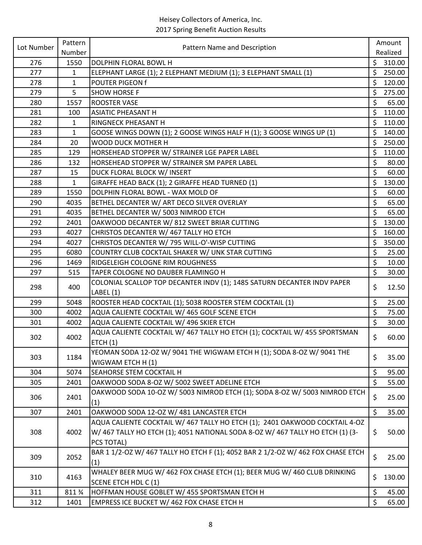| Lot Number | Pattern      | Pattern Name and Description                                                     |         | Amount   |
|------------|--------------|----------------------------------------------------------------------------------|---------|----------|
|            | Number       |                                                                                  |         | Realized |
| 276        | 1550         | DOLPHIN FLORAL BOWL H                                                            | \$      | 310.00   |
| 277        | 1            | ELEPHANT LARGE (1); 2 ELEPHANT MEDIUM (1); 3 ELEPHANT SMALL (1)                  | \$      | 250.00   |
| 278        | $\mathbf{1}$ | POUTER PIGEON f                                                                  | \$      | 120.00   |
| 279        | 5            | <b>SHOW HORSE F</b>                                                              | \$      | 275.00   |
| 280        | 1557         | ROOSTER VASE                                                                     | \$      | 65.00    |
| 281        | 100          | ASIATIC PHEASANT H                                                               | \$      | 110.00   |
| 282        | $\mathbf{1}$ | RINGNECK PHEASANT H                                                              | \$      | 110.00   |
| 283        | $\mathbf{1}$ | GOOSE WINGS DOWN (1); 2 GOOSE WINGS HALF H (1); 3 GOOSE WINGS UP (1)             | \$      | 140.00   |
| 284        | 20           | WOOD DUCK MOTHER H                                                               | \$      | 250.00   |
| 285        | 129          | HORSEHEAD STOPPER W/ STRAINER LGE PAPER LABEL                                    | \$      | 110.00   |
| 286        | 132          | HORSEHEAD STOPPER W/ STRAINER SM PAPER LABEL                                     | \$      | 80.00    |
| 287        | 15           | DUCK FLORAL BLOCK W/ INSERT                                                      | \$      | 60.00    |
| 288        | $\mathbf{1}$ | GIRAFFE HEAD BACK (1); 2 GIRAFFE HEAD TURNED (1)                                 | \$      | 130.00   |
| 289        | 1550         | DOLPHIN FLORAL BOWL - WAX MOLD OF                                                | \$      | 60.00    |
| 290        | 4035         | BETHEL DECANTER W/ ART DECO SILVER OVERLAY                                       | \$      | 65.00    |
| 291        | 4035         | BETHEL DECANTER W/ 5003 NIMROD ETCH                                              | \$      | 65.00    |
| 292        | 2401         | OAKWOOD DECANTER W/812 SWEET BRIAR CUTTING                                       | $\zeta$ | 130.00   |
| 293        | 4027         | CHRISTOS DECANTER W/ 467 TALLY HO ETCH                                           | \$      | 160.00   |
| 294        | 4027         | CHRISTOS DECANTER W/ 795 WILL-O'-WISP CUTTING                                    | \$      | 350.00   |
| 295        | 6080         | COUNTRY CLUB COCKTAIL SHAKER W/ UNK STAR CUTTING                                 | \$      | 25.00    |
| 296        | 1469         | RIDGELEIGH COLOGNE RIM ROUGHNESS                                                 | \$      | 10.00    |
| 297        | 515          | TAPER COLOGNE NO DAUBER FLAMINGO H                                               | $\zeta$ | 30.00    |
| 298        | 400          | COLONIAL SCALLOP TOP DECANTER INDV (1); 1485 SATURN DECANTER INDV PAPER          | \$      | 12.50    |
|            |              | LABEL (1)                                                                        |         |          |
| 299        | 5048         | ROOSTER HEAD COCKTAIL (1); 5038 ROOSTER STEM COCKTAIL (1)                        | \$      | 25.00    |
| 300        | 4002         | AQUA CALIENTE COCKTAIL W/ 465 GOLF SCENE ETCH                                    | \$      | 75.00    |
| 301        | 4002         | AQUA CALIENTE COCKTAIL W/ 496 SKIER ETCH                                         | \$      | 30.00    |
| 302        | 4002         | AQUA CALIENTE COCKTAIL W/ 467 TALLY HO ETCH (1); COCKTAIL W/ 455 SPORTSMAN       | \$      |          |
|            |              | ETCH(1)                                                                          |         | 60.00    |
| 303        | 1184         | YEOMAN SODA 12-OZ W/ 9041 THE WIGWAM ETCH H (1); SODA 8-OZ W/ 9041 THE           | \$      | 35.00    |
|            |              | WIGWAM ETCH H (1)                                                                |         |          |
| 304        | 5074         | SEAHORSE STEM COCKTAIL H                                                         | \$      | 95.00    |
| 305        | 2401         | OAKWOOD SODA 8-OZ W/ 5002 SWEET ADELINE ETCH                                     | $\zeta$ | 55.00    |
|            |              | OAKWOOD SODA 10-OZ W/ 5003 NIMROD ETCH (1); SODA 8-OZ W/ 5003 NIMROD ETCH        |         |          |
| 306        | 2401         | (1)                                                                              | \$      | 25.00    |
| 307        | 2401         | OAKWOOD SODA 12-OZ W/ 481 LANCASTER ETCH                                         | \$      | 35.00    |
|            |              | AQUA CALIENTE COCKTAIL W/ 467 TALLY HO ETCH (1); 2401 OAKWOOD COCKTAIL 4-OZ      |         |          |
| 308        | 4002         | W/ 467 TALLY HO ETCH (1); 4051 NATIONAL SODA 8-OZ W/ 467 TALLY HO ETCH (1) (3-   | \$      | 50.00    |
|            |              | PCS TOTAL)                                                                       |         |          |
|            |              | BAR 1 1/2-OZ W/ 467 TALLY HO ETCH F (1); 4052 BAR 2 1/2-OZ W/ 462 FOX CHASE ETCH |         |          |
| 309        | 2052         | (1)                                                                              | \$      | 25.00    |
|            |              | WHALEY BEER MUG W/ 462 FOX CHASE ETCH (1); BEER MUG W/ 460 CLUB DRINKING         |         |          |
| 310        | 4163         | SCENE ETCH HDL C (1)                                                             | \$      | 130.00   |
| 311        | 811 %        | HOFFMAN HOUSE GOBLET W/ 455 SPORTSMAN ETCH H                                     | \$      | 45.00    |
| 312        | 1401         | EMPRESS ICE BUCKET W/ 462 FOX CHASE ETCH H                                       | $\zeta$ | 65.00    |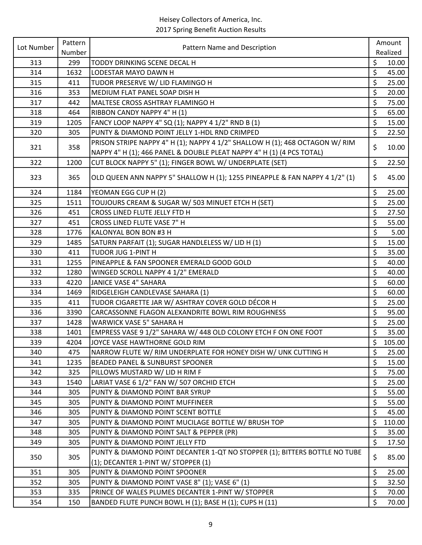| Lot Number | Pattern | Pattern Name and Description                                                                                      |                      | Amount   |
|------------|---------|-------------------------------------------------------------------------------------------------------------------|----------------------|----------|
|            | Number  |                                                                                                                   |                      | Realized |
| 313        | 299     | TODDY DRINKING SCENE DECAL H                                                                                      | \$                   | 10.00    |
| 314        | 1632    | LODESTAR MAYO DAWN H                                                                                              | \$                   | 45.00    |
| 315        | 411     | TUDOR PRESERVE W/ LID FLAMINGO H                                                                                  | \$                   | 25.00    |
| 316        | 353     | MEDIUM FLAT PANEL SOAP DISH H                                                                                     | $\zeta$              | 20.00    |
| 317        | 442     | MALTESE CROSS ASHTRAY FLAMINGO H                                                                                  | \$                   | 75.00    |
| 318        | 464     | RIBBON CANDY NAPPY 4" H (1)                                                                                       | $\zeta$              | 65.00    |
| 319        | 1205    | FANCY LOOP NAPPY 4" SQ (1); NAPPY 4 1/2" RND B (1)                                                                | $\zeta$              | 15.00    |
| 320        | 305     | PUNTY & DIAMOND POINT JELLY 1-HDL RND CRIMPED                                                                     | \$                   | 22.50    |
| 321        | 358     | PRISON STRIPE NAPPY 4" H (1); NAPPY 4 1/2" SHALLOW H (1); 468 OCTAGON W/ RIM                                      | \$                   | 10.00    |
|            |         | NAPPY 4" H (1); 466 PANEL & DOUBLE PLEAT NAPPY 4" H (1) (4 PCS TOTAL)                                             |                      |          |
| 322        | 1200    | CUT BLOCK NAPPY 5" (1); FINGER BOWL W/ UNDERPLATE (SET)                                                           | \$                   | 22.50    |
| 323        | 365     | OLD QUEEN ANN NAPPY 5" SHALLOW H (1); 1255 PINEAPPLE & FAN NAPPY 4 1/2" (1)                                       | \$                   | 45.00    |
| 324        | 1184    | YEOMAN EGG CUP H (2)                                                                                              | $\zeta$              | 25.00    |
| 325        | 1511    | TOUJOURS CREAM & SUGAR W/ 503 MINUET ETCH H (SET)                                                                 | \$                   | 25.00    |
| 326        | 451     | CROSS LINED FLUTE JELLY FTD H                                                                                     | $\zeta$              | 27.50    |
| 327        | 451     | CROSS LINED FLUTE VASE 7" H                                                                                       | $\zeta$              | 55.00    |
| 328        | 1776    | KALONYAL BON BON #3 H                                                                                             | \$                   | 5.00     |
| 329        | 1485    | SATURN PARFAIT (1); SUGAR HANDLELESS W/ LID H (1)                                                                 | \$                   | 15.00    |
| 330        | 411     | TUDOR JUG 1-PINT H                                                                                                | \$                   | 35.00    |
| 331        | 1255    | PINEAPPLE & FAN SPOONER EMERALD GOOD GOLD                                                                         | \$                   | 40.00    |
| 332        | 1280    | WINGED SCROLL NAPPY 4 1/2" EMERALD                                                                                | \$                   | 40.00    |
| 333        | 4220    | JANICE VASE 4" SAHARA                                                                                             | $\overline{\xi}$     | 60.00    |
| 334        | 1469    | RIDGELEIGH CANDLEVASE SAHARA (1)                                                                                  | \$                   | 60.00    |
| 335        | 411     | TUDOR CIGARETTE JAR W/ ASHTRAY COVER GOLD DÉCOR H                                                                 | $\boldsymbol{\zeta}$ | 25.00    |
| 336        | 3390    | CARCASSONNE FLAGON ALEXANDRITE BOWL RIM ROUGHNESS                                                                 | \$                   | 95.00    |
| 337        | 1428    | WARWICK VASE 5" SAHARA H                                                                                          | \$                   | 25.00    |
| 338        | 1401    | EMPRESS VASE 9 1/2" SAHARA W/ 448 OLD COLONY ETCH F ON ONE FOOT                                                   | $\zeta$              | 35.00    |
| 339        | 4204    | JOYCE VASE HAWTHORNE GOLD RIM                                                                                     | $\zeta$              | 105.00   |
| 340        | 475     | NARROW FLUTE W/ RIM UNDERPLATE FOR HONEY DISH W/ UNK CUTTING H                                                    | \$                   | 25.00    |
| 341        | 1235    | <b>BEADED PANEL &amp; SUNBURST SPOONER</b>                                                                        | \$                   | 15.00    |
| 342        | 325     | PILLOWS MUSTARD W/ LID H RIM F                                                                                    | \$                   | 75.00    |
| 343        | 1540    | LARIAT VASE 6 1/2" FAN W/ 507 ORCHID ETCH                                                                         | \$                   | 25.00    |
| 344        | 305     | PUNTY & DIAMOND POINT BAR SYRUP                                                                                   | \$                   | 55.00    |
| 345        | 305     | PUNTY & DIAMOND POINT MUFFINEER                                                                                   | \$                   | 55.00    |
| 346        | 305     | PUNTY & DIAMOND POINT SCENT BOTTLE                                                                                | \$                   | 45.00    |
| 347        | 305     | PUNTY & DIAMOND POINT MUCILAGE BOTTLE W/ BRUSH TOP                                                                | \$                   | 110.00   |
| 348        | 305     | PUNTY & DIAMOND POINT SALT & PEPPER (PR)                                                                          | \$                   | 35.00    |
| 349        | 305     | PUNTY & DIAMOND POINT JELLY FTD                                                                                   | $\zeta$              | 17.50    |
| 350        | 305     | PUNTY & DIAMOND POINT DECANTER 1-QT NO STOPPER (1); BITTERS BOTTLE NO TUBE<br>(1); DECANTER 1-PINT W/ STOPPER (1) | \$                   | 85.00    |
| 351        | 305     | PUNTY & DIAMOND POINT SPOONER                                                                                     | \$                   | 25.00    |
| 352        | 305     | PUNTY & DIAMOND POINT VASE 8" (1); VASE 6" (1)                                                                    | \$                   | 32.50    |
| 353        | 335     | PRINCE OF WALES PLUMES DECANTER 1-PINT W/ STOPPER                                                                 | \$                   | 70.00    |
| 354        | 150     | BANDED FLUTE PUNCH BOWL H (1); BASE H (1); CUPS H (11)                                                            | $\zeta$              | 70.00    |
|            |         |                                                                                                                   |                      |          |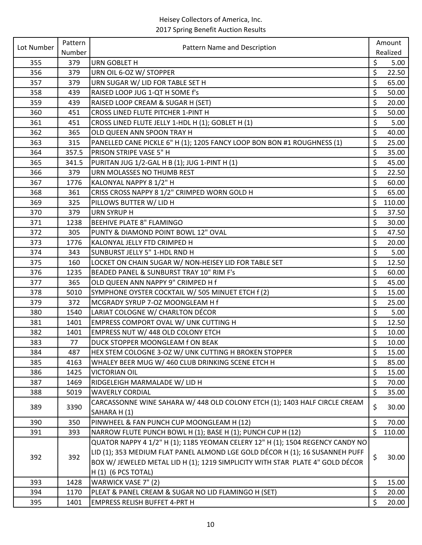| Lot Number | Pattern | Pattern Name and Description                                                   |         | Amount   |
|------------|---------|--------------------------------------------------------------------------------|---------|----------|
|            | Number  |                                                                                |         | Realized |
| 355        | 379     | <b>URN GOBLET H</b>                                                            | \$      | 5.00     |
| 356        | 379     | URN OIL 6-OZ W/ STOPPER                                                        | \$      | 22.50    |
| 357        | 379     | URN SUGAR W/ LID FOR TABLE SET H                                               | \$      | 65.00    |
| 358        | 439     | RAISED LOOP JUG 1-QT H SOME f's                                                | \$      | 50.00    |
| 359        | 439     | RAISED LOOP CREAM & SUGAR H (SET)                                              | \$      | 20.00    |
| 360        | 451     | CROSS LINED FLUTE PITCHER 1-PINT H                                             | \$      | 50.00    |
| 361        | 451     | CROSS LINED FLUTE JELLY 1-HDL H (1); GOBLET H (1)                              | \$      | 5.00     |
| 362        | 365     | OLD QUEEN ANN SPOON TRAY H                                                     | \$      | 40.00    |
| 363        | 315     | PANELLED CANE PICKLE 6" H (1); 1205 FANCY LOOP BON BON #1 ROUGHNESS (1)        | \$      | 25.00    |
| 364        | 357.5   | PRISON STRIPE VASE 5" H                                                        | \$      | 35.00    |
| 365        | 341.5   | PURITAN JUG 1/2-GAL H B (1); JUG 1-PINT H (1)                                  | \$      | 45.00    |
| 366        | 379     | URN MOLASSES NO THUMB REST                                                     | \$      | 22.50    |
| 367        | 1776    | KALONYAL NAPPY 8 1/2" H                                                        | \$      | 60.00    |
| 368        | 361     | CRISS CROSS NAPPY 8 1/2" CRIMPED WORN GOLD H                                   | \$      | 65.00    |
| 369        | 325     | PILLOWS BUTTER W/ LID H                                                        | \$      | 110.00   |
| 370        | 379     | <b>URN SYRUP H</b>                                                             | \$      | 37.50    |
| 371        | 1238    | <b>BEEHIVE PLATE 8" FLAMINGO</b>                                               | \$      | 30.00    |
| 372        | 305     | PUNTY & DIAMOND POINT BOWL 12" OVAL                                            | \$      | 47.50    |
| 373        | 1776    | KALONYAL JELLY FTD CRIMPED H                                                   | \$      | 20.00    |
| 374        | 343     | SUNBURST JELLY 5" 1-HDL RND H                                                  | \$      | 5.00     |
| 375        | 160     | LOCKET ON CHAIN SUGAR W/ NON-HEISEY LID FOR TABLE SET                          | \$      | 12.50    |
| 376        | 1235    | BEADED PANEL & SUNBURST TRAY 10" RIM F's                                       | \$      | 60.00    |
| 377        | 365     | OLD QUEEN ANN NAPPY 9" CRIMPED H f                                             | \$      | 45.00    |
| 378        | 5010    | SYMPHONE OYSTER COCKTAIL W/ 505 MINUET ETCH f (2)                              | \$      | 15.00    |
| 379        | 372     | MCGRADY SYRUP 7-OZ MOONGLEAM H f                                               | \$      | 25.00    |
| 380        | 1540    | LARIAT COLOGNE W/ CHARLTON DÉCOR                                               | \$      | 5.00     |
| 381        | 1401    | EMPRESS COMPORT OVAL W/ UNK CUTTING H                                          | \$      | 12.50    |
| 382        | 1401    | EMPRESS NUT W/ 448 OLD COLONY ETCH                                             | \$      | 10.00    |
| 383        | 77      | DUCK STOPPER MOONGLEAM f ON BEAK                                               | $\zeta$ | 10.00    |
| 384        | 487     | HEX STEM COLOGNE 3-OZ W/ UNK CUTTING H BROKEN STOPPER                          | \$      | 15.00    |
| 385        | 4163    | WHALEY BEER MUG W/ 460 CLUB DRINKING SCENE ETCH H                              | \$      | 85.00    |
| 386        | 1425    | <b>VICTORIAN OIL</b>                                                           | \$      | 15.00    |
| 387        | 1469    | RIDGELEIGH MARMALADE W/ LID H                                                  | \$      | 70.00    |
| 388        | 5019    | <b>WAVERLY CORDIAL</b>                                                         | \$      | 35.00    |
|            |         | CARCASSONNE WINE SAHARA W/ 448 OLD COLONY ETCH (1); 1403 HALF CIRCLE CREAM     |         |          |
| 389        | 3390    | SAHARA H(1)                                                                    | \$      | 30.00    |
| 390        | 350     | PINWHEEL & FAN PUNCH CUP MOONGLEAM H (12)                                      | \$      | 70.00    |
| 391        | 393     | NARROW FLUTE PUNCH BOWL H (1); BASE H (1); PUNCH CUP H (12)                    | \$      | 110.00   |
|            |         | QUATOR NAPPY 4 1/2" H (1); 1185 YEOMAN CELERY 12" H (1); 1504 REGENCY CANDY NO |         |          |
|            |         | LID (1); 353 MEDIUM FLAT PANEL ALMOND LGE GOLD DÉCOR H (1); 16 SUSANNEH PUFF   |         |          |
| 392        | 392     | BOX W/ JEWELED METAL LID H (1); 1219 SIMPLICITY WITH STAR PLATE 4" GOLD DÉCOR  | \$      | 30.00    |
|            |         | $H(1)$ (6 PCS TOTAL)                                                           |         |          |
| 393        | 1428    | WARWICK VASE 7" (2)                                                            | \$      | 15.00    |
| 394        | 1170    | PLEAT & PANEL CREAM & SUGAR NO LID FLAMINGO H (SET)                            | \$      | 20.00    |
| 395        | 1401    | <b>EMPRESS RELISH BUFFET 4-PRT H</b>                                           | \$      | 20.00    |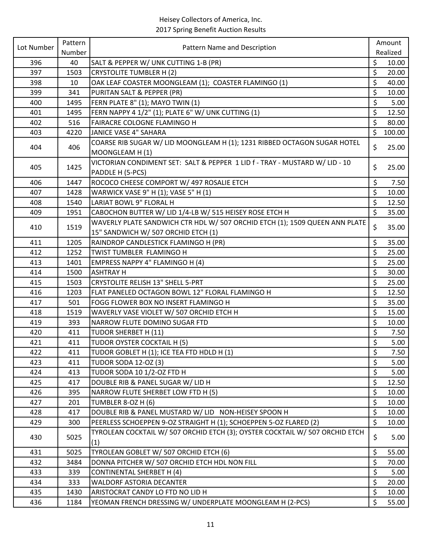| Lot Number | Pattern | Pattern Name and Description                                                        |         | Amount   |
|------------|---------|-------------------------------------------------------------------------------------|---------|----------|
|            | Number  |                                                                                     |         | Realized |
| 396        | 40      | SALT & PEPPER W/ UNK CUTTING 1-B (PR)                                               | \$      | 10.00    |
| 397        | 1503    | <b>CRYSTOLITE TUMBLER H (2)</b>                                                     | \$      | 20.00    |
| 398        | 10      | OAK LEAF COASTER MOONGLEAM (1); COASTER FLAMINGO (1)                                | \$      | 40.00    |
| 399        | 341     | PURITAN SALT & PEPPER (PR)                                                          | \$      | 10.00    |
| 400        | 1495    | FERN PLATE 8" (1); MAYO TWIN (1)                                                    | \$      | 5.00     |
| 401        | 1495    | FERN NAPPY 4 1/2" (1); PLATE 6" W/ UNK CUTTING (1)                                  | \$      | 12.50    |
| 402        | 516     | FAIRACRE COLOGNE FLAMINGO H                                                         | $\zeta$ | 80.00    |
| 403        | 4220    | JANICE VASE 4" SAHARA                                                               | \$      | 100.00   |
| 404        | 406     | COARSE RIB SUGAR W/ LID MOONGLEAM H (1); 1231 RIBBED OCTAGON SUGAR HOTEL            | \$      | 25.00    |
|            |         | MOONGLEAM H(1)                                                                      |         |          |
| 405        | 1425    | VICTORIAN CONDIMENT SET: SALT & PEPPER 1 LID f - TRAY - MUSTARD W/ LID - 10         | \$      | 25.00    |
|            |         | PADDLE H (5-PCS)                                                                    |         |          |
| 406        | 1447    | ROCOCO CHEESE COMPORT W/ 497 ROSALIE ETCH                                           | \$      | 7.50     |
| 407        | 1428    | WARWICK VASE 9" H (1); VASE 5" H (1)                                                | \$      | 10.00    |
| 408        | 1540    | LARIAT BOWL 9" FLORAL H                                                             | \$      | 12.50    |
| 409        | 1951    | CABOCHON BUTTER W/ LID 1/4-LB W/ 515 HEISEY ROSE ETCH H                             | $\zeta$ | 35.00    |
| 410        | 1519    | WAVERLY PLATE SANDWICH CTR HDL W/ 507 ORCHID ETCH (1); 1509 QUEEN ANN PLATE         | \$      | 35.00    |
|            |         | 15" SANDWICH W/ 507 ORCHID ETCH (1)                                                 |         |          |
| 411        | 1205    | RAINDROP CANDLESTICK FLAMINGO H (PR)                                                | \$      | 35.00    |
| 412        | 1252    | TWIST TUMBLER FLAMINGO H                                                            | $\zeta$ | 25.00    |
| 413        | 1401    | <b>EMPRESS NAPPY 4" FLAMINGO H (4)</b>                                              | \$      | 25.00    |
| 414        | 1500    | <b>ASHTRAY H</b>                                                                    | \$      | 30.00    |
| 415        | 1503    | <b>CRYSTOLITE RELISH 13" SHELL 5-PRT</b>                                            | \$      | 25.00    |
| 416        | 1203    | FLAT PANELED OCTAGON BOWL 12" FLORAL FLAMINGO H                                     | \$      | 12.50    |
| 417        | 501     | FOGG FLOWER BOX NO INSERT FLAMINGO H                                                | $\zeta$ | 35.00    |
| 418        | 1519    | WAVERLY VASE VIOLET W/ 507 ORCHID ETCH H                                            | \$      | 15.00    |
| 419        | 393     | NARROW FLUTE DOMINO SUGAR FTD                                                       | \$      | 10.00    |
| 420        | 411     | TUDOR SHERBET H (11)                                                                | \$      | 7.50     |
| 421        | 411     | TUDOR OYSTER COCKTAIL H (5)                                                         | \$      | 5.00     |
| 422        | 411     | TUDOR GOBLET H (1); ICE TEA FTD HDLD H (1)                                          | \$      | 7.50     |
| 423        | 411     | <b>TUDOR SODA 12-OZ (3)</b>                                                         | \$      | 5.00     |
| 424        | 413     | TUDOR SODA 10 1/2-OZ FTD H                                                          | \$      | 5.00     |
| 425        | 417     | DOUBLE RIB & PANEL SUGAR W/ LID H                                                   | \$      | 12.50    |
| 426        | 395     | NARROW FLUTE SHERBET LOW FTD H (5)                                                  | \$      | 10.00    |
| 427        | 201     | TUMBLER 8-OZ H (6)                                                                  | \$      | 10.00    |
| 428        | 417     | DOUBLE RIB & PANEL MUSTARD W/ LID NON-HEISEY SPOON H                                | \$      | 10.00    |
| 429        | 300     | PEERLESS SCHOEPPEN 9-OZ STRAIGHT H (1); SCHOEPPEN 5-OZ FLARED (2)                   | \$      | 10.00    |
| 430        | 5025    | TYROLEAN COCKTAIL W/ 507 ORCHID ETCH (3); OYSTER COCKTAIL W/ 507 ORCHID ETCH<br>(1) | \$      | 5.00     |
| 431        | 5025    | TYROLEAN GOBLET W/ 507 ORCHID ETCH (6)                                              | $\zeta$ | 55.00    |
| 432        | 3484    | DONNA PITCHER W/ 507 ORCHID ETCH HDL NON FILL                                       | \$      | 70.00    |
| 433        | 339     | <b>CONTINENTAL SHERBET H (4)</b>                                                    | \$      | 5.00     |
| 434        | 333     | WALDORF ASTORIA DECANTER                                                            | $\zeta$ | 20.00    |
| 435        | 1430    | ARISTOCRAT CANDY LO FTD NO LID H                                                    | \$      | 10.00    |
| 436        | 1184    | YEOMAN FRENCH DRESSING W/ UNDERPLATE MOONGLEAM H (2-PCS)                            | $\zeta$ | 55.00    |
|            |         |                                                                                     |         |          |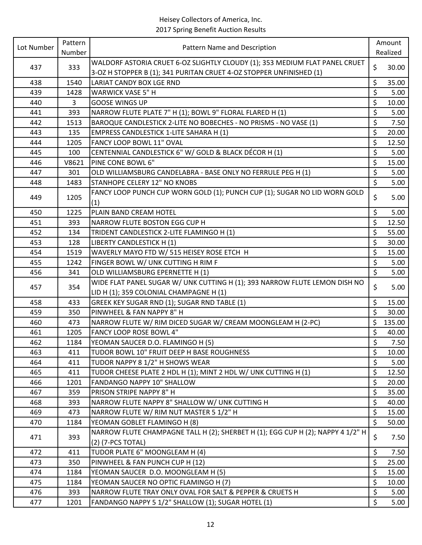| Lot Number | Pattern | Pattern Name and Description                                                    |         | Amount   |
|------------|---------|---------------------------------------------------------------------------------|---------|----------|
|            | Number  |                                                                                 |         | Realized |
| 437        | 333     | WALDORF ASTORIA CRUET 6-OZ SLIGHTLY CLOUDY (1); 353 MEDIUM FLAT PANEL CRUET     | \$      | 30.00    |
|            |         | 3-OZ H STOPPER B (1); 341 PURITAN CRUET 4-OZ STOPPER UNFINISHED (1)             |         |          |
| 438        | 1540    | <b>LARIAT CANDY BOX LGE RND</b>                                                 | \$      | 35.00    |
| 439        | 1428    | <b>WARWICK VASE 5" H</b>                                                        | \$      | 5.00     |
| 440        | 3       | <b>GOOSE WINGS UP</b>                                                           | \$      | 10.00    |
| 441        | 393     | NARROW FLUTE PLATE 7" H (1); BOWL 9" FLORAL FLARED H (1)                        | \$      | 5.00     |
| 442        | 1513    | BAROQUE CANDLESTICK 2-LITE NO BOBECHES - NO PRISMS - NO VASE (1)                | \$      | 7.50     |
| 443        | 135     | <b>EMPRESS CANDLESTICK 1-LITE SAHARA H (1)</b>                                  | \$      | 20.00    |
| 444        | 1205    | FANCY LOOP BOWL 11" OVAL                                                        | \$      | 12.50    |
| 445        | 100     | CENTENNIAL CANDLESTICK 6" W/ GOLD & BLACK DÉCOR H (1)                           | \$      | 5.00     |
| 446        | V8621   | PINE CONE BOWL 6"                                                               | \$      | 15.00    |
| 447        | 301     | OLD WILLIAMSBURG CANDELABRA - BASE ONLY NO FERRULE PEG H (1)                    | \$      | 5.00     |
| 448        | 1483    | STANHOPE CELERY 12" NO KNOBS                                                    | \$      | 5.00     |
| 449        | 1205    | FANCY LOOP PUNCH CUP WORN GOLD (1); PUNCH CUP (1); SUGAR NO LID WORN GOLD       | \$      | 5.00     |
|            |         | (1)                                                                             |         |          |
| 450        | 1225    | PLAIN BAND CREAM HOTEL                                                          | \$      | 5.00     |
| 451        | 393     | NARROW FLUTE BOSTON EGG CUP H                                                   | \$      | 12.50    |
| 452        | 134     | TRIDENT CANDLESTICK 2-LITE FLAMINGO H (1)                                       | \$      | 55.00    |
| 453        | 128     | LIBERTY CANDLESTICK H (1)                                                       | \$      | 30.00    |
| 454        | 1519    | WAVERLY MAYO FTD W/ 515 HEISEY ROSE ETCH H                                      | \$      | 15.00    |
| 455        | 1242    | FINGER BOWL W/ UNK CUTTING H RIM F                                              | \$      | 5.00     |
| 456        | 341     | OLD WILLIAMSBURG EPERNETTE H (1)                                                | \$      | 5.00     |
| 457        | 354     | WIDE FLAT PANEL SUGAR W/ UNK CUTTING H (1); 393 NARROW FLUTE LEMON DISH NO      | \$      | 5.00     |
|            |         | LID H (1); 359 COLONIAL CHAMPAGNE H (1)                                         |         |          |
| 458        | 433     | GREEK KEY SUGAR RND (1); SUGAR RND TABLE (1)                                    | \$      | 15.00    |
| 459        | 350     | PINWHEEL & FAN NAPPY 8" H                                                       | \$      | 30.00    |
| 460        | 473     | NARROW FLUTE W/ RIM DICED SUGAR W/ CREAM MOONGLEAM H (2-PC)                     | \$      | 135.00   |
| 461        | 1205    | FANCY LOOP ROSE BOWL 4"                                                         | \$      | 40.00    |
| 462        | 1184    | YEOMAN SAUCER D.O. FLAMINGO H (5)                                               | $\zeta$ | 7.50     |
| 463        | 411     | TUDOR BOWL 10" FRUIT DEEP H BASE ROUGHNESS                                      | \$      | 10.00    |
| 464        | 411     | TUDOR NAPPY 8 1/2" H SHOWS WEAR                                                 | \$      | 5.00     |
| 465        | 411     | TUDOR CHEESE PLATE 2 HDL H (1); MINT 2 HDL W/ UNK CUTTING H (1)                 | \$      | 12.50    |
| 466        | 1201    | FANDANGO NAPPY 10" SHALLOW                                                      | \$      | 20.00    |
| 467        | 359     | PRISON STRIPE NAPPY 8" H                                                        | \$      | 35.00    |
| 468        | 393     | NARROW FLUTE NAPPY 8" SHALLOW W/ UNK CUTTING H                                  | \$      | 40.00    |
| 469        | 473     | NARROW FLUTE W/ RIM NUT MASTER 5 1/2" H                                         | \$      | 15.00    |
| 470        | 1184    | YEOMAN GOBLET FLAMINGO H (8)                                                    | $\zeta$ | 50.00    |
| 471        | 393     | NARROW FLUTE CHAMPAGNE TALL H (2); SHERBET H (1); EGG CUP H (2); NAPPY 4 1/2" H | \$      | 7.50     |
|            |         | (2) (7-PCS TOTAL)                                                               |         |          |
| 472        | 411     | TUDOR PLATE 6" MOONGLEAM H (4)                                                  | \$      | 7.50     |
| 473        | 350     | PINWHEEL & FAN PUNCH CUP H (12)                                                 | \$      | 25.00    |
| 474        | 1184    | YEOMAN SAUCER D.O. MOONGLEAM H (5)                                              | \$      | 15.00    |
| 475        | 1184    | YEOMAN SAUCER NO OPTIC FLAMINGO H (7)                                           | \$      | 10.00    |
| 476        | 393     | NARROW FLUTE TRAY ONLY OVAL FOR SALT & PEPPER & CRUETS H                        | \$      | 5.00     |
| 477        | 1201    | FANDANGO NAPPY 5 1/2" SHALLOW (1); SUGAR HOTEL (1)                              | \$      | 5.00     |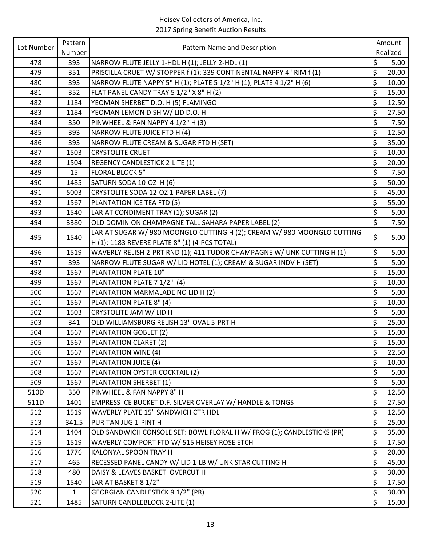| Lot Number | Pattern      | Pattern Name and Description                                           |                      | Amount   |
|------------|--------------|------------------------------------------------------------------------|----------------------|----------|
|            | Number       |                                                                        |                      | Realized |
| 478        | 393          | NARROW FLUTE JELLY 1-HDL H (1); JELLY 2-HDL (1)                        | \$                   | 5.00     |
| 479        | 351          | PRISCILLA CRUET W/ STOPPER f (1); 339 CONTINENTAL NAPPY 4" RIM f (1)   | \$                   | 20.00    |
| 480        | 393          | NARROW FLUTE NAPPY 5" H (1); PLATE 5 1/2" H (1); PLATE 4 1/2" H (6)    | \$                   | 10.00    |
| 481        | 352          | FLAT PANEL CANDY TRAY 5 1/2" X 8" H (2)                                | $\overline{\xi}$     | 15.00    |
| 482        | 1184         | YEOMAN SHERBET D.O. H (5) FLAMINGO                                     | \$                   | 12.50    |
| 483        | 1184         | YEOMAN LEMON DISH W/ LID D.O. H                                        | $\boldsymbol{\zeta}$ | 27.50    |
| 484        | 350          | PINWHEEL & FAN NAPPY 4 1/2" H (3)                                      | \$                   | 7.50     |
| 485        | 393          | NARROW FLUTE JUICE FTD H (4)                                           | \$                   | 12.50    |
| 486        | 393          | NARROW FLUTE CREAM & SUGAR FTD H (SET)                                 | \$                   | 35.00    |
| 487        | 1503         | <b>CRYSTOLITE CRUET</b>                                                | $\zeta$              | 10.00    |
| 488        | 1504         | <b>REGENCY CANDLESTICK 2-LITE (1)</b>                                  | \$                   | 20.00    |
| 489        | 15           | <b>FLORAL BLOCK 5"</b>                                                 | \$                   | 7.50     |
| 490        | 1485         | SATURN SODA 10-OZ H (6)                                                | $\boldsymbol{\zeta}$ | 50.00    |
| 491        | 5003         | CRYSTOLITE SODA 12-OZ 1-PAPER LABEL (7)                                | \$                   | 45.00    |
| 492        | 1567         | PLANTATION ICE TEA FTD (5)                                             | \$                   | 55.00    |
| 493        | 1540         | LARIAT CONDIMENT TRAY (1); SUGAR (2)                                   | \$                   | 5.00     |
| 494        | 3380         | OLD DOMINION CHAMPAGNE TALL SAHARA PAPER LABEL (2)                     | $\overline{\xi}$     | 7.50     |
|            |              | LARIAT SUGAR W/980 MOONGLO CUTTING H (2); CREAM W/980 MOONGLO CUTTING  |                      |          |
| 495        | 1540         | H (1); 1183 REVERE PLATE 8" (1) (4-PCS TOTAL)                          | \$                   | 5.00     |
| 496        | 1519         | WAVERLY RELISH 2-PRT RND (1); 411 TUDOR CHAMPAGNE W/ UNK CUTTING H (1) | \$                   | 5.00     |
| 497        | 393          | NARROW FLUTE SUGAR W/ LID HOTEL (1); CREAM & SUGAR INDV H (SET)        | \$                   | 5.00     |
| 498        | 1567         | PLANTATION PLATE 10"                                                   | \$                   | 15.00    |
| 499        | 1567         | PLANTATION PLATE 7 1/2" (4)                                            | \$                   | 10.00    |
| 500        | 1567         | PLANTATION MARMALADE NO LID H (2)                                      | \$                   | 5.00     |
| 501        | 1567         | PLANTATION PLATE 8" (4)                                                | $\boldsymbol{\zeta}$ | 10.00    |
| 502        | 1503         | CRYSTOLITE JAM W/ LID H                                                | \$                   | 5.00     |
| 503        | 341          | OLD WILLIAMSBURG RELISH 13" OVAL 5-PRT H                               | \$                   | 25.00    |
| 504        | 1567         | PLANTATION GOBLET (2)                                                  | \$                   | 15.00    |
| 505        | 1567         | <b>PLANTATION CLARET (2)</b>                                           | \$                   | 15.00    |
| 506        | 1567         | PLANTATION WINE (4)                                                    | \$                   | 22.50    |
| 507        | 1567         | PLANTATION JUICE (4)                                                   | \$                   | 10.00    |
| 508        | 1567         | PLANTATION OYSTER COCKTAIL (2)                                         | \$                   | 5.00     |
| 509        | 1567         | PLANTATION SHERBET (1)                                                 | \$                   | 5.00     |
| 510D       | 350          | PINWHEEL & FAN NAPPY 8" H                                              | \$                   | 12.50    |
| 511D       | 1401         | EMPRESS ICE BUCKET D.F. SILVER OVERLAY W/ HANDLE & TONGS               | \$                   | 27.50    |
| 512        | 1519         | <b>WAVERLY PLATE 15" SANDWICH CTR HDL</b>                              | \$                   | 12.50    |
| 513        | 341.5        | PURITAN JUG 1-PINT H                                                   | \$                   | 25.00    |
| 514        | 1404         | OLD SANDWICH CONSOLE SET: BOWL FLORAL H W/ FROG (1); CANDLESTICKS (PR) | \$                   | 35.00    |
| 515        | 1519         | WAVERLY COMPORT FTD W/ 515 HEISEY ROSE ETCH                            | $\boldsymbol{\zeta}$ | 17.50    |
| 516        | 1776         | KALONYAL SPOON TRAY H                                                  | \$                   | 20.00    |
| 517        | 465          | RECESSED PANEL CANDY W/ LID 1-LB W/ UNK STAR CUTTING H                 | $\zeta$              | 45.00    |
| 518        | 480          | DAISY & LEAVES BASKET OVERCUT H                                        | $\zeta$              | 30.00    |
| 519        | 1540         | LARIAT BASKET 8 1/2"                                                   | \$                   | 17.50    |
| 520        | $\mathbf{1}$ | <b>GEORGIAN CANDLESTICK 9 1/2" (PR)</b>                                | \$                   | 30.00    |
| 521        | 1485         | SATURN CANDLEBLOCK 2-LITE (1)                                          | $\zeta$              | 15.00    |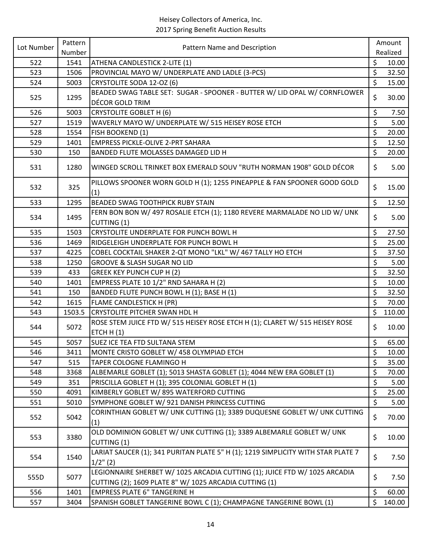| Lot Number | Pattern | Pattern Name and Description                                                                                                         |         | Amount   |
|------------|---------|--------------------------------------------------------------------------------------------------------------------------------------|---------|----------|
|            | Number  |                                                                                                                                      |         | Realized |
| 522        | 1541    | ATHENA CANDLESTICK 2-LITE (1)                                                                                                        | \$      | 10.00    |
| 523        | 1506    | PROVINCIAL MAYO W/ UNDERPLATE AND LADLE (3-PCS)                                                                                      | \$      | 32.50    |
| 524        | 5003    | CRYSTOLITE SODA 12-OZ (6)                                                                                                            | \$      | 15.00    |
| 525        | 1295    | BEADED SWAG TABLE SET: SUGAR - SPOONER - BUTTER W/ LID OPAL W/ CORNFLOWER                                                            |         | 30.00    |
|            |         | DÉCOR GOLD TRIM                                                                                                                      | $\zeta$ |          |
| 526        | 5003    | <b>CRYSTOLITE GOBLET H (6)</b>                                                                                                       | \$      | 7.50     |
| 527        | 1519    | WAVERLY MAYO W/ UNDERPLATE W/ 515 HEISEY ROSE ETCH                                                                                   | \$      | 5.00     |
| 528        | 1554    | FISH BOOKEND (1)                                                                                                                     | \$      | 20.00    |
| 529        | 1401    | <b>EMPRESS PICKLE-OLIVE 2-PRT SAHARA</b>                                                                                             | \$      | 12.50    |
| 530        | 150     | BANDED FLUTE MOLASSES DAMAGED LID H                                                                                                  | \$      | 20.00    |
| 531        | 1280    | WINGED SCROLL TRINKET BOX EMERALD SOUV "RUTH NORMAN 1908" GOLD DÉCOR                                                                 | \$      | 5.00     |
| 532        | 325     | PILLOWS SPOONER WORN GOLD H (1); 1255 PINEAPPLE & FAN SPOONER GOOD GOLD<br>(1)                                                       | \$      | 15.00    |
| 533        | 1295    | <b>BEADED SWAG TOOTHPICK RUBY STAIN</b>                                                                                              | $\zeta$ | 12.50    |
|            |         | FERN BON BON W/ 497 ROSALIE ETCH (1); 1180 REVERE MARMALADE NO LID W/ UNK                                                            |         |          |
| 534        | 1495    | CUTTING (1)                                                                                                                          | \$      | 5.00     |
| 535        | 1503    | CRYSTOLITE UNDERPLATE FOR PUNCH BOWL H                                                                                               | \$      | 27.50    |
| 536        | 1469    | RIDGELEIGH UNDERPLATE FOR PUNCH BOWL H                                                                                               | \$      | 25.00    |
| 537        | 4225    | COBEL COCKTAIL SHAKER 2-QT MONO "LKL" W/ 467 TALLY HO ETCH                                                                           | \$      | 37.50    |
| 538        | 1250    | <b>GROOVE &amp; SLASH SUGAR NO LID</b>                                                                                               | \$      | 5.00     |
| 539        | 433     | <b>GREEK KEY PUNCH CUP H (2)</b>                                                                                                     | \$      | 32.50    |
| 540        | 1401    | EMPRESS PLATE 10 1/2" RND SAHARA H (2)                                                                                               | \$      | 10.00    |
| 541        | 150     | BANDED FLUTE PUNCH BOWL H (1); BASE H (1)                                                                                            | \$      | 32.50    |
| 542        | 1615    | FLAME CANDLESTICK H (PR)                                                                                                             | $\zeta$ | 70.00    |
| 543        | 1503.5  | <b>CRYSTOLITE PITCHER SWAN HDL H</b>                                                                                                 | \$      | 110.00   |
| 544        | 5072    | ROSE STEM JUICE FTD W/ 515 HEISEY ROSE ETCH H (1); CLARET W/ 515 HEISEY ROSE<br>ETCH $H(1)$                                          | $\zeta$ | 10.00    |
| 545        | 5057    | SUEZ ICE TEA FTD SULTANA STEM                                                                                                        | $\zeta$ | 65.00    |
| 546        | 3411    | MONTE CRISTO GOBLET W/ 458 OLYMPIAD ETCH                                                                                             | \$      | 10.00    |
| 547        | 515     | TAPER COLOGNE FLAMINGO H                                                                                                             | \$      | 35.00    |
| 548        | 3368    | ALBEMARLE GOBLET (1); 5013 SHASTA GOBLET (1); 4044 NEW ERA GOBLET (1)                                                                | \$      | 70.00    |
| 549        | 351     | PRISCILLA GOBLET H (1); 395 COLONIAL GOBLET H (1)                                                                                    | \$      | 5.00     |
| 550        | 4091    | KIMBERLY GOBLET W/895 WATERFORD CUTTING                                                                                              | \$      | 25.00    |
| 551        | 5010    | SYMPHONE GOBLET W/ 921 DANISH PRINCESS CUTTING                                                                                       | \$      | 5.00     |
| 552        | 5042    | CORINTHIAN GOBLET W/ UNK CUTTING (1); 3389 DUQUESNE GOBLET W/ UNK CUTTING<br>(1)                                                     | \$      | 70.00    |
| 553        | 3380    | OLD DOMINION GOBLET W/ UNK CUTTING (1); 3389 ALBEMARLE GOBLET W/ UNK<br>CUTTING (1)                                                  | \$      | 10.00    |
| 554        | 1540    | LARIAT SAUCER (1); 341 PURITAN PLATE 5" H (1); 1219 SIMPLICITY WITH STAR PLATE 7<br>$1/2$ " (2)                                      | \$      | 7.50     |
| 555D       | 5077    | LEGIONNAIRE SHERBET W/ 1025 ARCADIA CUTTING (1); JUICE FTD W/ 1025 ARCADIA<br>CUTTING (2); 1609 PLATE 8" W/ 1025 ARCADIA CUTTING (1) | \$      | 7.50     |
| 556        | 1401    | <b>EMPRESS PLATE 6" TANGERINE H</b>                                                                                                  | \$      | 60.00    |
| 557        | 3404    | SPANISH GOBLET TANGERINE BOWL C (1); CHAMPAGNE TANGERINE BOWL (1)                                                                    | \$      | 140.00   |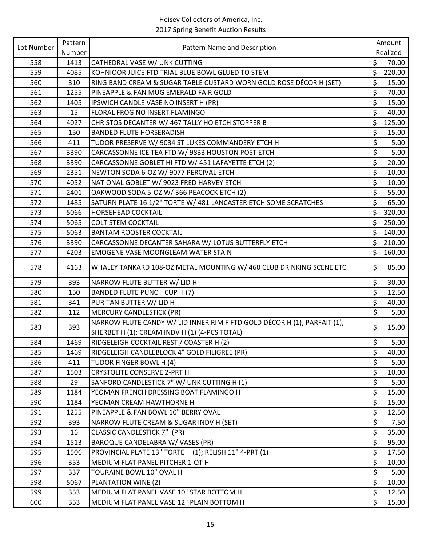| Lot Number | Pattern | Pattern Name and Description                                             |                      | Amount   |
|------------|---------|--------------------------------------------------------------------------|----------------------|----------|
|            | Number  |                                                                          |                      | Realized |
| 558        | 1413    | CATHEDRAL VASE W/ UNK CUTTING                                            | \$                   | 70.00    |
| 559        | 4085    | KOHNIOOR JUICE FTD TRIAL BLUE BOWL GLUED TO STEM                         | \$                   | 220.00   |
| 560        | 310     | RING BAND CREAM & SUGAR TABLE CUSTARD WORN GOLD ROSE DÉCOR H (SET)       | \$                   | 15.00    |
| 561        | 1255    | PINEAPPLE & FAN MUG EMERALD FAIR GOLD                                    | \$                   | 70.00    |
| 562        | 1405    | IPSWICH CANDLE VASE NO INSERT H (PR)                                     | \$                   | 15.00    |
| 563        | 15      | FLORAL FROG NO INSERT FLAMINGO                                           | $\zeta$              | 40.00    |
| 564        | 4027    | CHRISTOS DECANTER W/ 467 TALLY HO ETCH STOPPER B                         | \$                   | 125.00   |
| 565        | 150     | <b>BANDED FLUTE HORSERADISH</b>                                          | \$                   | 15.00    |
| 566        | 411     | TUDOR PRESERVE W/ 9034 ST LUKES COMMANDERY ETCH H                        | \$                   | 5.00     |
| 567        | 3390    | CARCASSONNE ICE TEA FTD W/ 9833 HOUSTON POST ETCH                        | \$                   | 5.00     |
| 568        | 3390    | CARCASSONNE GOBLET HI FTD W/ 451 LAFAYETTE ETCH (2)                      | \$                   | 20.00    |
| 569        | 2351    | NEWTON SODA 6-OZ W/ 9077 PERCIVAL ETCH                                   | \$                   | 10.00    |
| 570        | 4052    | NATIONAL GOBLET W/ 9023 FRED HARVEY ETCH                                 | \$                   | 10.00    |
| 571        | 2401    | OAKWOOD SODA 5-OZ W/366 PEACOCK ETCH (2)                                 | \$                   | 55.00    |
| 572        | 1485    | SATURN PLATE 16 1/2" TORTE W/ 481 LANCASTER ETCH SOME SCRATCHES          | $\zeta$              | 65.00    |
| 573        | 5066    | <b>HORSEHEAD COCKTAIL</b>                                                | \$                   | 320.00   |
| 574        | 5065    | <b>COLT STEM COCKTAIL</b>                                                | \$                   | 250.00   |
| 575        | 5063    | <b>BANTAM ROOSTER COCKTAIL</b>                                           | \$                   | 140.00   |
| 576        | 3390    | CARCASSONNE DECANTER SAHARA W/ LOTUS BUTTERFLY ETCH                      | $\zeta$              | 210.00   |
| 577        | 4203    | EMOGENE VASE MOONGLEAM WATER STAIN                                       | $\zeta$              | 160.00   |
| 578        | 4163    | WHALEY TANKARD 108-OZ METAL MOUNTING W/ 460 CLUB DRINKING SCENE ETCH     | \$                   | 85.00    |
| 579        | 393     | NARROW FLUTE BUTTER W/ LID H                                             | \$                   | 30.00    |
| 580        | 150     | BANDED FLUTE PUNCH CUP H (7)                                             | \$                   | 12.50    |
| 581        | 341     | PURITAN BUTTER W/ LID H                                                  | $\zeta$              | 40.00    |
| 582        | 112     | <b>MERCURY CANDLESTICK (PR)</b>                                          | \$                   | 5.00     |
|            |         | NARROW FLUTE CANDY W/ LID INNER RIM F FTD GOLD DÉCOR H (1); PARFAIT (1); |                      |          |
| 583        | 393     | SHERBET H (1); CREAM INDV H (1) (4-PCS TOTAL)                            | \$                   | 15.00    |
| 584        | 1469    | RIDGELEIGH COCKTAIL REST / COASTER H (2)                                 | \$                   | 5.00     |
| 585        | 1469    | RIDGELEIGH CANDLEBLOCK 4" GOLD FILIGREE (PR)                             | \$                   | 40.00    |
| 586        | 411     | TUDOR FINGER BOWL H (4)                                                  | \$                   | 5.00     |
| 587        | 1503    | <b>CRYSTOLITE CONSERVE 2-PRT H</b>                                       | \$                   | 10.00    |
| 588        | 29      | SANFORD CANDLESTICK 7" W/ UNK CUTTING H (1)                              | \$                   | 5.00     |
| 589        | 1184    | YEOMAN FRENCH DRESSING BOAT FLAMINGO H                                   | \$                   | 15.00    |
| 590        | 1184    | YEOMAN CREAM HAWTHORNE H                                                 | $\zeta$              | 15.00    |
| 591        | 1255    | PINEAPPLE & FAN BOWL 10" BERRY OVAL                                      | \$                   | 12.50    |
| 592        | 393     | NARROW FLUTE CREAM & SUGAR INDV H (SET)                                  | $\boldsymbol{\zeta}$ | 7.50     |
| 593        | 16      | CLASSIC CANDLESTICK 7" (PR)                                              | \$                   | 35.00    |
| 594        | 1513    | BAROQUE CANDELABRA W/ VASES (PR)                                         | \$                   | 95.00    |
| 595        | 1506    | PROVINCIAL PLATE 13" TORTE H (1); RELISH 11" 4-PRT (1)                   | \$                   | 17.50    |
| 596        | 353     | MEDIUM FLAT PANEL PITCHER 1-QT H                                         | $\zeta$              | 10.00    |
| 597        | 337     | TOURAINE BOWL 10" OVAL H                                                 | \$                   | 5.00     |
| 598        | 5067    | PLANTATION WINE (2)                                                      | $\zeta$              | 10.00    |
| 599        | 353     | MEDIUM FLAT PANEL VASE 10" STAR BOTTOM H                                 | $\zeta$              | 12.50    |
| 600        | 353     | MEDIUM FLAT PANEL VASE 12" PLAIN BOTTOM H                                | \$                   | 15.00    |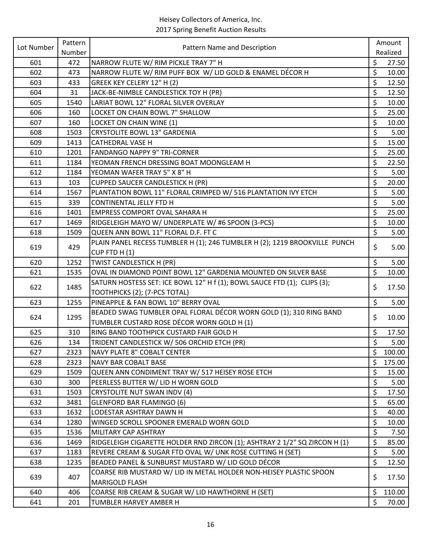| Lot Number | Pattern | Pattern Name and Description                                               |         | Amount   |
|------------|---------|----------------------------------------------------------------------------|---------|----------|
|            | Number  |                                                                            |         | Realized |
| 601        | 472     | NARROW FLUTE W/ RIM PICKLE TRAY 7" H                                       | \$      | 27.50    |
| 602        | 473     | NARROW FLUTE W/ RIM PUFF BOX W/ LID GOLD & ENAMEL DÉCOR H                  | \$      | 10.00    |
| 603        | 433     | GREEK KEY CELERY 12" H (2)                                                 | \$      | 12.50    |
| 604        | 31      | JACK-BE-NIMBLE CANDLESTICK TOY H (PR)                                      | \$      | 12.50    |
| 605        | 1540    | LARIAT BOWL 12" FLORAL SILVER OVERLAY                                      | \$      | 10.00    |
| 606        | 160     | LOCKET ON CHAIN BOWL 7" SHALLOW                                            | \$      | 25.00    |
| 607        | 160     | LOCKET ON CHAIN WINE (1)                                                   | \$      | 10.00    |
| 608        | 1503    | <b>CRYSTOLITE BOWL 13" GARDENIA</b>                                        | \$      | 5.00     |
| 609        | 1413    | <b>CATHEDRAL VASE H</b>                                                    | \$      | 15.00    |
| 610        | 1201    | <b>FANDANGO NAPPY 9" TRI-CORNER</b>                                        | \$      | 25.00    |
| 611        | 1184    | YEOMAN FRENCH DRESSING BOAT MOONGLEAM H                                    | \$      | 22.50    |
| 612        | 1184    | YEOMAN WAFER TRAY 5" X 8" H                                                | \$      | 5.00     |
| 613        | 103     | <b>CUPPED SAUCER CANDLESTICK H (PR)</b>                                    | $\zeta$ | 20.00    |
| 614        | 1567    | PLANTATION BOWL 11" FLORAL CRIMPED W/ 516 PLANTATION IVY ETCH              | \$      | 5.00     |
| 615        | 339     | CONTINENTAL JELLY FTD H                                                    | \$      | 5.00     |
| 616        | 1401    | <b>EMPRESS COMPORT OVAL SAHARA H</b>                                       | \$      | 25.00    |
| 617        | 1469    | RIDGELEIGH MAYO W/ UNDERPLATE W/ #6 SPOON (3-PCS)                          | \$      | 10.00    |
| 618        | 1509    | QUEEN ANN BOWL 11" FLORAL D.F. FT C                                        | \$      | 5.00     |
|            |         | PLAIN PANEL RECESS TUMBLER H (1); 246 TUMBLER H (2); 1219 BROOKVILLE PUNCH |         |          |
| 619        | 429     | CUP FTD H (1)                                                              | \$      | 5.00     |
| 620        | 1252    | TWIST CANDLESTICK H (PR)                                                   | \$      | 5.00     |
| 621        | 1535    | OVAL IN DIAMOND POINT BOWL 12" GARDENIA MOUNTED ON SILVER BASE             | \$      | 10.00    |
|            |         | SATURN HOSTESS SET: ICE BOWL 12" H f (1); BOWL SAUCE FTD (1); CLIPS (3);   |         |          |
| 622        | 1485    | TOOTHPICKS (2); (7-PCS TOTAL)                                              | \$      | 17.50    |
| 623        | 1255    | PINEAPPLE & FAN BOWL 10" BERRY OVAL                                        | \$      | 5.00     |
|            |         | BEADED SWAG TUMBLER OPAL FLORAL DÉCOR WORN GOLD (1); 310 RING BAND         |         |          |
| 624        | 1295    | TUMBLER CUSTARD ROSE DÉCOR WORN GOLD H (1)                                 | \$      | 10.00    |
| 625        | 310     | RING BAND TOOTHPICK CUSTARD FAIR GOLD H                                    | \$      | 17.50    |
| 626        | 134     | TRIDENT CANDLESTICK W/ 506 ORCHID ETCH (PR)                                | \$      | 5.00     |
| 627        | 2323    | <b>NAVY PLATE 8" COBALT CENTER</b>                                         | \$      | 100.00   |
| 628        | 2323    | NAVY BAR COBALT BASE                                                       | \$      | 175.00   |
| 629        | 1509    | QUEEN ANN CONDIMENT TRAY W/ 517 HEISEY ROSE ETCH                           | \$      | 15.00    |
| 630        | 300     | PEERLESS BUTTER W/ LID H WORN GOLD                                         | \$      | 5.00     |
| 631        | 1503    | CRYSTOLITE NUT SWAN INDV (4)                                               | \$      | 17.50    |
| 632        | 3481    | GLENFORD BAR FLAMINGO (6)                                                  | \$      | 65.00    |
| 633        | 1632    | LODESTAR ASHTRAY DAWN H                                                    | $\zeta$ | 40.00    |
| 634        | 1280    | WINGED SCROLL SPOONER EMERALD WORN GOLD                                    | \$      | 10.00    |
| 635        | 1536    | MILITARY CAP ASHTRAY                                                       | \$      | 7.50     |
| 636        | 1469    | RIDGELEIGH CIGARETTE HOLDER RND ZIRCON (1); ASHTRAY 2 1/2" SQ ZIRCON H (1) | \$      | 85.00    |
| 637        | 1183    | REVERE CREAM & SUGAR FTD OVAL W/ UNK ROSE CUTTING H (SET)                  | \$      | 5.00     |
| 638        | 1235    | BEADED PANEL & SUNBURST MUSTARD W/ LID GOLD DÉCOR                          | \$      | 12.50    |
|            |         | COARSE RIB MUSTARD W/ LID IN METAL HOLDER NON-HEISEY PLASTIC SPOON         |         |          |
| 639        | 407     | MARIGOLD FLASH                                                             | \$      | 17.50    |
| 640        | 406     | COARSE RIB CREAM & SUGAR W/ LID HAWTHORNE H (SET)                          | \$      | 110.00   |
| 641        | 201     | TUMBLER HARVEY AMBER H                                                     | $\zeta$ | 70.00    |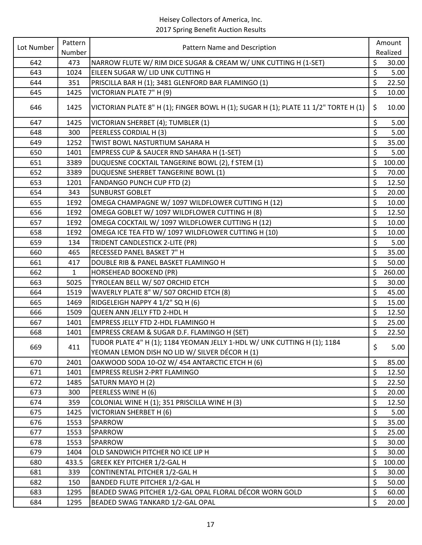| Lot Number<br>Pattern Name and Description<br>Number<br>Realized<br>\$<br>NARROW FLUTE W/ RIM DICE SUGAR & CREAM W/ UNK CUTTING H (1-SET)<br>642<br>473<br>30.00<br>\$<br>643<br>1024<br>EILEEN SUGAR W/ LID UNK CUTTING H<br>\$<br>PRISCILLA BAR H (1); 3481 GLENFORD BAR FLAMINGO (1)<br>22.50<br>644<br>351<br>\$<br>645<br>VICTORIAN PLATE 7" H (9)<br>1425<br>10.00<br>VICTORIAN PLATE 8" H (1); FINGER BOWL H (1); SUGAR H (1); PLATE 11 1/2" TORTE H (1)<br>\$<br>10.00<br>646<br>1425<br>\$<br>647<br>1425<br>VICTORIAN SHERBET (4); TUMBLER (1)<br>\$<br>648<br>300<br>PEERLESS CORDIAL H (3)<br>\$<br>649<br>TWIST BOWL NASTURTIUM SAHARA H<br>35.00<br>1252<br>\$<br><b>EMPRESS CUP &amp; SAUCER RND SAHARA H (1-SET)</b><br>650<br>1401<br>\$<br>651<br>DUQUESNE COCKTAIL TANGERINE BOWL (2), f STEM (1)<br>100.00<br>3389<br>\$<br>652<br>DUQUESNE SHERBET TANGERINE BOWL (1)<br>70.00<br>3389<br>\$<br>12.50<br>653<br>1201<br><b>FANDANGO PUNCH CUP FTD (2)</b><br>\$<br><b>SUNBURST GOBLET</b><br>654<br>343<br>20.00<br>\$<br>OMEGA CHAMPAGNE W/ 1097 WILDFLOWER CUTTING H (12)<br>655<br>1E92<br>10.00 | Amount |
|--------------------------------------------------------------------------------------------------------------------------------------------------------------------------------------------------------------------------------------------------------------------------------------------------------------------------------------------------------------------------------------------------------------------------------------------------------------------------------------------------------------------------------------------------------------------------------------------------------------------------------------------------------------------------------------------------------------------------------------------------------------------------------------------------------------------------------------------------------------------------------------------------------------------------------------------------------------------------------------------------------------------------------------------------------------------------------------------------------------------------|--------|
|                                                                                                                                                                                                                                                                                                                                                                                                                                                                                                                                                                                                                                                                                                                                                                                                                                                                                                                                                                                                                                                                                                                          |        |
|                                                                                                                                                                                                                                                                                                                                                                                                                                                                                                                                                                                                                                                                                                                                                                                                                                                                                                                                                                                                                                                                                                                          |        |
|                                                                                                                                                                                                                                                                                                                                                                                                                                                                                                                                                                                                                                                                                                                                                                                                                                                                                                                                                                                                                                                                                                                          | 5.00   |
|                                                                                                                                                                                                                                                                                                                                                                                                                                                                                                                                                                                                                                                                                                                                                                                                                                                                                                                                                                                                                                                                                                                          |        |
|                                                                                                                                                                                                                                                                                                                                                                                                                                                                                                                                                                                                                                                                                                                                                                                                                                                                                                                                                                                                                                                                                                                          |        |
|                                                                                                                                                                                                                                                                                                                                                                                                                                                                                                                                                                                                                                                                                                                                                                                                                                                                                                                                                                                                                                                                                                                          |        |
|                                                                                                                                                                                                                                                                                                                                                                                                                                                                                                                                                                                                                                                                                                                                                                                                                                                                                                                                                                                                                                                                                                                          | 5.00   |
|                                                                                                                                                                                                                                                                                                                                                                                                                                                                                                                                                                                                                                                                                                                                                                                                                                                                                                                                                                                                                                                                                                                          | 5.00   |
|                                                                                                                                                                                                                                                                                                                                                                                                                                                                                                                                                                                                                                                                                                                                                                                                                                                                                                                                                                                                                                                                                                                          |        |
|                                                                                                                                                                                                                                                                                                                                                                                                                                                                                                                                                                                                                                                                                                                                                                                                                                                                                                                                                                                                                                                                                                                          | 5.00   |
|                                                                                                                                                                                                                                                                                                                                                                                                                                                                                                                                                                                                                                                                                                                                                                                                                                                                                                                                                                                                                                                                                                                          |        |
|                                                                                                                                                                                                                                                                                                                                                                                                                                                                                                                                                                                                                                                                                                                                                                                                                                                                                                                                                                                                                                                                                                                          |        |
|                                                                                                                                                                                                                                                                                                                                                                                                                                                                                                                                                                                                                                                                                                                                                                                                                                                                                                                                                                                                                                                                                                                          |        |
|                                                                                                                                                                                                                                                                                                                                                                                                                                                                                                                                                                                                                                                                                                                                                                                                                                                                                                                                                                                                                                                                                                                          |        |
|                                                                                                                                                                                                                                                                                                                                                                                                                                                                                                                                                                                                                                                                                                                                                                                                                                                                                                                                                                                                                                                                                                                          |        |
| \$<br>656<br>OMEGA GOBLET W/ 1097 WILDFLOWER CUTTING H (8)<br>12.50<br>1E92                                                                                                                                                                                                                                                                                                                                                                                                                                                                                                                                                                                                                                                                                                                                                                                                                                                                                                                                                                                                                                              |        |
| \$<br>OMEGA COCKTAIL W/ 1097 WILDFLOWER CUTTING H (12)<br>657<br>10.00<br>1E92                                                                                                                                                                                                                                                                                                                                                                                                                                                                                                                                                                                                                                                                                                                                                                                                                                                                                                                                                                                                                                           |        |
| \$<br>OMEGA ICE TEA FTD W/ 1097 WILDFLOWER CUTTING H (10)<br>658<br>1E92<br>10.00                                                                                                                                                                                                                                                                                                                                                                                                                                                                                                                                                                                                                                                                                                                                                                                                                                                                                                                                                                                                                                        |        |
| \$<br>659<br>TRIDENT CANDLESTICK 2-LITE (PR)<br>134                                                                                                                                                                                                                                                                                                                                                                                                                                                                                                                                                                                                                                                                                                                                                                                                                                                                                                                                                                                                                                                                      | 5.00   |
| \$<br>35.00<br>660<br>465<br>RECESSED PANEL BASKET 7" H                                                                                                                                                                                                                                                                                                                                                                                                                                                                                                                                                                                                                                                                                                                                                                                                                                                                                                                                                                                                                                                                  |        |
| \$<br>661<br>DOUBLE RIB & PANEL BASKET FLAMINGO H<br>50.00<br>417                                                                                                                                                                                                                                                                                                                                                                                                                                                                                                                                                                                                                                                                                                                                                                                                                                                                                                                                                                                                                                                        |        |
| \$<br>662<br>260.00<br>$\mathbf{1}$<br><b>HORSEHEAD BOOKEND (PR)</b>                                                                                                                                                                                                                                                                                                                                                                                                                                                                                                                                                                                                                                                                                                                                                                                                                                                                                                                                                                                                                                                     |        |
| \$<br>663<br>5025<br>TYROLEAN BELL W/ 507 ORCHID ETCH<br>30.00                                                                                                                                                                                                                                                                                                                                                                                                                                                                                                                                                                                                                                                                                                                                                                                                                                                                                                                                                                                                                                                           |        |
| \$<br>1519<br>WAVERLY PLATE 8" W/ 507 ORCHID ETCH (8)<br>45.00<br>664                                                                                                                                                                                                                                                                                                                                                                                                                                                                                                                                                                                                                                                                                                                                                                                                                                                                                                                                                                                                                                                    |        |
| \$<br>RIDGELEIGH NAPPY 4 1/2" SQ H (6)<br>665<br>1469<br>15.00                                                                                                                                                                                                                                                                                                                                                                                                                                                                                                                                                                                                                                                                                                                                                                                                                                                                                                                                                                                                                                                           |        |
| \$<br>666<br>QUEEN ANN JELLY FTD 2-HDL H<br>12.50<br>1509                                                                                                                                                                                                                                                                                                                                                                                                                                                                                                                                                                                                                                                                                                                                                                                                                                                                                                                                                                                                                                                                |        |
| \$<br>667<br>1401<br><b>EMPRESS JELLY FTD 2-HDL FLAMINGO H</b><br>25.00                                                                                                                                                                                                                                                                                                                                                                                                                                                                                                                                                                                                                                                                                                                                                                                                                                                                                                                                                                                                                                                  |        |
| \$<br>EMPRESS CREAM & SUGAR D.F. FLAMINGO H (SET)<br>668<br>22.50<br>1401                                                                                                                                                                                                                                                                                                                                                                                                                                                                                                                                                                                                                                                                                                                                                                                                                                                                                                                                                                                                                                                |        |
| TUDOR PLATE 4" H (1); 1184 YEOMAN JELLY 1-HDL W/ UNK CUTTING H (1); 1184                                                                                                                                                                                                                                                                                                                                                                                                                                                                                                                                                                                                                                                                                                                                                                                                                                                                                                                                                                                                                                                 |        |
| \$<br>669<br>411<br>YEOMAN LEMON DISH NO LID W/ SILVER DÉCOR H (1)                                                                                                                                                                                                                                                                                                                                                                                                                                                                                                                                                                                                                                                                                                                                                                                                                                                                                                                                                                                                                                                       | 5.00   |
| \$<br>OAKWOOD SODA 10-OZ W/ 454 ANTARCTIC ETCH H (6)<br>85.00<br>670<br>2401                                                                                                                                                                                                                                                                                                                                                                                                                                                                                                                                                                                                                                                                                                                                                                                                                                                                                                                                                                                                                                             |        |
| \$<br>671<br>1401<br><b>EMPRESS RELISH 2-PRT FLAMINGO</b><br>12.50                                                                                                                                                                                                                                                                                                                                                                                                                                                                                                                                                                                                                                                                                                                                                                                                                                                                                                                                                                                                                                                       |        |
| \$<br>672<br>SATURN MAYO H (2)<br>1485<br>22.50                                                                                                                                                                                                                                                                                                                                                                                                                                                                                                                                                                                                                                                                                                                                                                                                                                                                                                                                                                                                                                                                          |        |
| \$<br>PEERLESS WINE H (6)<br>673<br>300<br>20.00                                                                                                                                                                                                                                                                                                                                                                                                                                                                                                                                                                                                                                                                                                                                                                                                                                                                                                                                                                                                                                                                         |        |
| \$<br>674<br>COLONIAL WINE H (1); 351 PRISCILLA WINE H (3)<br>359<br>12.50                                                                                                                                                                                                                                                                                                                                                                                                                                                                                                                                                                                                                                                                                                                                                                                                                                                                                                                                                                                                                                               |        |
| \$<br>675<br><b>VICTORIAN SHERBET H (6)</b><br>1425                                                                                                                                                                                                                                                                                                                                                                                                                                                                                                                                                                                                                                                                                                                                                                                                                                                                                                                                                                                                                                                                      | 5.00   |
| \$<br>676<br>1553<br>35.00<br>SPARROW                                                                                                                                                                                                                                                                                                                                                                                                                                                                                                                                                                                                                                                                                                                                                                                                                                                                                                                                                                                                                                                                                    |        |
| \$<br>677<br>1553<br>SPARROW<br>25.00                                                                                                                                                                                                                                                                                                                                                                                                                                                                                                                                                                                                                                                                                                                                                                                                                                                                                                                                                                                                                                                                                    |        |
| \$<br>678<br>1553<br>SPARROW<br>30.00                                                                                                                                                                                                                                                                                                                                                                                                                                                                                                                                                                                                                                                                                                                                                                                                                                                                                                                                                                                                                                                                                    |        |
| \$<br>679<br>30.00<br>1404<br>OLD SANDWICH PITCHER NO ICE LIP H                                                                                                                                                                                                                                                                                                                                                                                                                                                                                                                                                                                                                                                                                                                                                                                                                                                                                                                                                                                                                                                          |        |
| \$<br>100.00<br>680<br>433.5<br><b>GREEK KEY PITCHER 1/2-GAL H</b>                                                                                                                                                                                                                                                                                                                                                                                                                                                                                                                                                                                                                                                                                                                                                                                                                                                                                                                                                                                                                                                       |        |
| \$<br>681<br>339<br>CONTINENTAL PITCHER 1/2-GAL H<br>30.00                                                                                                                                                                                                                                                                                                                                                                                                                                                                                                                                                                                                                                                                                                                                                                                                                                                                                                                                                                                                                                                               |        |
| \$<br>682<br><b>BANDED FLUTE PITCHER 1/2-GAL H</b><br>150<br>50.00                                                                                                                                                                                                                                                                                                                                                                                                                                                                                                                                                                                                                                                                                                                                                                                                                                                                                                                                                                                                                                                       |        |
| \$<br>BEADED SWAG PITCHER 1/2-GAL OPAL FLORAL DÉCOR WORN GOLD<br>683<br>1295<br>60.00                                                                                                                                                                                                                                                                                                                                                                                                                                                                                                                                                                                                                                                                                                                                                                                                                                                                                                                                                                                                                                    |        |
| \$<br>684<br>BEADED SWAG TANKARD 1/2-GAL OPAL<br>20.00<br>1295                                                                                                                                                                                                                                                                                                                                                                                                                                                                                                                                                                                                                                                                                                                                                                                                                                                                                                                                                                                                                                                           |        |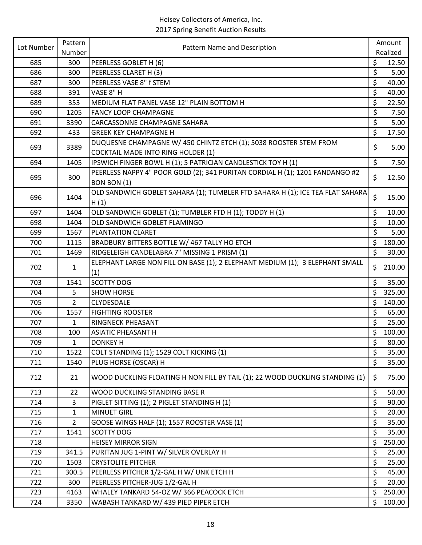| Lot Number | Pattern        | Pattern Name and Description                                                  |         | Amount   |
|------------|----------------|-------------------------------------------------------------------------------|---------|----------|
|            | Number         |                                                                               |         | Realized |
| 685        | 300            | PEERLESS GOBLET H (6)                                                         | \$      | 12.50    |
| 686        | 300            | PEERLESS CLARET H (3)                                                         | \$      | 5.00     |
| 687        | 300            | PEERLESS VASE 8" f STEM                                                       | \$      | 40.00    |
| 688        | 391            | VASE 8" H                                                                     | \$      | 40.00    |
| 689        | 353            | MEDIUM FLAT PANEL VASE 12" PLAIN BOTTOM H                                     | \$      | 22.50    |
| 690        | 1205           | <b>FANCY LOOP CHAMPAGNE</b>                                                   | \$      | 7.50     |
| 691        | 3390           | <b>CARCASSONNE CHAMPAGNE SAHARA</b>                                           | \$      | 5.00     |
| 692        | 433            | <b>GREEK KEY CHAMPAGNE H</b>                                                  | \$      | 17.50    |
| 693        | 3389           | DUQUESNE CHAMPAGNE W/ 450 CHINTZ ETCH (1); 5038 ROOSTER STEM FROM             | \$      | 5.00     |
|            |                | <b>COCKTAIL MADE INTO RING HOLDER (1)</b>                                     |         |          |
| 694        | 1405           | IPSWICH FINGER BOWL H (1); 5 PATRICIAN CANDLESTICK TOY H (1)                  | \$      | 7.50     |
| 695        | 300            | PEERLESS NAPPY 4" POOR GOLD (2); 341 PURITAN CORDIAL H (1); 1201 FANDANGO #2  | \$      | 12.50    |
|            |                | BON BON (1)                                                                   |         |          |
| 696        | 1404           | OLD SANDWICH GOBLET SAHARA (1); TUMBLER FTD SAHARA H (1); ICE TEA FLAT SAHARA | \$      | 15.00    |
|            |                | H(1)                                                                          |         |          |
| 697        | 1404           | OLD SANDWICH GOBLET (1); TUMBLER FTD H (1); TODDY H (1)                       | \$      | 10.00    |
| 698        | 1404           | OLD SANDWICH GOBLET FLAMINGO                                                  | \$      | 10.00    |
| 699        | 1567           | PLANTATION CLARET                                                             | \$      | 5.00     |
| 700        | 1115           | BRADBURY BITTERS BOTTLE W/ 467 TALLY HO ETCH                                  | \$      | 180.00   |
| 701        | 1469           | RIDGELEIGH CANDELABRA 7" MISSING 1 PRISM (1)                                  | $\zeta$ | 30.00    |
| 702        | 1              | ELEPHANT LARGE NON FILL ON BASE (1); 2 ELEPHANT MEDIUM (1); 3 ELEPHANT SMALL  | \$      | 210.00   |
|            |                | (1)                                                                           |         |          |
| 703        | 1541           | <b>SCOTTY DOG</b>                                                             | \$      | 35.00    |
| 704        | 5              | <b>SHOW HORSE</b>                                                             | \$      | 325.00   |
| 705        | $\overline{2}$ | <b>CLYDESDALE</b>                                                             | \$      | 140.00   |
| 706        | 1557           | <b>FIGHTING ROOSTER</b>                                                       | \$      | 65.00    |
| 707        | $\mathbf{1}$   | RINGNECK PHEASANT                                                             | \$      | 25.00    |
| 708        | 100            | <b>ASIATIC PHEASANT H</b>                                                     | \$      | 100.00   |
| 709        | $\mathbf{1}$   | <b>DONKEY H</b>                                                               | \$      | 80.00    |
| 710        | 1522           | COLT STANDING (1); 1529 COLT KICKING (1)                                      | \$      | 35.00    |
| 711        | 1540           | PLUG HORSE (OSCAR) H                                                          | $\zeta$ | 35.00    |
| 712        | 21             | WOOD DUCKLING FLOATING H NON FILL BY TAIL (1); 22 WOOD DUCKLING STANDING (1)  | \$      | 75.00    |
| 713        | 22             | WOOD DUCKLING STANDING BASE R                                                 | \$      | 50.00    |
| 714        | 3              | PIGLET SITTING (1); 2 PIGLET STANDING H (1)                                   | \$      | 90.00    |
| 715        | $\mathbf{1}$   | <b>MINUET GIRL</b>                                                            | \$      | 20.00    |
| 716        | $\overline{2}$ | GOOSE WINGS HALF (1); 1557 ROOSTER VASE (1)                                   | \$      | 35.00    |
| 717        | 1541           | <b>SCOTTY DOG</b>                                                             | \$      | 35.00    |
| 718        |                | <b>HEISEY MIRROR SIGN</b>                                                     | \$      | 250.00   |
| 719        | 341.5          | PURITAN JUG 1-PINT W/ SILVER OVERLAY H                                        | \$      | 25.00    |
| 720        | 1503           | <b>CRYSTOLITE PITCHER</b>                                                     | \$      | 25.00    |
| 721        | 300.5          | PEERLESS PITCHER 1/2-GAL H W/ UNK ETCH H                                      | $\zeta$ | 45.00    |
| 722        | 300            | PEERLESS PITCHER-JUG 1/2-GAL H                                                | \$      | 20.00    |
| 723        | 4163           | WHALEY TANKARD 54-OZ W/366 PEACOCK ETCH                                       | \$      | 250.00   |
| 724        | 3350           | WABASH TANKARD W/ 439 PIED PIPER ETCH                                         | \$      | 100.00   |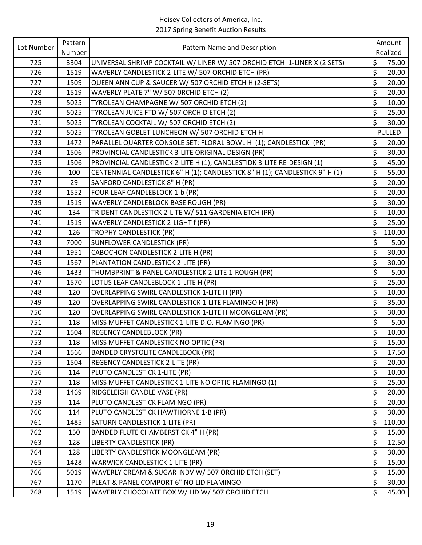| Lot Number | Pattern | Pattern Name and Description                                                |         | Amount        |
|------------|---------|-----------------------------------------------------------------------------|---------|---------------|
|            | Number  |                                                                             |         | Realized      |
| 725        | 3304    | UNIVERSAL SHRIMP COCKTAIL W/ LINER W/ 507 ORCHID ETCH 1-LINER X (2 SETS)    | \$      | 75.00         |
| 726        | 1519    | WAVERLY CANDLESTICK 2-LITE W/ 507 ORCHID ETCH (PR)                          | \$      | 20.00         |
| 727        | 1509    | QUEEN ANN CUP & SAUCER W/ 507 ORCHID ETCH H (2-SETS)                        | \$      | 20.00         |
| 728        | 1519    | WAVERLY PLATE 7" W/ 507 ORCHID ETCH (2)                                     | \$      | 20.00         |
| 729        | 5025    | TYROLEAN CHAMPAGNE W/ 507 ORCHID ETCH (2)                                   | \$      | 10.00         |
| 730        | 5025    | TYROLEAN JUICE FTD W/ 507 ORCHID ETCH (2)                                   | \$      | 25.00         |
| 731        | 5025    | TYROLEAN COCKTAIL W/ 507 ORCHID ETCH (2)                                    | \$      | 30.00         |
| 732        | 5025    | TYROLEAN GOBLET LUNCHEON W/ 507 ORCHID ETCH H                               |         | <b>PULLED</b> |
| 733        | 1472    | PARALLEL QUARTER CONSOLE SET: FLORAL BOWL H (1); CANDLESTICK (PR)           | \$      | 20.00         |
| 734        | 1506    | PROVINCIAL CANDLESTICK 3-LITE ORIGINAL DESIGN (PR)                          | \$      | 30.00         |
| 735        | 1506    | PROVINCIAL CANDLESTICK 2-LITE H (1); CANDLESTIDK 3-LITE RE-DESIGN (1)       | \$      | 45.00         |
| 736        | 100     | CENTENNIAL CANDLESTICK 6" H (1); CANDLESTICK 8" H (1); CANDLESTICK 9" H (1) | \$      | 55.00         |
| 737        | 29      | SANFORD CANDLESTICK 8" H (PR)                                               | \$      | 20.00         |
| 738        | 1552    | FOUR LEAF CANDLEBLOCK 1-b (PR)                                              | \$      | 20.00         |
| 739        | 1519    | WAVERLY CANDLEBLOCK BASE ROUGH (PR)                                         | \$      | 30.00         |
| 740        | 134     | TRIDENT CANDLESTICK 2-LITE W/ 511 GARDENIA ETCH (PR)                        | \$      | 10.00         |
| 741        | 1519    | WAVERLY CANDLESTICK 2-LIGHT f (PR)                                          | \$      | 25.00         |
| 742        | 126     | TROPHY CANDLESTICK (PR)                                                     | \$      | 110.00        |
| 743        | 7000    | <b>SUNFLOWER CANDLESTICK (PR)</b>                                           | \$      | 5.00          |
| 744        | 1951    | CABOCHON CANDLESTICK 2-LITE H (PR)                                          | \$      | 30.00         |
| 745        | 1567    | PLANTATION CANDLESTICK 2-LITE (PR)                                          | \$      | 30.00         |
| 746        | 1433    | THUMBPRINT & PANEL CANDLESTICK 2-LITE 1-ROUGH (PR)                          | \$      | 5.00          |
| 747        | 1570    | LOTUS LEAF CANDLEBLOCK 1-LITE H (PR)                                        | \$      | 25.00         |
| 748        | 120     | OVERLAPPING SWIRL CANDLESTICK 1-LITE H (PR)                                 | \$      | 10.00         |
| 749        | 120     | OVERLAPPING SWIRL CANDLESTICK 1-LITE FLAMINGO H (PR)                        | \$      | 35.00         |
| 750        | 120     | OVERLAPPING SWIRL CANDLESTICK 1-LITE H MOONGLEAM (PR)                       | \$      | 30.00         |
| 751        | 118     | MISS MUFFET CANDLESTICK 1-LITE D.O. FLAMINGO (PR)                           | \$      | 5.00          |
| 752        | 1504    | <b>REGENCY CANDLEBLOCK (PR)</b>                                             | \$      | 10.00         |
| 753        | 118     | MISS MUFFET CANDLESTICK NO OPTIC (PR)                                       | \$      | 15.00         |
| 754        | 1566    | <b>BANDED CRYSTOLITE CANDLEBOCK (PR)</b>                                    | \$      | 17.50         |
| 755        | 1504    | REGENCY CANDLESTICK 2-LITE (PR)                                             | \$      | 20.00         |
| 756        | 114     | PLUTO CANDLESTICK 1-LITE (PR)                                               | \$      | 10.00         |
| 757        | 118     | MISS MUFFET CANDLESTICK 1-LITE NO OPTIC FLAMINGO (1)                        | \$      | 25.00         |
| 758        | 1469    | RIDGELEIGH CANDLE VASE (PR)                                                 | \$      | 20.00         |
| 759        | 114     | PLUTO CANDLESTICK FLAMINGO (PR)                                             | \$      | 20.00         |
| 760        | 114     | PLUTO CANDLESTICK HAWTHORNE 1-B (PR)                                        | \$      | 30.00         |
| 761        | 1485    | SATURN CANDLESTICK 1-LITE (PR)                                              | \$      | 110.00        |
| 762        | 150     | BANDED FLUTE CHAMBERSTICK 4" H (PR)                                         | \$      | 15.00         |
| 763        | 128     | LIBERTY CANDLESTICK (PR)                                                    | \$      | 12.50         |
| 764        | 128     | LIBERTY CANDLESTICK MOONGLEAM (PR)                                          | \$      | 30.00         |
| 765        | 1428    | <b>WARWICK CANDLESTICK 1-LITE (PR)</b>                                      | \$      | 15.00         |
| 766        | 5019    | WAVERLY CREAM & SUGAR INDV W/ 507 ORCHID ETCH (SET)                         | $\zeta$ | 15.00         |
| 767        | 1170    | PLEAT & PANEL COMPORT 6" NO LID FLAMINGO                                    | $\zeta$ | 30.00         |
| 768        | 1519    | WAVERLY CHOCOLATE BOX W/ LID W/ 507 ORCHID ETCH                             | \$      | 45.00         |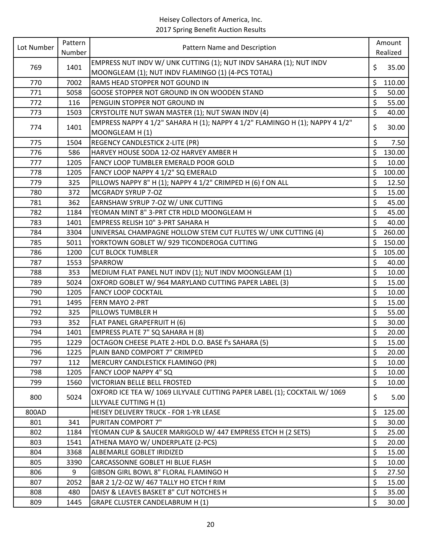| Lot Number | Pattern | Pattern Name and Description                                                   |          | Amount          |
|------------|---------|--------------------------------------------------------------------------------|----------|-----------------|
|            | Number  |                                                                                |          | Realized        |
| 769        | 1401    | EMPRESS NUT INDV W/ UNK CUTTING (1); NUT INDV SAHARA (1); NUT INDV             | \$       | 35.00           |
|            |         | MOONGLEAM (1); NUT INDV FLAMINGO (1) (4-PCS TOTAL)                             |          |                 |
| 770        | 7002    | RAMS HEAD STOPPER NOT GOUND IN                                                 | \$       | 110.00          |
| 771        | 5058    | GOOSE STOPPER NOT GROUND IN ON WOODEN STAND                                    | \$       | 50.00           |
| 772        | 116     | PENGUIN STOPPER NOT GROUND IN                                                  | \$       | 55.00           |
| 773        | 1503    | CRYSTOLITE NUT SWAN MASTER (1); NUT SWAN INDV (4)                              | \$       | 40.00           |
| 774        | 1401    | EMPRESS NAPPY 4 1/2" SAHARA H (1); NAPPY 4 1/2" FLAMINGO H (1); NAPPY 4 1/2"   | \$       | 30.00           |
|            |         | MOONGLEAM H(1)                                                                 |          |                 |
| 775        | 1504    | REGENCY CANDLESTICK 2-LITE (PR)                                                | \$<br>\$ | 7.50            |
| 776<br>777 | 586     | HARVEY HOUSE SODA 12-OZ HARVEY AMBER H<br>FANCY LOOP TUMBLER EMERALD POOR GOLD | \$       | 130.00<br>10.00 |
|            | 1205    |                                                                                |          |                 |
| 778        | 1205    | FANCY LOOP NAPPY 4 1/2" SQ EMERALD                                             | \$       | 100.00          |
| 779        | 325     | PILLOWS NAPPY 8" H (1); NAPPY 4 1/2" CRIMPED H (6) f ON ALL                    | \$       | 12.50           |
| 780        | 372     | MCGRADY SYRUP 7-OZ                                                             | \$       | 15.00           |
| 781        | 362     | EARNSHAW SYRUP 7-OZ W/ UNK CUTTING                                             | \$       | 45.00           |
| 782        | 1184    | YEOMAN MINT 8" 3-PRT CTR HDLD MOONGLEAM H                                      | \$       | 45.00           |
| 783        | 1401    | EMPRESS RELISH 10" 3-PRT SAHARA H                                              | \$       | 40.00           |
| 784        | 3304    | UNIVERSAL CHAMPAGNE HOLLOW STEM CUT FLUTES W/ UNK CUTTING (4)                  | \$       | 260.00          |
| 785        | 5011    | YORKTOWN GOBLET W/ 929 TICONDEROGA CUTTING                                     | \$       | 150.00          |
| 786        | 1200    | <b>CUT BLOCK TUMBLER</b>                                                       | \$       | 105.00          |
| 787        | 1553    | SPARROW                                                                        | \$       | 40.00           |
| 788        | 353     | MEDIUM FLAT PANEL NUT INDV (1); NUT INDV MOONGLEAM (1)                         | \$       | 10.00           |
| 789        | 5024    | OXFORD GOBLET W/964 MARYLAND CUTTING PAPER LABEL (3)                           | \$       | 15.00           |
| 790        | 1205    | <b>FANCY LOOP COCKTAIL</b>                                                     | \$       | 10.00           |
| 791        | 1495    | FERN MAYO 2-PRT                                                                | \$       | 15.00           |
| 792        | 325     | PILLOWS TUMBLER H                                                              | \$       | 55.00           |
| 793        | 352     | FLAT PANEL GRAPEFRUIT H (6)                                                    | \$       | 30.00           |
| 794        | 1401    | EMPRESS PLATE 7" SQ SAHARA H (8)                                               | \$       | 20.00           |
| 795        | 1229    | OCTAGON CHEESE PLATE 2-HDL D.O. BASE f's SAHARA (5)                            | \$       | 15.00           |
| 796        | 1225    | PLAIN BAND COMPORT 7" CRIMPED                                                  | \$       | 20.00           |
| 797        | 112     | MERCURY CANDLESTICK FLAMINGO (PR)                                              | \$       | 10.00           |
| 798        | 1205    | FANCY LOOP NAPPY 4" SQ                                                         | \$       | 10.00           |
| 799        | 1560    | VICTORIAN BELLE BELL FROSTED                                                   | \$       | 10.00           |
| 800        | 5024    | OXFORD ICE TEA W/ 1069 LILYVALE CUTTING PAPER LABEL (1); COCKTAIL W/ 1069      | \$       | 5.00            |
|            |         | LILYVALE CUTTING H (1)                                                         |          |                 |
| 800AD      |         | HEISEY DELIVERY TRUCK - FOR 1-YR LEASE                                         | \$       | 125.00          |
| 801        | 341     | PURITAN COMPORT 7"                                                             | \$       | 30.00           |
| 802        | 1184    | YEOMAN CUP & SAUCER MARIGOLD W/ 447 EMPRESS ETCH H (2 SETS)                    | \$       | 25.00           |
| 803        | 1541    | ATHENA MAYO W/ UNDERPLATE (2-PCS)                                              | \$       | 20.00           |
| 804        | 3368    | ALBEMARLE GOBLET IRIDIZED                                                      | \$       | 15.00           |
| 805        | 3390    | CARCASSONNE GOBLET HI BLUE FLASH                                               | \$       | 10.00           |
| 806        | 9       | GIBSON GIRL BOWL 8" FLORAL FLAMINGO H                                          | \$       | 27.50           |
| 807        | 2052    | BAR 2 1/2-OZ W/ 467 TALLY HO ETCH f RIM                                        | \$       | 15.00           |
| 808        | 480     | DAISY & LEAVES BASKET 8" CUT NOTCHES H                                         | \$       | 35.00           |
| 809        | 1445    | GRAPE CLUSTER CANDELABRUM H (1)                                                | \$       | 30.00           |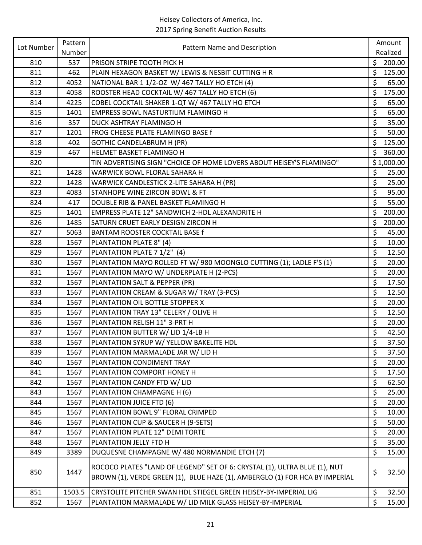| Lot Number | Pattern      | Pattern Name and Description                                                                                                                             |                      | Amount         |
|------------|--------------|----------------------------------------------------------------------------------------------------------------------------------------------------------|----------------------|----------------|
|            | Number       |                                                                                                                                                          |                      | Realized       |
| 810        | 537          | PRISON STRIPE TOOTH PICK H                                                                                                                               | $\zeta$              | 200.00         |
| 811        | 462          | PLAIN HEXAGON BASKET W/ LEWIS & NESBIT CUTTING H R                                                                                                       | \$                   | 125.00         |
| 812        | 4052         | NATIONAL BAR 1 1/2-OZ W/ 467 TALLY HO ETCH (4)                                                                                                           | \$                   | 65.00          |
| 813        | 4058         | ROOSTER HEAD COCKTAIL W/ 467 TALLY HO ETCH (6)                                                                                                           | \$                   | 175.00         |
| 814        | 4225         | COBEL COCKTAIL SHAKER 1-QT W/ 467 TALLY HO ETCH                                                                                                          | \$                   | 65.00          |
| 815        | 1401         | <b>EMPRESS BOWL NASTURTIUM FLAMINGO H</b>                                                                                                                | \$                   | 65.00          |
| 816        | 357          | DUCK ASHTRAY FLAMINGO H                                                                                                                                  | \$                   | 35.00          |
| 817        | 1201         | FROG CHEESE PLATE FLAMINGO BASE f                                                                                                                        | \$                   | 50.00          |
| 818        | 402          | <b>GOTHIC CANDELABRUM H (PR)</b>                                                                                                                         | \$                   | 125.00         |
| 819        | 467          | HELMET BASKET FLAMINGO H                                                                                                                                 | \$                   | 360.00         |
| 820        |              | TIN ADVERTISING SIGN "CHOICE OF HOME LOVERS ABOUT HEISEY'S FLAMINGO"                                                                                     |                      | \$1,000.00     |
| 821        | 1428         | WARWICK BOWL FLORAL SAHARA H                                                                                                                             | \$                   | 25.00          |
| 822        | 1428         | WARWICK CANDLESTICK 2-LITE SAHARA H (PR)                                                                                                                 | \$                   | 25.00          |
| 823        | 4083         | STANHOPE WINE ZIRCON BOWL & FT                                                                                                                           | \$                   | 95.00          |
| 824        | 417          | DOUBLE RIB & PANEL BASKET FLAMINGO H                                                                                                                     | \$                   | 55.00          |
| 825        | 1401         | EMPRESS PLATE 12" SANDWICH 2-HDL ALEXANDRITE H                                                                                                           | \$                   | 200.00         |
| 826        | 1485         | SATURN CRUET EARLY DESIGN ZIRCON H                                                                                                                       | \$                   | 200.00         |
| 827        | 5063         | <b>BANTAM ROOSTER COCKTAIL BASE f</b>                                                                                                                    | \$                   | 45.00          |
| 828        | 1567         | PLANTATION PLATE 8" (4)                                                                                                                                  | \$                   | 10.00          |
| 829        | 1567         | PLANTATION PLATE 7 1/2" (4)                                                                                                                              | \$                   | 12.50          |
| 830        | 1567         | PLANTATION MAYO ROLLED FT W/ 980 MOONGLO CUTTING (1); LADLE F'S (1)                                                                                      | \$                   | 20.00          |
| 831        | 1567         | PLANTATION MAYO W/ UNDERPLATE H (2-PCS)                                                                                                                  | \$                   | 20.00          |
| 832        | 1567         | PLANTATION SALT & PEPPER (PR)                                                                                                                            | \$                   | 17.50          |
| 833        | 1567         | PLANTATION CREAM & SUGAR W/ TRAY (3-PCS)                                                                                                                 | \$                   | 12.50          |
| 834        | 1567         | PLANTATION OIL BOTTLE STOPPER X                                                                                                                          | \$                   | 20.00          |
| 835        | 1567         | PLANTATION TRAY 13" CELERY / OLIVE H                                                                                                                     | \$                   | 12.50          |
| 836        | 1567         | PLANTATION RELISH 11" 3-PRT H                                                                                                                            | \$                   | 20.00          |
| 837        | 1567         | PLANTATION BUTTER W/ LID 1/4-LB H                                                                                                                        | \$                   | 42.50          |
| 838<br>839 | 1567         | PLANTATION SYRUP W/ YELLOW BAKELITE HDL<br>PLANTATION MARMALADE JAR W/ LID H                                                                             | \$                   | 37.50          |
| 840        | 1567<br>1567 | PLANTATION CONDIMENT TRAY                                                                                                                                | \$<br>\$             | 37.50<br>20.00 |
|            |              | PLANTATION COMPORT HONEY H                                                                                                                               | \$                   |                |
| 841        | 1567         |                                                                                                                                                          | \$                   | 17.50          |
| 842<br>843 | 1567<br>1567 | PLANTATION CANDY FTD W/ LID                                                                                                                              |                      | 62.50          |
|            |              | PLANTATION CHAMPAGNE H (6)<br>PLANTATION JUICE FTD (6)                                                                                                   | \$<br>\$             | 25.00          |
| 844        | 1567         | PLANTATION BOWL 9" FLORAL CRIMPED                                                                                                                        | \$                   | 20.00          |
| 845        | 1567         |                                                                                                                                                          | \$                   | 10.00          |
| 846        | 1567         | PLANTATION CUP & SAUCER H (9-SETS)                                                                                                                       |                      | 50.00          |
| 847        | 1567         | PLANTATION PLATE 12" DEMI TORTE                                                                                                                          | \$                   | 20.00          |
| 848        | 1567         | PLANTATION JELLY FTD H                                                                                                                                   | $\boldsymbol{\zeta}$ | 35.00          |
| 849        | 3389         | DUQUESNE CHAMPAGNE W/ 480 NORMANDIE ETCH (7)                                                                                                             | \$                   | 15.00          |
| 850        | 1447         | ROCOCO PLATES "LAND OF LEGEND" SET OF 6: CRYSTAL (1), ULTRA BLUE (1), NUT<br>BROWN (1), VERDE GREEN (1), BLUE HAZE (1), AMBERGLO (1) FOR HCA BY IMPERIAL | \$                   | 32.50          |
| 851        | 1503.5       | CRYSTOLITE PITCHER SWAN HDL STIEGEL GREEN HEISEY-BY-IMPERIAL LIG                                                                                         | \$                   | 32.50          |
| 852        | 1567         | PLANTATION MARMALADE W/ LID MILK GLASS HEISEY-BY-IMPERIAL                                                                                                | \$                   | 15.00          |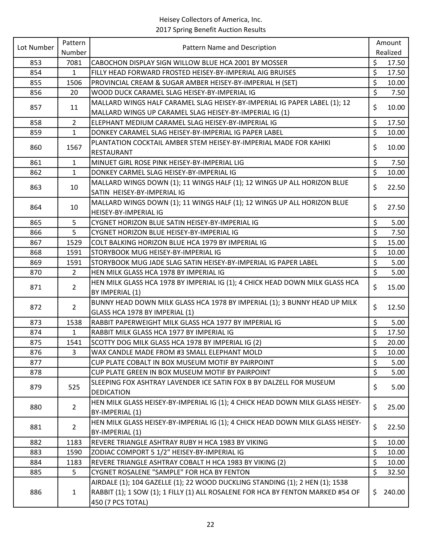| Lot Number | Pattern        |                                                                                 |                          | Amount   |
|------------|----------------|---------------------------------------------------------------------------------|--------------------------|----------|
|            | Number         | Pattern Name and Description                                                    |                          | Realized |
| 853        | 7081           | CABOCHON DISPLAY SIGN WILLOW BLUE HCA 2001 BY MOSSER                            | \$                       | 17.50    |
| 854        | $\mathbf{1}$   | FILLY HEAD FORWARD FROSTED HEISEY-BY-IMPERIAL AIG BRUISES                       | \$                       | 17.50    |
| 855        | 1506           | PROVINCIAL CREAM & SUGAR AMBER HEISEY-BY-IMPERIAL H (SET)                       | \$                       | 10.00    |
| 856        | 20             | WOOD DUCK CARAMEL SLAG HEISEY-BY-IMPERIAL IG                                    | \$                       | 7.50     |
| 857        | 11             | MALLARD WINGS HALF CARAMEL SLAG HEISEY-BY-IMPERIAL IG PAPER LABEL (1); 12       | \$                       | 10.00    |
|            |                | MALLARD WINGS UP CARAMEL SLAG HEISEY-BY-IMPERIAL IG (1)                         |                          |          |
| 858        | $\overline{2}$ | ELEPHANT MEDIUM CARAMEL SLAG HEISEY-BY-IMPERIAL IG                              | \$                       | 17.50    |
| 859        | $\mathbf{1}$   | DONKEY CARAMEL SLAG HEISEY-BY-IMPERIAL IG PAPER LABEL                           | \$                       | 10.00    |
| 860        | 1567           | PLANTATION COCKTAIL AMBER STEM HEISEY-BY-IMPERIAL MADE FOR KAHIKI               | \$                       | 10.00    |
|            |                | RESTAURANT                                                                      |                          |          |
| 861        | 1              | MINUET GIRL ROSE PINK HEISEY-BY-IMPERIAL LIG                                    | \$                       | 7.50     |
| 862        | $\mathbf{1}$   | DONKEY CARMEL SLAG HEISEY-BY-IMPERIAL IG                                        | \$                       | 10.00    |
| 863        | 10             | MALLARD WINGS DOWN (1); 11 WINGS HALF (1); 12 WINGS UP ALL HORIZON BLUE         | \$                       | 22.50    |
|            |                | SATIN HEISEY-BY-IMPERIAL IG                                                     |                          |          |
|            |                | MALLARD WINGS DOWN (1); 11 WINGS HALF (1); 12 WINGS UP ALL HORIZON BLUE         | \$                       |          |
| 864        | 10             | HEISEY-BY-IMPERIAL IG                                                           |                          | 27.50    |
| 865        | 5              | CYGNET HORIZON BLUE SATIN HEISEY-BY-IMPERIAL IG                                 | \$                       | 5.00     |
| 866        | 5              | CYGNET HORIZON BLUE HEISEY-BY-IMPERIAL IG                                       | \$                       | 7.50     |
| 867        | 1529           | COLT BALKING HORIZON BLUE HCA 1979 BY IMPERIAL IG                               | \$                       | 15.00    |
| 868        | 1591           | STORYBOOK MUG HEISEY-BY-IMPERIAL IG                                             | \$                       | 10.00    |
| 869        | 1591           | STORYBOOK MUG JADE SLAG SATIN HEISEY-BY-IMPERIAL IG PAPER LABEL                 | \$                       | 5.00     |
| 870        | $\overline{2}$ | HEN MILK GLASS HCA 1978 BY IMPERIAL IG                                          | $\overline{\mathcal{S}}$ | 5.00     |
| 871        | $\overline{2}$ | HEN MILK GLASS HCA 1978 BY IMPERIAL IG (1); 4 CHICK HEAD DOWN MILK GLASS HCA    | \$                       | 15.00    |
|            |                | BY IMPERIAL (1)                                                                 |                          |          |
| 872        | $\overline{2}$ | BUNNY HEAD DOWN MILK GLASS HCA 1978 BY IMPERIAL (1); 3 BUNNY HEAD UP MILK       | \$                       | 12.50    |
|            |                | GLASS HCA 1978 BY IMPERIAL (1)                                                  |                          |          |
| 873        | 1538           | RABBIT PAPERWEIGHT MILK GLASS HCA 1977 BY IMPERIAL IG                           | \$                       | 5.00     |
| 874        | $\mathbf{1}$   | RABBIT MILK GLASS HCA 1977 BY IMPERIAL IG                                       | \$                       | 17.50    |
| 875        | 1541           | SCOTTY DOG MILK GLASS HCA 1978 BY IMPERIAL IG (2)                               | $\zeta$                  | 20.00    |
| 876        | 3              | WAX CANDLE MADE FROM #3 SMALL ELEPHANT MOLD                                     | \$                       | 10.00    |
| 877        |                | CUP PLATE COBALT IN BOX MUSEUM MOTIF BY PAIRPOINT                               | \$                       | 5.00     |
| 878        |                | CUP PLATE GREEN IN BOX MUSEUM MOTIF BY PAIRPOINT                                | \$                       | 5.00     |
| 879        | 525            | SLEEPING FOX ASHTRAY LAVENDER ICE SATIN FOX B BY DALZELL FOR MUSEUM             | \$                       | 5.00     |
|            |                | <b>DEDICATION</b>                                                               |                          |          |
| 880        | $\overline{2}$ | HEN MILK GLASS HEISEY-BY-IMPERIAL IG (1); 4 CHICK HEAD DOWN MILK GLASS HEISEY-  | \$                       | 25.00    |
|            |                | BY-IMPERIAL (1)                                                                 |                          |          |
| 881        | $\overline{2}$ | HEN MILK GLASS HEISEY-BY-IMPERIAL IG (1); 4 CHICK HEAD DOWN MILK GLASS HEISEY-  | \$                       | 22.50    |
|            |                | BY-IMPERIAL (1)                                                                 |                          |          |
| 882        | 1183           | REVERE TRIANGLE ASHTRAY RUBY H HCA 1983 BY VIKING                               | \$                       | 10.00    |
| 883        | 1590           | ZODIAC COMPORT 5 1/2" HEISEY-BY-IMPERIAL IG                                     | \$                       | 10.00    |
| 884        | 1183           | REVERE TRIANGLE ASHTRAY COBALT H HCA 1983 BY VIKING (2)                         | \$                       | 10.00    |
| 885        | 5              | CYGNET ROSALENE "SAMPLE" FOR HCA BY FENTON                                      | \$                       | 32.50    |
|            |                | AIRDALE (1); 104 GAZELLE (1); 22 WOOD DUCKLING STANDING (1); 2 HEN (1); 1538    |                          |          |
| 886        | $\mathbf{1}$   | RABBIT (1); 1 SOW (1); 1 FILLY (1) ALL ROSALENE FOR HCA BY FENTON MARKED #54 OF | \$.                      | 240.00   |
|            |                | 450 (7 PCS TOTAL)                                                               |                          |          |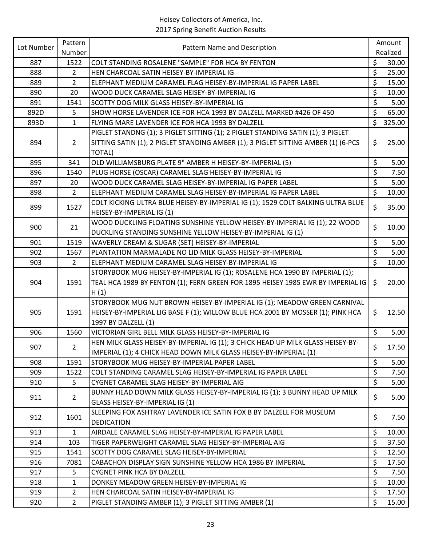| Lot Number | Pattern        | Pattern Name and Description                                                      |                          | Amount   |
|------------|----------------|-----------------------------------------------------------------------------------|--------------------------|----------|
|            | Number         |                                                                                   |                          | Realized |
| 887        | 1522           | COLT STANDING ROSALENE "SAMPLE" FOR HCA BY FENTON                                 | \$                       | 30.00    |
| 888        | $\overline{2}$ | HEN CHARCOAL SATIN HEISEY-BY-IMPERIAL IG                                          | \$                       | 25.00    |
| 889        | $\overline{2}$ | ELEPHANT MEDIUM CARAMEL FLAG HEISEY-BY-IMPERIAL IG PAPER LABEL                    | \$                       | 15.00    |
| 890        | 20             | WOOD DUCK CARAMEL SLAG HEISEY-BY-IMPERIAL IG                                      | \$                       | 10.00    |
| 891        | 1541           | SCOTTY DOG MILK GLASS HEISEY-BY-IMPERIAL IG                                       | \$                       | 5.00     |
| 892D       | 5              | SHOW HORSE LAVENDER ICE FOR HCA 1993 BY DALZELL MARKED #426 OF 450                | $\zeta$                  | 65.00    |
| 893D       | $\mathbf{1}$   | FLYING MARE LAVENDER ICE FOR HCA 1993 BY DALZELL                                  | \$                       | 325.00   |
|            |                | PIGLET STANDNG (1); 3 PIGLET SITTING (1); 2 PIGLET STANDING SATIN (1); 3 PIGLET   |                          |          |
| 894        | $\overline{2}$ | SITTING SATIN (1); 2 PIGLET STANDING AMBER (1); 3 PIGLET SITTING AMBER (1) (6-PCS | \$                       | 25.00    |
|            |                | TOTAL)                                                                            |                          |          |
| 895        | 341            | OLD WILLIAMSBURG PLATE 9" AMBER H HEISEY-BY-IMPERIAL (5)                          | \$                       | 5.00     |
| 896        | 1540           | PLUG HORSE (OSCAR) CARAMEL SLAG HEISEY-BY-IMPERIAL IG                             | \$                       | 7.50     |
| 897        | 20             | WOOD DUCK CARAMEL SLAG HEISEY-BY-IMPERIAL IG PAPER LABEL                          | \$                       | 5.00     |
| 898        | $\overline{2}$ | ELEPHANT MEDIUM CARAMEL SLAG HEISEY-BY-IMPERIAL IG PAPER LABEL                    | $\zeta$                  | 10.00    |
|            |                | COLT KICKING ULTRA BLUE HEISEY-BY-IMPERIAL IG (1); 1529 COLT BALKING ULTRA BLUE   | \$                       |          |
| 899        | 1527           | HEISEY-BY-IMPERIAL IG (1)                                                         |                          | 35.00    |
|            |                | WOOD DUCKLING FLOATING SUNSHINE YELLOW HEISEY-BY-IMPERIAL IG (1); 22 WOOD         |                          |          |
| 900        | 21             | DUCKLING STANDING SUNSHINE YELLOW HEISEY-BY-IMPERIAL IG (1)                       | $\zeta$                  | 10.00    |
| 901        | 1519           | WAVERLY CREAM & SUGAR (SET) HEISEY-BY-IMPERIAL                                    | \$                       | 5.00     |
| 902        | 1567           | PLANTATION MARMALADE NO LID MILK GLASS HEISEY-BY-IMPERIAL                         | \$                       | 5.00     |
| 903        | $\overline{2}$ | ELEPHANT MEDIUM CARAMEL SLAG HEISEY-BY-IMPERIAL IG                                | $\zeta$                  | 10.00    |
|            |                | STORYBOOK MUG HEISEY-BY-IMPERIAL IG (1); ROSALENE HCA 1990 BY IMPERIAL (1);       |                          |          |
| 904        | 1591           | TEAL HCA 1989 BY FENTON (1); FERN GREEN FOR 1895 HEISEY 1985 EWR BY IMPERIAL IG   | \$                       | 20.00    |
|            |                | H(1)                                                                              |                          |          |
|            |                | STORYBOOK MUG NUT BROWN HEISEY-BY-IMPERIAL IG (1); MEADOW GREEN CARNIVAL          |                          |          |
| 905        | 1591           | HEISEY-BY-IMPERIAL LIG BASE F (1); WILLOW BLUE HCA 2001 BY MOSSER (1); PINK HCA   | \$                       | 12.50    |
|            |                | 1997 BY DALZELL (1)                                                               |                          |          |
| 906        | 1560           | VICTORIAN GIRL BELL MILK GLASS HEISEY-BY-IMPERIAL IG                              | $\zeta$                  | 5.00     |
| 907        | $2^{\circ}$    | HEN MILK GLASS HEISEY-BY-IMPERIAL IG (1); 3 CHICK HEAD UP MILK GLASS HEISEY-BY-   | \$                       | 17.50    |
|            |                | IMPERIAL (1); 4 CHICK HEAD DOWN MILK GLASS HEISEY-BY-IMPERIAL (1)                 |                          |          |
| 908        | 1591           | STORYBOOK MUG HEISEY-BY-IMPERIAL PAPER LABEL                                      | $\zeta$                  | 5.00     |
| 909        | 1522           | COLT STANDING CARAMEL SLAG HEISEY-BY-IMPERIAL IG PAPER LABEL                      | \$                       | 7.50     |
| 910        | 5              | CYGNET CARAMEL SLAG HEISEY-BY-IMPERIAL AIG                                        | $\zeta$                  | 5.00     |
| 911        | $\overline{2}$ | BUNNY HEAD DOWN MILK GLASS HEISEY-BY-IMPERIAL IG (1); 3 BUNNY HEAD UP MILK        | \$                       | 5.00     |
|            |                | GLASS HEISEY-BY-IMPERIAL IG (1)                                                   |                          |          |
|            | 1601           | SLEEPING FOX ASHTRAY LAVENDER ICE SATIN FOX B BY DALZELL FOR MUSEUM               | \$                       | 7.50     |
| 912        |                | <b>DEDICATION</b>                                                                 |                          |          |
| 913        | $\mathbf{1}$   | AIRDALE CARAMEL SLAG HEISEY-BY-IMPERIAL IG PAPER LABEL                            | \$                       | 10.00    |
| 914        | 103            | TIGER PAPERWEIGHT CARAMEL SLAG HEISEY-BY-IMPERIAL AIG                             | \$                       | 37.50    |
| 915        | 1541           | SCOTTY DOG CARAMEL SLAG HEISEY-BY-IMPERIAL                                        | \$                       | 12.50    |
| 916        | 7081           | CABACHON DISPLAY SIGN SUNSHINE YELLOW HCA 1986 BY IMPERIAL                        | \$                       | 17.50    |
| 917        | 5              | <b>CYGNET PINK HCA BY DALZELL</b>                                                 | \$                       | 7.50     |
| 918        | $\mathbf{1}$   | DONKEY MEADOW GREEN HEISEY-BY-IMPERIAL IG                                         | \$                       | 10.00    |
| 919        | $\overline{2}$ | HEN CHARCOAL SATIN HEISEY-BY-IMPERIAL IG                                          | $\overline{\mathcal{L}}$ | 17.50    |
| 920        | $\overline{2}$ | PIGLET STANDING AMBER (1); 3 PIGLET SITTING AMBER (1)                             | \$                       | 15.00    |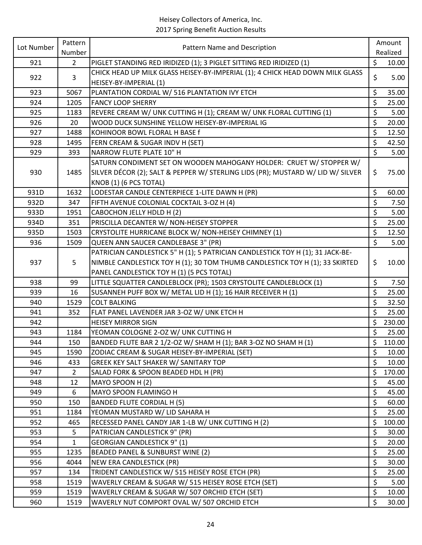| Lot Number | Pattern        | Pattern Name and Description                                                    | Amount       |
|------------|----------------|---------------------------------------------------------------------------------|--------------|
|            | Number         |                                                                                 | Realized     |
| 921        | $\overline{2}$ | PIGLET STANDING RED IRIDIZED (1); 3 PIGLET SITTING RED IRIDIZED (1)             | \$<br>10.00  |
| 922        | $\overline{3}$ | CHICK HEAD UP MILK GLASS HEISEY-BY-IMPERIAL (1); 4 CHICK HEAD DOWN MILK GLASS   | \$<br>5.00   |
|            |                | HEISEY-BY-IMPERIAL (1)                                                          |              |
| 923        | 5067           | PLANTATION CORDIAL W/ 516 PLANTATION IVY ETCH                                   | \$<br>35.00  |
| 924        | 1205           | <b>FANCY LOOP SHERRY</b>                                                        | \$<br>25.00  |
| 925        | 1183           | REVERE CREAM W/ UNK CUTTING H (1); CREAM W/ UNK FLORAL CUTTING (1)              | \$<br>5.00   |
| 926        | 20             | WOOD DUCK SUNSHINE YELLOW HEISEY-BY-IMPERIAL IG                                 | \$<br>20.00  |
| 927        | 1488           | KOHINOOR BOWL FLORAL H BASE f                                                   | \$<br>12.50  |
| 928        | 1495           | FERN CREAM & SUGAR INDV H (SET)                                                 | \$<br>42.50  |
| 929        | 393            | NARROW FLUTE PLATE 10" H                                                        | \$<br>5.00   |
|            |                | SATURN CONDIMENT SET ON WOODEN MAHOGANY HOLDER: CRUET W/ STOPPER W/             |              |
| 930        | 1485           | SILVER DÉCOR (2); SALT & PEPPER W/ STERLING LIDS (PR); MUSTARD W/ LID W/ SILVER | \$<br>75.00  |
|            |                | KNOB (1) (6 PCS TOTAL)                                                          |              |
| 931D       | 1632           | LODESTAR CANDLE CENTERPIECE 1-LITE DAWN H (PR)                                  | \$<br>60.00  |
| 932D       | 347            | FIFTH AVENUE COLONIAL COCKTAIL 3-OZ H (4)                                       | \$<br>7.50   |
| 933D       | 1951           | CABOCHON JELLY HDLD H (2)                                                       | \$<br>5.00   |
| 934D       | 351            | PRISCILLA DECANTER W/ NON-HEISEY STOPPER                                        | \$<br>25.00  |
| 935D       | 1503           | CRYSTOLITE HURRICANE BLOCK W/ NON-HEISEY CHIMNEY (1)                            | \$<br>12.50  |
| 936        | 1509           | QUEEN ANN SAUCER CANDLEBASE 3" (PR)                                             | \$<br>5.00   |
|            |                | PATRICIAN CANDLESTICK 5" H (1); 5 PATRICIAN CANDLESTICK TOY H (1); 31 JACK-BE-  |              |
| 937        | 5              | NIMBLE CANDLESTICK TOY H (1); 30 TOM THUMB CANDLESTICK TOY H (1); 33 SKIRTED    | \$<br>10.00  |
|            |                | PANEL CANDLESTICK TOY H (1) (5 PCS TOTAL)                                       |              |
| 938        | 99             | LITTLE SQUATTER CANDLEBLOCK (PR); 1503 CRYSTOLITE CANDLEBLOCK (1)               | \$<br>7.50   |
| 939        | 16             | SUSANNEH PUFF BOX W/ METAL LID H (1); 16 HAIR RECEIVER H (1)                    | \$<br>25.00  |
| 940        | 1529           | <b>COLT BALKING</b>                                                             | \$<br>32.50  |
| 941        | 352            | FLAT PANEL LAVENDER JAR 3-OZ W/ UNK ETCH H                                      | \$<br>25.00  |
| 942        |                | <b>HEISEY MIRROR SIGN</b>                                                       | \$<br>230.00 |
| 943        | 1184           | YEOMAN COLOGNE 2-OZ W/ UNK CUTTING H                                            | \$<br>25.00  |
| 944        | 150            | BANDED FLUTE BAR 2 1/2-OZ W/ SHAM H (1); BAR 3-OZ NO SHAM H (1)                 | \$<br>110.00 |
| 945        | 1590           | ZODIAC CREAM & SUGAR HEISEY-BY-IMPERIAL (SET)                                   | \$<br>10.00  |
| 946        | 433            | GREEK KEY SALT SHAKER W/ SANITARY TOP                                           | \$<br>10.00  |
| 947        | $\overline{2}$ | SALAD FORK & SPOON BEADED HDL H (PR)                                            | \$<br>170.00 |
| 948        | 12             | MAYO SPOON H (2)                                                                | \$<br>45.00  |
| 949        | 6              | MAYO SPOON FLAMINGO H                                                           | \$<br>45.00  |
| 950        | 150            | <b>BANDED FLUTE CORDIAL H (5)</b>                                               | \$<br>60.00  |
| 951        | 1184           | YEOMAN MUSTARD W/ LID SAHARA H                                                  | \$<br>25.00  |
| 952        | 465            | RECESSED PANEL CANDY JAR 1-LB W/ UNK CUTTING H (2)                              | \$<br>100.00 |
| 953        | 5              | PATRICIAN CANDLESTICK 9" (PR)                                                   | \$<br>30.00  |
| 954        | 1              | <b>GEORGIAN CANDLESTICK 9" (1)</b>                                              | \$<br>20.00  |
| 955        | 1235           | BEADED PANEL & SUNBURST WINE (2)                                                | \$<br>25.00  |
| 956        | 4044           | NEW ERA CANDLESTICK (PR)                                                        | \$<br>30.00  |
| 957        | 134            | TRIDENT CANDLESTICK W/ 515 HEISEY ROSE ETCH (PR)                                | \$<br>25.00  |
| 958        | 1519           | WAVERLY CREAM & SUGAR W/ 515 HEISEY ROSE ETCH (SET)                             | \$<br>5.00   |
| 959        | 1519           | WAVERLY CREAM & SUGAR W/ 507 ORCHID ETCH (SET)                                  | \$<br>10.00  |
| 960        | 1519           | WAVERLY NUT COMPORT OVAL W/ 507 ORCHID ETCH                                     | \$<br>30.00  |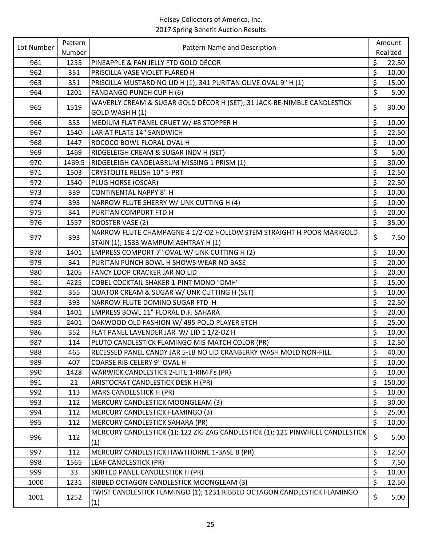| Lot Number | Pattern | Pattern Name and Description                                                               | Amount |          |
|------------|---------|--------------------------------------------------------------------------------------------|--------|----------|
|            | Number  |                                                                                            |        | Realized |
| 961        | 1255    | PINEAPPLE & FAN JELLY FTD GOLD DÉCOR                                                       | \$     | 22.50    |
| 962        | 351     | PRISCILLA VASE VIOLET FLARED H                                                             | \$     | 10.00    |
| 963        | 351     | PRISCILLA MUSTARD NO LID H (1); 341 PURITAN OLIVE OVAL 9" H (1)                            | \$     | 15.00    |
| 964        | 1201    | <b>FANDANGO PUNCH CUP H (6)</b>                                                            | \$     | 5.00     |
| 965        | 1519    | WAVERLY CREAM & SUGAR GOLD DÉCOR H (SET); 31 JACK-BE-NIMBLE CANDLESTICK<br>GOLD WASH H (1) | \$     | 30.00    |
| 966        | 353     | MEDIUM FLAT PANEL CRUET W/ #8 STOPPER H                                                    | \$     | 10.00    |
| 967        | 1540    | LARIAT PLATE 14" SANDWICH                                                                  | \$     | 22.50    |
| 968        | 1447    | ROCOCO BOWL FLORAL OVAL H                                                                  | \$     | 10.00    |
| 969        | 1469    | RIDGELEIGH CREAM & SUGAR INDV H (SET)                                                      | \$     | 5.00     |
| 970        | 1469.5  | RIDGELEIGH CANDELABRUM MISSING 1 PRISM (1)                                                 | \$     | 30.00    |
| 971        | 1503    | <b>CRYSTOLITE RELISH 10" 5-PRT</b>                                                         | \$     | 12.50    |
| 972        | 1540    | PLUG HORSE (OSCAR)                                                                         | \$     | 22.50    |
| 973        | 339     | <b>CONTINENTAL NAPPY 8" H</b>                                                              | \$     | 10.00    |
| 974        | 393     | NARROW FLUTE SHERRY W/ UNK CUTTING H (4)                                                   | \$     | 10.00    |
| 975        | 341     | PURITAN COMPORT FTD H                                                                      | \$     | 20.00    |
|            |         |                                                                                            | \$     |          |
| 976        | 1557    | ROOSTER VASE (2)                                                                           |        | 35.00    |
| 977        | 393     | NARROW FLUTE CHAMPAGNE 4 1/2-OZ HOLLOW STEM STRAIGHT H POOR MARIGOLD                       | \$     | 7.50     |
|            |         | STAIN (1); 1533 WAMPUM ASHTRAY H (1)                                                       |        |          |
| 978        | 1401    | EMPRESS COMPORT 7" OVAL W/ UNK CUTTING H (2)                                               | \$     | 10.00    |
| 979        | 341     | PURITAN PUNCH BOWL H SHOWS WEAR NO BASE                                                    | \$     | 20.00    |
| 980        | 1205    | FANCY LOOP CRACKER JAR NO LID                                                              | \$     | 20.00    |
| 981        | 4225    | <b>COBEL COCKTAIL SHAKER 1-PINT MONO "DMH"</b>                                             | \$     | 15.00    |
| 982        | 355     | QUATOR CREAM & SUGAR W/ UNK CUTTING H (SET)                                                | \$     | 10.00    |
| 983        | 393     | NARROW FLUTE DOMINO SUGAR FTD H                                                            | \$     | 22.50    |
| 984        | 1401    | EMPRESS BOWL 11" FLORAL D.F. SAHARA                                                        | \$     | 20.00    |
| 985        | 2401    | OAKWOOD OLD FASHION W/ 495 POLO PLAYER ETCH                                                | \$     | 25.00    |
| 986        | 352     | FLAT PANEL LAVENDER JAR W/ LID 1 1/2-OZ H                                                  | \$     | 10.00    |
| 987        | 114     | PLUTO CANDLESTICK FLAMINGO MIS-MATCH COLOR (PR)                                            | \$     | 12.50    |
| 988        | 465     | RECESSED PANEL CANDY JAR 5-LB NO LID CRANBERRY WASH MOLD NON-FILL                          | \$     | 40.00    |
| 989        | 407     | <b>COARSE RIB CELERY 9" OVAL H</b>                                                         | \$     | 10.00    |
| 990        | 1428    | WARWICK CANDLESTICK 2-LITE 1-RIM f's (PR)                                                  | \$     | 10.00    |
| 991        | 21      | ARISTOCRAT CANDLESTICK DESK H (PR)                                                         | \$     | 150.00   |
| 992        | 113     | MARS CANDLESTICK H (PR)                                                                    | \$     | 10.00    |
| 993        | 112     | <b>MERCURY CANDLESTICK MOONGLEAM (3)</b>                                                   | \$     | 30.00    |
| 994        | 112     | <b>MERCURY CANDLESTICK FLAMINGO (3)</b>                                                    | \$     | 25.00    |
| 995        | 112     | MERCURY CANDLESTICK SAHARA (PR)                                                            | \$     | 10.00    |
| 996        | 112     | MERCURY CANDLESTICK (1); 122 ZIG ZAG CANDLESTICK (1); 121 PINWHEEL CANDLESTICK<br>(1)      | \$     | 5.00     |
| 997        | 112     | MERCURY CANDLESTICK HAWTHORNE 1-BASE B (PR)                                                | \$     | 12.50    |
| 998        | 1565    | LEAF CANDLESTICK (PR)                                                                      | \$     | 7.50     |
| 999        | 33      | SKIRTED PANEL CANDLESTICK H (PR)                                                           | \$     | 10.00    |
| 1000       | 1231    | RIBBED OCTAGON CANDLESTICK MOONGLEAM (3)                                                   | \$     | 12.50    |
| 1001       | 1252    | TWIST CANDLESTICK FLAMINGO (1); 1231 RIBBED OCTAGON CANDLESTICK FLAMINGO<br>(1)            | \$     | 5.00     |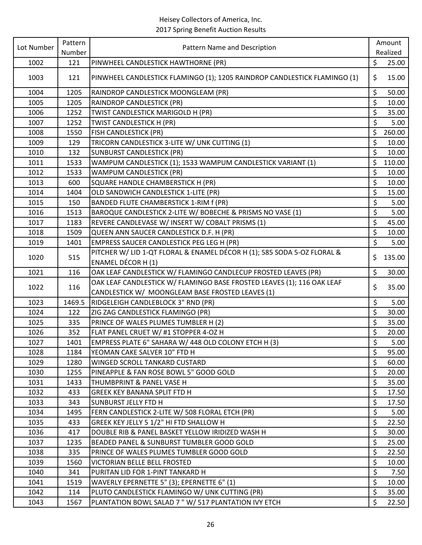| Lot Number<br>Pattern Name and Description<br>Number                                     |         |          |
|------------------------------------------------------------------------------------------|---------|----------|
|                                                                                          |         | Realized |
| PINWHEEL CANDLESTICK HAWTHORNE (PR)<br>1002<br>121                                       | \$      | 25.00    |
| 1003<br>121<br>PINWHEEL CANDLESTICK FLAMINGO (1); 1205 RAINDROP CANDLESTICK FLAMINGO (1) | \$      | 15.00    |
| 1004<br>1205<br>RAINDROP CANDLESTICK MOONGLEAM (PR)                                      | \$      | 50.00    |
| 1005<br>1205<br>RAINDROP CANDLESTICK (PR)                                                | \$      | 10.00    |
| TWIST CANDLESTICK MARIGOLD H (PR)<br>1006<br>1252                                        | \$      | 35.00    |
| 1007<br>1252<br>TWIST CANDLESTICK H (PR)                                                 | \$      | 5.00     |
| FISH CANDLESTICK (PR)<br>1008<br>1550                                                    | \$      | 260.00   |
| TRICORN CANDLESTICK 3-LITE W/ UNK CUTTING (1)<br>1009<br>129                             | \$      | 10.00    |
| 1010<br>132<br><b>SUNBURST CANDLESTICK (PR)</b>                                          | \$      | 10.00    |
| WAMPUM CANDLESTICK (1); 1533 WAMPUM CANDLESTICK VARIANT (1)<br>1011<br>1533              | \$      | 110.00   |
| 1012<br>1533<br>WAMPUM CANDLESTICK (PR)                                                  | \$      | 10.00    |
| 1013<br>SQUARE HANDLE CHAMBERSTICK H (PR)<br>600                                         | \$      | 10.00    |
| OLD SANDWICH CANDLESTICK 1-LITE (PR)<br>1014<br>1404                                     | \$      | 15.00    |
| 1015<br>BANDED FLUTE CHAMBERSTICK 1-RIM f (PR)<br>150                                    | \$      | 5.00     |
| BAROQUE CANDLESTICK 2-LITE W/ BOBECHE & PRISMS NO VASE (1)<br>1016<br>1513               | \$      | 5.00     |
| REVERE CANDLEVASE W/ INSERT W/ COBALT PRISMS (1)<br>1017<br>1183                         | \$      | 45.00    |
| 1018<br>QUEEN ANN SAUCER CANDLESTICK D.F. H (PR)<br>1509                                 | \$      | 10.00    |
| 1019<br>EMPRESS SAUCER CANDLESTICK PEG LEG H (PR)<br>1401                                | \$      | 5.00     |
| PITCHER W/ LID 1-QT FLORAL & ENAMEL DÉCOR H (1); 585 SODA 5-OZ FLORAL &                  |         |          |
| 515<br>1020<br><b>ENAMEL DÉCOR H (1)</b>                                                 | \$      | 135.00   |
| OAK LEAF CANDLESTICK W/ FLAMINGO CANDLECUP FROSTED LEAVES (PR)<br>1021<br>116            | \$      | 30.00    |
| OAK LEAF CANDLESTICK W/ FLAMINGO BASE FROSTED LEAVES (1); 116 OAK LEAF                   |         |          |
| 116<br>1022<br>CANDLESTICK W/ MOONGLEAM BASE FROSTED LEAVES (1)                          | \$      | 35.00    |
| RIDGELEIGH CANDLEBLOCK 3" RND (PR)<br>1023<br>1469.5                                     | \$      | 5.00     |
| 1024<br>122<br>ZIG ZAG CANDLESTICK FLAMINGO (PR)                                         | \$      | 30.00    |
| 335<br>PRINCE OF WALES PLUMES TUMBLER H (2)<br>1025                                      | \$      | 35.00    |
| 1026<br>352<br>FLAT PANEL CRUET W/ #1 STOPPER 4-OZ H                                     | \$      | 20.00    |
| EMPRESS PLATE 6" SAHARA W/ 448 OLD COLONY ETCH H (3)<br>1027<br>1401                     | \$      | 5.00     |
| 1028<br>1184<br>YEOMAN CAKE SALVER 10" FTD H                                             | \$      | 95.00    |
| 1029<br>1280<br>WINGED SCROLL TANKARD CUSTARD                                            | \$      | 60.00    |
| 1030<br>1255<br>PINEAPPLE & FAN ROSE BOWL 5" GOOD GOLD                                   | \$      | 20.00    |
| 1031<br>1433<br>THUMBPRINT & PANEL VASE H                                                | \$      | 35.00    |
| 1032<br>433<br><b>GREEK KEY BANANA SPLIT FTD H</b>                                       | \$      | 17.50    |
| 1033<br>343<br>SUNBURST JELLY FTD H                                                      | \$      | 17.50    |
| FERN CANDLESTICK 2-LITE W/ 508 FLORAL ETCH (PR)<br>1034<br>1495                          | $\zeta$ | 5.00     |
| GREEK KEY JELLY 5 1/2" HI FTD SHALLOW H<br>1035<br>433                                   | \$      | 22.50    |
| 1036<br>417<br>DOUBLE RIB & PANEL BASKET YELLOW IRIDIZED WASH H                          | \$      | 30.00    |
| 1235<br>BEADED PANEL & SUNBURST TUMBLER GOOD GOLD<br>1037                                | \$      | 25.00    |
| 1038<br>335<br>PRINCE OF WALES PLUMES TUMBLER GOOD GOLD                                  | \$      | 22.50    |
| 1039<br>1560<br>VICTORIAN BELLE BELL FROSTED                                             | \$      | 10.00    |
| 1040<br>341<br>PURITAN LID FOR 1-PINT TANKARD H                                          | \$      | 7.50     |
| WAVERLY EPERNETTE 5" (3); EPERNETTE 6" (1)<br>1041<br>1519                               | \$      | 10.00    |
| PLUTO CANDLESTICK FLAMINGO W/ UNK CUTTING (PR)<br>1042<br>114                            | \$      | 35.00    |
| 1043<br>PLANTATION BOWL SALAD 7 "W/ 517 PLANTATION IVY ETCH<br>1567                      | \$      | 22.50    |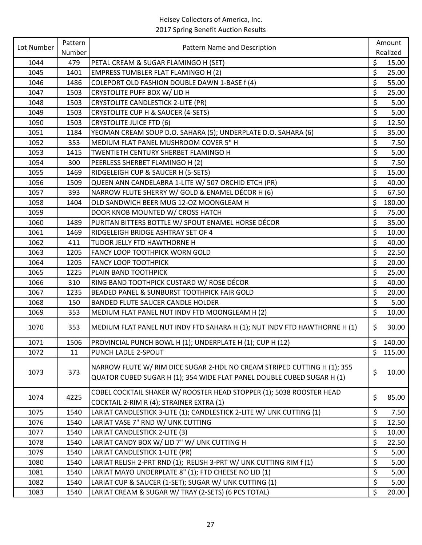| Lot Number | Pattern | Pattern Name and Description                                                                                                                       |         | Amount   |
|------------|---------|----------------------------------------------------------------------------------------------------------------------------------------------------|---------|----------|
|            | Number  |                                                                                                                                                    |         | Realized |
| 1044       | 479     | PETAL CREAM & SUGAR FLAMINGO H (SET)                                                                                                               | \$      | 15.00    |
| 1045       | 1401    | <b>EMPRESS TUMBLER FLAT FLAMINGO H (2)</b>                                                                                                         | \$      | 25.00    |
| 1046       | 1486    | COLEPORT OLD FASHION DOUBLE DAWN 1-BASE f (4)                                                                                                      | \$      | 55.00    |
| 1047       | 1503    | CRYSTOLITE PUFF BOX W/ LID H                                                                                                                       | \$      | 25.00    |
| 1048       | 1503    | <b>CRYSTOLITE CANDLESTICK 2-LITE (PR)</b>                                                                                                          | \$      | 5.00     |
| 1049       | 1503    | CRYSTOLITE CUP H & SAUCER (4-SETS)                                                                                                                 | \$      | 5.00     |
| 1050       | 1503    | <b>CRYSTOLITE JUICE FTD (6)</b>                                                                                                                    | \$      | 12.50    |
| 1051       | 1184    | YEOMAN CREAM SOUP D.O. SAHARA (5); UNDERPLATE D.O. SAHARA (6)                                                                                      | \$      | 35.00    |
| 1052       | 353     | MEDIUM FLAT PANEL MUSHROOM COVER 5" H                                                                                                              | \$      | 7.50     |
| 1053       | 1415    | TWENTIETH CENTURY SHERBET FLAMINGO H                                                                                                               | \$      | 5.00     |
| 1054       | 300     | PEERLESS SHERBET FLAMINGO H (2)                                                                                                                    | \$      | 7.50     |
| 1055       | 1469    | RIDGELEIGH CUP & SAUCER H (5-SETS)                                                                                                                 | \$      | 15.00    |
| 1056       | 1509    | QUEEN ANN CANDELABRA 1-LITE W/ 507 ORCHID ETCH (PR)                                                                                                | \$      | 40.00    |
| 1057       | 393     | NARROW FLUTE SHERRY W/ GOLD & ENAMEL DÉCOR H (6)                                                                                                   | \$      | 67.50    |
| 1058       | 1404    | OLD SANDWICH BEER MUG 12-OZ MOONGLEAM H                                                                                                            | \$      | 180.00   |
| 1059       |         | DOOR KNOB MOUNTED W/ CROSS HATCH                                                                                                                   | \$      | 75.00    |
| 1060       | 1489    | PURITAN BITTERS BOTTLE W/ SPOUT ENAMEL HORSE DÉCOR                                                                                                 | \$      | 35.00    |
| 1061       | 1469    | RIDGELEIGH BRIDGE ASHTRAY SET OF 4                                                                                                                 | \$      | 10.00    |
| 1062       | 411     | TUDOR JELLY FTD HAWTHORNE H                                                                                                                        | \$      | 40.00    |
| 1063       | 1205    | <b>FANCY LOOP TOOTHPICK WORN GOLD</b>                                                                                                              | \$      | 22.50    |
| 1064       | 1205    | <b>FANCY LOOP TOOTHPICK</b>                                                                                                                        | \$      | 20.00    |
| 1065       | 1225    | PLAIN BAND TOOTHPICK                                                                                                                               | \$      | 25.00    |
| 1066       | 310     | RING BAND TOOTHPICK CUSTARD W/ ROSE DÉCOR                                                                                                          | \$      | 40.00    |
| 1067       | 1235    | BEADED PANEL & SUNBURST TOOTHPICK FAIR GOLD                                                                                                        | \$      | 20.00    |
| 1068       | 150     | <b>BANDED FLUTE SAUCER CANDLE HOLDER</b>                                                                                                           | $\zeta$ | 5.00     |
| 1069       | 353     | MEDIUM FLAT PANEL NUT INDV FTD MOONGLEAM H (2)                                                                                                     | \$      | 10.00    |
| 1070       | 353     | MEDIUM FLAT PANEL NUT INDV FTD SAHARA H (1); NUT INDV FTD HAWTHORNE H (1)                                                                          | \$      | 30.00    |
| 1071       | 1506    | PROVINCIAL PUNCH BOWL H (1); UNDERPLATE H (1); CUP H (12)                                                                                          | $\zeta$ | 140.00   |
| 1072       | 11      | PUNCH LADLE 2-SPOUT                                                                                                                                | $\zeta$ | 115.00   |
| 1073       | 373     | NARROW FLUTE W/ RIM DICE SUGAR 2-HDL NO CREAM STRIPED CUTTING H (1); 355<br>QUATOR CUBED SUGAR H (1); 354 WIDE FLAT PANEL DOUBLE CUBED SUGAR H (1) | \$      | 10.00    |
| 1074       | 4225    | COBEL COCKTAIL SHAKER W/ ROOSTER HEAD STOPPER (1); 5038 ROOSTER HEAD<br>COCKTAIL 2-RIM R (4); STRAINER EXTRA (1)                                   | \$      | 85.00    |
| 1075       | 1540    | LARIAT CANDLESTICK 3-LITE (1); CANDLESTICK 2-LITE W/ UNK CUTTING (1)                                                                               | \$      | 7.50     |
| 1076       | 1540    | LARIAT VASE 7" RND W/ UNK CUTTING                                                                                                                  | \$      | 12.50    |
| 1077       | 1540    | LARIAT CANDLESTICK 2-LITE (3)                                                                                                                      | \$      | 10.00    |
| 1078       | 1540    | LARIAT CANDY BOX W/ LID 7" W/ UNK CUTTING H                                                                                                        | \$      | 22.50    |
| 1079       | 1540    | LARIAT CANDLESTICK 1-LITE (PR)                                                                                                                     | \$      | 5.00     |
| 1080       | 1540    | LARIAT RELISH 2-PRT RND (1); RELISH 3-PRT W/ UNK CUTTING RIM f (1)                                                                                 | \$      | 5.00     |
| 1081       | 1540    | LARIAT MAYO UNDERPLATE 8" (1); FTD CHEESE NO LID (1)                                                                                               | \$      | 5.00     |
| 1082       | 1540    | LARIAT CUP & SAUCER (1-SET); SUGAR W/ UNK CUTTING (1)                                                                                              | \$      | 5.00     |
| 1083       | 1540    | LARIAT CREAM & SUGAR W/ TRAY (2-SETS) (6 PCS TOTAL)                                                                                                | \$      | 20.00    |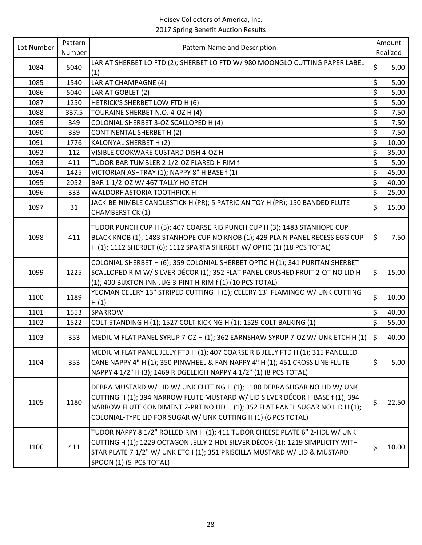| Lot Number | Pattern | Pattern Name and Description                                                                                                                                                                                                                                                                                  | Amount      |
|------------|---------|---------------------------------------------------------------------------------------------------------------------------------------------------------------------------------------------------------------------------------------------------------------------------------------------------------------|-------------|
|            | Number  |                                                                                                                                                                                                                                                                                                               | Realized    |
| 1084       | 5040    | LARIAT SHERBET LO FTD (2); SHERBET LO FTD W/ 980 MOONGLO CUTTING PAPER LABEL<br>(1)                                                                                                                                                                                                                           | \$<br>5.00  |
| 1085       | 1540    | LARIAT CHAMPAGNE (4)                                                                                                                                                                                                                                                                                          | \$<br>5.00  |
| 1086       | 5040    | LARIAT GOBLET (2)                                                                                                                                                                                                                                                                                             | \$<br>5.00  |
| 1087       | 1250    | HETRICK'S SHERBET LOW FTD H (6)                                                                                                                                                                                                                                                                               | \$<br>5.00  |
| 1088       | 337.5   | TOURAINE SHERBET N.O. 4-OZ H (4)                                                                                                                                                                                                                                                                              | \$<br>7.50  |
| 1089       | 349     | COLONIAL SHERBET 3-OZ SCALLOPED H (4)                                                                                                                                                                                                                                                                         | \$<br>7.50  |
| 1090       | 339     | <b>CONTINENTAL SHERBET H (2)</b>                                                                                                                                                                                                                                                                              | \$<br>7.50  |
| 1091       | 1776    | KALONYAL SHERBET H (2)                                                                                                                                                                                                                                                                                        | \$<br>10.00 |
| 1092       | 112     | VISIBLE COOKWARE CUSTARD DISH 4-OZ H                                                                                                                                                                                                                                                                          | \$<br>35.00 |
| 1093       | 411     | TUDOR BAR TUMBLER 2 1/2-OZ FLARED H RIM f                                                                                                                                                                                                                                                                     | \$<br>5.00  |
| 1094       | 1425    | VICTORIAN ASHTRAY (1); NAPPY 8" H BASE f (1)                                                                                                                                                                                                                                                                  | \$<br>45.00 |
| 1095       | 2052    | BAR 1 1/2-OZ W/ 467 TALLY HO ETCH                                                                                                                                                                                                                                                                             | \$<br>40.00 |
| 1096       | 333     | WALDORF ASTORIA TOOTHPICK H                                                                                                                                                                                                                                                                                   | \$<br>25.00 |
| 1097       | 31      | JACK-BE-NIMBLE CANDLESTICK H (PR); 5 PATRICIAN TOY H (PR); 150 BANDED FLUTE<br><b>CHAMBERSTICK (1)</b>                                                                                                                                                                                                        | \$<br>15.00 |
| 1098       | 411     | TUDOR PUNCH CUP H (5); 407 COARSE RIB PUNCH CUP H (3); 1483 STANHOPE CUP<br>BLACK KNOB (1); 1483 STANHOPE CUP NO KNOB (1); 429 PLAIN PANEL RECESS EGG CUP<br>H (1); 1112 SHERBET (6); 1112 SPARTA SHERBET W/ OPTIC (1) (18 PCS TOTAL)                                                                         | \$<br>7.50  |
| 1099       | 1225    | COLONIAL SHERBET H (6); 359 COLONIAL SHERBET OPTIC H (1); 341 PURITAN SHERBET<br>SCALLOPED RIM W/ SILVER DÉCOR (1); 352 FLAT PANEL CRUSHED FRUIT 2-QT NO LID H<br>(1); 400 BUXTON INN JUG 3-PINT H RIM f (1) (10 PCS TOTAL)                                                                                   | \$<br>15.00 |
| 1100       | 1189    | YEOMAN CELERY 13" STRIPED CUTTING H (1); CELERY 13" FLAMINGO W/ UNK CUTTING<br>H(1)                                                                                                                                                                                                                           | \$<br>10.00 |
| 1101       | 1553    | <b>SPARROW</b>                                                                                                                                                                                                                                                                                                | \$<br>40.00 |
| 1102       | 1522    | COLT STANDING H (1); 1527 COLT KICKING H (1); 1529 COLT BALKING (1)                                                                                                                                                                                                                                           | \$<br>55.00 |
| 1103       | 353     | MEDIUM FLAT PANEL SYRUP 7-OZ H (1); 362 EARNSHAW SYRUP 7-OZ W/ UNK ETCH H (1)                                                                                                                                                                                                                                 | \$<br>40.00 |
| 1104       | 353     | MEDIUM FLAT PANEL JELLY FTD H (1); 407 COARSE RIB JELLY FTD H (1); 315 PANELLED<br>CANE NAPPY 4" H (1); 350 PINWHEEL & FAN NAPPY 4" H (1); 451 CROSS LINE FLUTE<br>NAPPY 4 1/2" H (3); 1469 RIDGELEIGH NAPPY 4 1/2" (1) (8 PCS TOTAL)                                                                         | \$<br>5.00  |
| 1105       | 1180    | DEBRA MUSTARD W/ LID W/ UNK CUTTING H (1); 1180 DEBRA SUGAR NO LID W/ UNK<br>CUTTING H (1); 394 NARROW FLUTE MUSTARD W/ LID SILVER DÉCOR H BASE f (1); 394<br>NARROW FLUTE CONDIMENT 2-PRT NO LID H (1); 352 FLAT PANEL SUGAR NO LID H (1);<br>COLONIAL-TYPE LID FOR SUGAR W/ UNK CUTTING H (1) (6 PCS TOTAL) | \$<br>22.50 |
| 1106       | 411     | TUDOR NAPPY 8 1/2" ROLLED RIM H (1); 411 TUDOR CHEESE PLATE 6" 2-HDL W/ UNK<br>CUTTING H (1); 1229 OCTAGON JELLY 2-HDL SILVER DÉCOR (1); 1219 SIMPLICITY WITH<br>STAR PLATE 7 1/2" W/ UNK ETCH (1); 351 PRISCILLA MUSTARD W/ LID & MUSTARD<br>SPOON (1) (5-PCS TOTAL)                                         | \$<br>10.00 |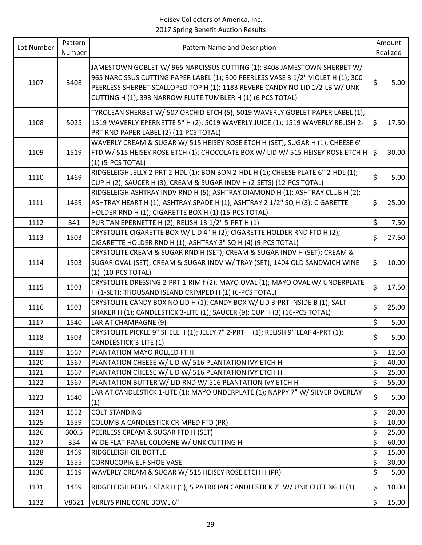| Lot Number | Pattern | Pattern Name and Description                                                                                                                                                                                                                                                                                |         | Amount   |
|------------|---------|-------------------------------------------------------------------------------------------------------------------------------------------------------------------------------------------------------------------------------------------------------------------------------------------------------------|---------|----------|
|            | Number  |                                                                                                                                                                                                                                                                                                             |         | Realized |
| 1107       | 3408    | JAMESTOWN GOBLET W/965 NARCISSUS CUTTING (1); 3408 JAMESTOWN SHERBET W/<br>965 NARCISSUS CUTTING PAPER LABEL (1); 300 PEERLESS VASE 3 1/2" VIOLET H (1); 300<br>PEERLESS SHERBET SCALLOPED TOP H (1); 1183 REVERE CANDY NO LID 1/2-LB W/ UNK<br>CUTTING H (1); 393 NARROW FLUTE TUMBLER H (1) (6 PCS TOTAL) | \$      | 5.00     |
| 1108       | 5025    | TYROLEAN SHERBET W/ 507 ORCHID ETCH (5); 5019 WAVERLY GOBLET PAPER LABEL (1);<br>1519 WAVERLY EPERNETTE 5" H (2); 5019 WAVERLY JUICE (1); 1519 WAVERLY RELISH 2-<br>PRT RND PAPER LABEL (2) (11-PCS TOTAL)                                                                                                  | \$      | 17.50    |
| 1109       | 1519    | WAVERLY CREAM & SUGAR W/ 515 HEISEY ROSE ETCH H (SET); SUGAR H (1); CHEESE 6"<br>FTD W/ 515 HEISEY ROSE ETCH (1); CHOCOLATE BOX W/ LID W/ 515 HEISEY ROSE ETCH H<br>$(1)$ (5-PCS TOTAL)                                                                                                                     | \$      | 30.00    |
| 1110       | 1469    | RIDGELEIGH JELLY 2-PRT 2-HDL (1); BON BON 2-HDL H (1); CHEESE PLATE 6" 2-HDL (1);<br>CUP H (2); SAUCER H (3); CREAM & SUGAR INDV H (2-SETS) (12-PCS TOTAL)                                                                                                                                                  | $\zeta$ | 5.00     |
| 1111       | 1469    | RIDGELEIGH ASHTRAY INDV RND H (5); ASHTRAY DIAMOND H (1); ASHTRAY CLUB H (2);<br>ASHTRAY HEART H (1); ASHTRAY SPADE H (1); ASHTRAY 2 1/2" SQ H (3); CIGARETTE<br>HOLDER RND H (1); CIGARETTE BOX H (1) (15-PCS TOTAL)                                                                                       | \$      | 25.00    |
| 1112       | 341     | PURITAN EPERNETTE H (2); RELISH 13 1/2" 5-PRT H (1)                                                                                                                                                                                                                                                         | \$      | 7.50     |
| 1113       | 1503    | CRYSTOLITE CIGARETTE BOX W/ LID 4" H (2); CIGARETTE HOLDER RND FTD H (2);<br>CIGARETTE HOLDER RND H (1); ASHTRAY 3" SQ H (4) (9-PCS TOTAL)                                                                                                                                                                  | \$      | 27.50    |
| 1114       | 1503    | CRYSTOLITE CREAM & SUGAR RND H (SET); CREAM & SUGAR INDV H (SET); CREAM &<br>SUGAR OVAL (SET); CREAM & SUGAR INDV W/ TRAY (SET); 1404 OLD SANDWICH WINE<br>(1) (10-PCS TOTAL)                                                                                                                               | \$      | 10.00    |
| 1115       | 1503    | CRYSTOLITE DRESSING 2-PRT 1-RIM f (2); MAYO OVAL (1); MAYO OVAL W/ UNDERPLATE<br>H (1-SET); THOUSAND ISLAND CRIMPED H (1) (6-PCS TOTAL)                                                                                                                                                                     | $\zeta$ | 17.50    |
| 1116       | 1503    | CRYSTOLITE CANDY BOX NO LID H (1); CANDY BOX W/ LID 3-PRT INSIDE B (1); SALT<br>SHAKER H (1); CANDLESTICK 3-LITE (1); SAUCER (9); CUP H (3) (16-PCS TOTAL)                                                                                                                                                  | \$      | 25.00    |
| 1117       | 1540    | LARIAT CHAMPAGNE (9)                                                                                                                                                                                                                                                                                        | \$      | 5.00     |
| 1118       | 1503    | CRYSTOLITE PICKLE 9" SHELL H (1); JELLY 7" 2-PRT H (1); RELISH 9" LEAF 4-PRT (1);<br><b>CANDLESTICK 3-LITE (1)</b>                                                                                                                                                                                          | \$      | 5.00     |
| 1119       | 1567    | PLANTATION MAYO ROLLED FT H                                                                                                                                                                                                                                                                                 | \$      | 12.50    |
| 1120       | 1567    | PLANTATION CHEESE W/ LID W/ 516 PLANTATION IVY ETCH H                                                                                                                                                                                                                                                       | \$      | 40.00    |
| 1121       | 1567    | PLANTATION CHEESE W/ LID W/ 516 PLANTATION IVY ETCH H                                                                                                                                                                                                                                                       | \$      | 25.00    |
| 1122       | 1567    | PLANTATION BUTTER W/ LID RND W/ 516 PLANTATION IVY ETCH H                                                                                                                                                                                                                                                   | \$      | 55.00    |
| 1123       | 1540    | LARIAT CANDLESTICK 1-LITE (1); MAYO UNDERPLATE (1); NAPPY 7" W/ SILVER OVERLAY<br>(1)                                                                                                                                                                                                                       | $\zeta$ | 5.00     |
| 1124       | 1552    | <b>COLT STANDING</b>                                                                                                                                                                                                                                                                                        | \$      | 20.00    |
| 1125       | 1559    | COLUMBIA CANDLESTICK CRIMPED FTD (PR)                                                                                                                                                                                                                                                                       | \$      | 10.00    |
| 1126       | 300.5   | PEERLESS CREAM & SUGAR FTD H (SET)                                                                                                                                                                                                                                                                          | \$      | 25.00    |
| 1127       | 354     | WIDE FLAT PANEL COLOGNE W/ UNK CUTTING H                                                                                                                                                                                                                                                                    | \$      | 60.00    |
| 1128       | 1469    | RIDGELEIGH OIL BOTTLE                                                                                                                                                                                                                                                                                       | \$      | 15.00    |
| 1129       | 1555    | <b>CORNUCOPIA ELF SHOE VASE</b>                                                                                                                                                                                                                                                                             | \$      | 30.00    |
| 1130       | 1519    | WAVERLY CREAM & SUGAR W/ 515 HEISEY ROSE ETCH H (PR)                                                                                                                                                                                                                                                        | \$      | 5.00     |
| 1131       | 1469    | RIDGELEIGH RELISH STAR H (1); 5 PATRICIAN CANDLESTICK 7" W/ UNK CUTTING H (1)                                                                                                                                                                                                                               | \$      | 10.00    |
| 1132       | V8621   | <b>VERLYS PINE CONE BOWL 6"</b>                                                                                                                                                                                                                                                                             | \$      | 15.00    |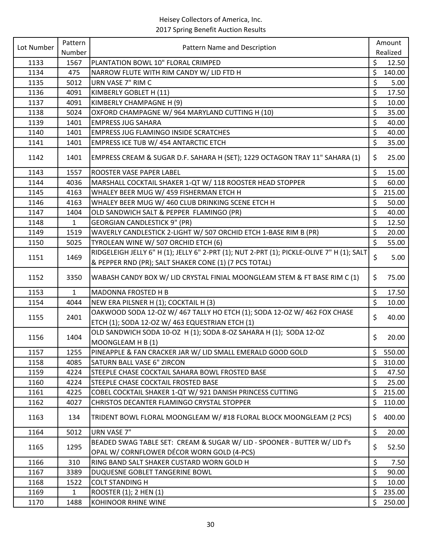| Realized<br>Number<br>\$<br>PLANTATION BOWL 10" FLORAL CRIMPED<br>1133<br>1567<br>12.50<br>\$<br>1134<br>475<br>NARROW FLUTE WITH RIM CANDY W/ LID FTD H<br>140.00<br>\$<br>1135<br>5012<br>URN VASE 7" RIM C<br>5.00<br>\$<br>1136<br>4091<br>KIMBERLY GOBLET H (11)<br>17.50<br>\$<br>1137<br>KIMBERLY CHAMPAGNE H (9)<br>10.00<br>4091<br>\$<br>35.00<br>OXFORD CHAMPAGNE W/ 964 MARYLAND CUTTING H (10)<br>1138<br>5024<br>\$<br>40.00<br>1139<br>1401<br><b>EMPRESS JUG SAHARA</b><br>\$<br>1401<br><b>EMPRESS JUG FLAMINGO INSIDE SCRATCHES</b><br>40.00<br>1140<br>\$<br>35.00<br>1141<br>1401<br>EMPRESS ICE TUB W/ 454 ANTARCTIC ETCH<br>\$<br>EMPRESS CREAM & SUGAR D.F. SAHARA H (SET); 1229 OCTAGON TRAY 11" SAHARA (1)<br>25.00<br>1142<br>1401<br>\$<br>1143<br>15.00<br>1557<br>ROOSTER VASE PAPER LABEL<br>\$<br>60.00<br>1144<br>4036<br>MARSHALL COCKTAIL SHAKER 1-QT W/ 118 ROOSTER HEAD STOPPER<br>\$<br>WHALEY BEER MUG W/ 459 FISHERMAN ETCH H<br>1145<br>4163<br>215.00<br>\$<br>WHALEY BEER MUG W/ 460 CLUB DRINKING SCENE ETCH H<br>50.00<br>1146<br>4163<br>\$<br>OLD SANDWICH SALT & PEPPER FLAMINGO (PR)<br>40.00<br>1147<br>1404<br>\$<br><b>GEORGIAN CANDLESTICK 9" (PR)</b><br>12.50<br>1148<br>$\mathbf{1}$<br>\$<br>20.00<br>1519<br>WAVERLY CANDLESTICK 2-LIGHT W/ 507 ORCHID ETCH 1-BASE RIM B (PR)<br>1149<br>\$<br>55.00<br>TYROLEAN WINE W/ 507 ORCHID ETCH (6)<br>1150<br>5025<br>RIDGELEIGH JELLY 6" H (1); JELLY 6" 2-PRT (1); NUT 2-PRT (1); PICKLE-OLIVE 7" H (1); SALT<br>$\zeta$<br>1469<br>5.00<br>1151<br>& PEPPER RND (PR); SALT SHAKER CONE (1) (7 PCS TOTAL)<br>\$<br>WABASH CANDY BOX W/ LID CRYSTAL FINIAL MOONGLEAM STEM & FT BASE RIM C (1)<br>75.00<br>1152<br>3350<br>\$<br>17.50<br>1153<br>$\mathbf{1}$<br>MADONNA FROSTED H B<br>\$<br>NEW ERA PILSNER H (1); COCKTAIL H (3)<br>10.00<br>1154<br>4044<br>OAKWOOD SODA 12-OZ W/ 467 TALLY HO ETCH (1); SODA 12-OZ W/ 462 FOX CHASE<br>\$<br>2401<br>40.00<br>1155<br>ETCH (1); SODA 12-OZ W/ 463 EQUESTRIAN ETCH (1)<br>OLD SANDWICH SODA 10-OZ H (1); SODA 8-OZ SAHARA H (1); SODA 12-OZ<br>\$<br>1404<br>20.00<br>1156<br>MOONGLEAM H B (1)<br>\$<br>PINEAPPLE & FAN CRACKER JAR W/ LID SMALL EMERALD GOOD GOLD<br>550.00<br>1157<br>1255<br>\$<br>310.00<br>4085<br>SATURN BALL VASE 6" ZIRCON<br>1158<br>\$<br>STEEPLE CHASE COCKTAIL SAHARA BOWL FROSTED BASE<br>47.50<br>1159<br>4224<br>\$<br>STEEPLE CHASE COCKTAIL FROSTED BASE<br>25.00<br>1160<br>4224<br>\$<br>1161<br>COBEL COCKTAIL SHAKER 1-QT W/ 921 DANISH PRINCESS CUTTING<br>215.00<br>4225<br>1162<br>CHRISTOS DECANTER FLAMINGO CRYSTAL STOPPER<br>\$<br>110.00<br>4027<br>400.00<br>TRIDENT BOWL FLORAL MOONGLEAM W/ #18 FLORAL BLOCK MOONGLEAM (2 PCS)<br>\$<br>1163<br>134<br><b>URN VASE 7"</b><br>\$<br>1164<br>5012<br>20.00<br>BEADED SWAG TABLE SET: CREAM & SUGAR W/ LID - SPOONER - BUTTER W/ LID f's<br>\$<br>1295<br>52.50<br>1165<br>OPAL W/ CORNFLOWER DÉCOR WORN GOLD (4-PCS)<br>\$<br>1166<br>310<br>RING BAND SALT SHAKER CUSTARD WORN GOLD H<br>7.50<br>\$<br>1167<br>3389<br>DUQUESNE GOBLET TANGERINE BOWL<br>90.00<br>\$<br>1168<br>10.00<br>1522<br><b>COLT STANDING H</b><br>\$<br>235.00<br>1169<br>$\mathbf{1}$<br>ROOSTER (1); 2 HEN (1)<br>\$<br>250.00<br>1170<br>1488<br>KOHINOOR RHINE WINE | Lot Number | Pattern | Pattern Name and Description | Amount |
|----------------------------------------------------------------------------------------------------------------------------------------------------------------------------------------------------------------------------------------------------------------------------------------------------------------------------------------------------------------------------------------------------------------------------------------------------------------------------------------------------------------------------------------------------------------------------------------------------------------------------------------------------------------------------------------------------------------------------------------------------------------------------------------------------------------------------------------------------------------------------------------------------------------------------------------------------------------------------------------------------------------------------------------------------------------------------------------------------------------------------------------------------------------------------------------------------------------------------------------------------------------------------------------------------------------------------------------------------------------------------------------------------------------------------------------------------------------------------------------------------------------------------------------------------------------------------------------------------------------------------------------------------------------------------------------------------------------------------------------------------------------------------------------------------------------------------------------------------------------------------------------------------------------------------------------------------------------------------------------------------------------------------------------------------------------------------------------------------------------------------------------------------------------------------------------------------------------------------------------------------------------------------------------------------------------------------------------------------------------------------------------------------------------------------------------------------------------------------------------------------------------------------------------------------------------------------------------------------------------------------------------------------------------------------------------------------------------------------------------------------------------------------------------------------------------------------------------------------------------------------------------------------------------------------------------------------------------------------------------------------------------------------------------------------------------------------------------------------------------------------------------------------------------------------------------------------------------------------------------------------------------------------------------------------------|------------|---------|------------------------------|--------|
|                                                                                                                                                                                                                                                                                                                                                                                                                                                                                                                                                                                                                                                                                                                                                                                                                                                                                                                                                                                                                                                                                                                                                                                                                                                                                                                                                                                                                                                                                                                                                                                                                                                                                                                                                                                                                                                                                                                                                                                                                                                                                                                                                                                                                                                                                                                                                                                                                                                                                                                                                                                                                                                                                                                                                                                                                                                                                                                                                                                                                                                                                                                                                                                                                                                                                                          |            |         |                              |        |
|                                                                                                                                                                                                                                                                                                                                                                                                                                                                                                                                                                                                                                                                                                                                                                                                                                                                                                                                                                                                                                                                                                                                                                                                                                                                                                                                                                                                                                                                                                                                                                                                                                                                                                                                                                                                                                                                                                                                                                                                                                                                                                                                                                                                                                                                                                                                                                                                                                                                                                                                                                                                                                                                                                                                                                                                                                                                                                                                                                                                                                                                                                                                                                                                                                                                                                          |            |         |                              |        |
|                                                                                                                                                                                                                                                                                                                                                                                                                                                                                                                                                                                                                                                                                                                                                                                                                                                                                                                                                                                                                                                                                                                                                                                                                                                                                                                                                                                                                                                                                                                                                                                                                                                                                                                                                                                                                                                                                                                                                                                                                                                                                                                                                                                                                                                                                                                                                                                                                                                                                                                                                                                                                                                                                                                                                                                                                                                                                                                                                                                                                                                                                                                                                                                                                                                                                                          |            |         |                              |        |
|                                                                                                                                                                                                                                                                                                                                                                                                                                                                                                                                                                                                                                                                                                                                                                                                                                                                                                                                                                                                                                                                                                                                                                                                                                                                                                                                                                                                                                                                                                                                                                                                                                                                                                                                                                                                                                                                                                                                                                                                                                                                                                                                                                                                                                                                                                                                                                                                                                                                                                                                                                                                                                                                                                                                                                                                                                                                                                                                                                                                                                                                                                                                                                                                                                                                                                          |            |         |                              |        |
|                                                                                                                                                                                                                                                                                                                                                                                                                                                                                                                                                                                                                                                                                                                                                                                                                                                                                                                                                                                                                                                                                                                                                                                                                                                                                                                                                                                                                                                                                                                                                                                                                                                                                                                                                                                                                                                                                                                                                                                                                                                                                                                                                                                                                                                                                                                                                                                                                                                                                                                                                                                                                                                                                                                                                                                                                                                                                                                                                                                                                                                                                                                                                                                                                                                                                                          |            |         |                              |        |
|                                                                                                                                                                                                                                                                                                                                                                                                                                                                                                                                                                                                                                                                                                                                                                                                                                                                                                                                                                                                                                                                                                                                                                                                                                                                                                                                                                                                                                                                                                                                                                                                                                                                                                                                                                                                                                                                                                                                                                                                                                                                                                                                                                                                                                                                                                                                                                                                                                                                                                                                                                                                                                                                                                                                                                                                                                                                                                                                                                                                                                                                                                                                                                                                                                                                                                          |            |         |                              |        |
|                                                                                                                                                                                                                                                                                                                                                                                                                                                                                                                                                                                                                                                                                                                                                                                                                                                                                                                                                                                                                                                                                                                                                                                                                                                                                                                                                                                                                                                                                                                                                                                                                                                                                                                                                                                                                                                                                                                                                                                                                                                                                                                                                                                                                                                                                                                                                                                                                                                                                                                                                                                                                                                                                                                                                                                                                                                                                                                                                                                                                                                                                                                                                                                                                                                                                                          |            |         |                              |        |
|                                                                                                                                                                                                                                                                                                                                                                                                                                                                                                                                                                                                                                                                                                                                                                                                                                                                                                                                                                                                                                                                                                                                                                                                                                                                                                                                                                                                                                                                                                                                                                                                                                                                                                                                                                                                                                                                                                                                                                                                                                                                                                                                                                                                                                                                                                                                                                                                                                                                                                                                                                                                                                                                                                                                                                                                                                                                                                                                                                                                                                                                                                                                                                                                                                                                                                          |            |         |                              |        |
|                                                                                                                                                                                                                                                                                                                                                                                                                                                                                                                                                                                                                                                                                                                                                                                                                                                                                                                                                                                                                                                                                                                                                                                                                                                                                                                                                                                                                                                                                                                                                                                                                                                                                                                                                                                                                                                                                                                                                                                                                                                                                                                                                                                                                                                                                                                                                                                                                                                                                                                                                                                                                                                                                                                                                                                                                                                                                                                                                                                                                                                                                                                                                                                                                                                                                                          |            |         |                              |        |
|                                                                                                                                                                                                                                                                                                                                                                                                                                                                                                                                                                                                                                                                                                                                                                                                                                                                                                                                                                                                                                                                                                                                                                                                                                                                                                                                                                                                                                                                                                                                                                                                                                                                                                                                                                                                                                                                                                                                                                                                                                                                                                                                                                                                                                                                                                                                                                                                                                                                                                                                                                                                                                                                                                                                                                                                                                                                                                                                                                                                                                                                                                                                                                                                                                                                                                          |            |         |                              |        |
|                                                                                                                                                                                                                                                                                                                                                                                                                                                                                                                                                                                                                                                                                                                                                                                                                                                                                                                                                                                                                                                                                                                                                                                                                                                                                                                                                                                                                                                                                                                                                                                                                                                                                                                                                                                                                                                                                                                                                                                                                                                                                                                                                                                                                                                                                                                                                                                                                                                                                                                                                                                                                                                                                                                                                                                                                                                                                                                                                                                                                                                                                                                                                                                                                                                                                                          |            |         |                              |        |
|                                                                                                                                                                                                                                                                                                                                                                                                                                                                                                                                                                                                                                                                                                                                                                                                                                                                                                                                                                                                                                                                                                                                                                                                                                                                                                                                                                                                                                                                                                                                                                                                                                                                                                                                                                                                                                                                                                                                                                                                                                                                                                                                                                                                                                                                                                                                                                                                                                                                                                                                                                                                                                                                                                                                                                                                                                                                                                                                                                                                                                                                                                                                                                                                                                                                                                          |            |         |                              |        |
|                                                                                                                                                                                                                                                                                                                                                                                                                                                                                                                                                                                                                                                                                                                                                                                                                                                                                                                                                                                                                                                                                                                                                                                                                                                                                                                                                                                                                                                                                                                                                                                                                                                                                                                                                                                                                                                                                                                                                                                                                                                                                                                                                                                                                                                                                                                                                                                                                                                                                                                                                                                                                                                                                                                                                                                                                                                                                                                                                                                                                                                                                                                                                                                                                                                                                                          |            |         |                              |        |
|                                                                                                                                                                                                                                                                                                                                                                                                                                                                                                                                                                                                                                                                                                                                                                                                                                                                                                                                                                                                                                                                                                                                                                                                                                                                                                                                                                                                                                                                                                                                                                                                                                                                                                                                                                                                                                                                                                                                                                                                                                                                                                                                                                                                                                                                                                                                                                                                                                                                                                                                                                                                                                                                                                                                                                                                                                                                                                                                                                                                                                                                                                                                                                                                                                                                                                          |            |         |                              |        |
|                                                                                                                                                                                                                                                                                                                                                                                                                                                                                                                                                                                                                                                                                                                                                                                                                                                                                                                                                                                                                                                                                                                                                                                                                                                                                                                                                                                                                                                                                                                                                                                                                                                                                                                                                                                                                                                                                                                                                                                                                                                                                                                                                                                                                                                                                                                                                                                                                                                                                                                                                                                                                                                                                                                                                                                                                                                                                                                                                                                                                                                                                                                                                                                                                                                                                                          |            |         |                              |        |
|                                                                                                                                                                                                                                                                                                                                                                                                                                                                                                                                                                                                                                                                                                                                                                                                                                                                                                                                                                                                                                                                                                                                                                                                                                                                                                                                                                                                                                                                                                                                                                                                                                                                                                                                                                                                                                                                                                                                                                                                                                                                                                                                                                                                                                                                                                                                                                                                                                                                                                                                                                                                                                                                                                                                                                                                                                                                                                                                                                                                                                                                                                                                                                                                                                                                                                          |            |         |                              |        |
|                                                                                                                                                                                                                                                                                                                                                                                                                                                                                                                                                                                                                                                                                                                                                                                                                                                                                                                                                                                                                                                                                                                                                                                                                                                                                                                                                                                                                                                                                                                                                                                                                                                                                                                                                                                                                                                                                                                                                                                                                                                                                                                                                                                                                                                                                                                                                                                                                                                                                                                                                                                                                                                                                                                                                                                                                                                                                                                                                                                                                                                                                                                                                                                                                                                                                                          |            |         |                              |        |
|                                                                                                                                                                                                                                                                                                                                                                                                                                                                                                                                                                                                                                                                                                                                                                                                                                                                                                                                                                                                                                                                                                                                                                                                                                                                                                                                                                                                                                                                                                                                                                                                                                                                                                                                                                                                                                                                                                                                                                                                                                                                                                                                                                                                                                                                                                                                                                                                                                                                                                                                                                                                                                                                                                                                                                                                                                                                                                                                                                                                                                                                                                                                                                                                                                                                                                          |            |         |                              |        |
|                                                                                                                                                                                                                                                                                                                                                                                                                                                                                                                                                                                                                                                                                                                                                                                                                                                                                                                                                                                                                                                                                                                                                                                                                                                                                                                                                                                                                                                                                                                                                                                                                                                                                                                                                                                                                                                                                                                                                                                                                                                                                                                                                                                                                                                                                                                                                                                                                                                                                                                                                                                                                                                                                                                                                                                                                                                                                                                                                                                                                                                                                                                                                                                                                                                                                                          |            |         |                              |        |
|                                                                                                                                                                                                                                                                                                                                                                                                                                                                                                                                                                                                                                                                                                                                                                                                                                                                                                                                                                                                                                                                                                                                                                                                                                                                                                                                                                                                                                                                                                                                                                                                                                                                                                                                                                                                                                                                                                                                                                                                                                                                                                                                                                                                                                                                                                                                                                                                                                                                                                                                                                                                                                                                                                                                                                                                                                                                                                                                                                                                                                                                                                                                                                                                                                                                                                          |            |         |                              |        |
|                                                                                                                                                                                                                                                                                                                                                                                                                                                                                                                                                                                                                                                                                                                                                                                                                                                                                                                                                                                                                                                                                                                                                                                                                                                                                                                                                                                                                                                                                                                                                                                                                                                                                                                                                                                                                                                                                                                                                                                                                                                                                                                                                                                                                                                                                                                                                                                                                                                                                                                                                                                                                                                                                                                                                                                                                                                                                                                                                                                                                                                                                                                                                                                                                                                                                                          |            |         |                              |        |
|                                                                                                                                                                                                                                                                                                                                                                                                                                                                                                                                                                                                                                                                                                                                                                                                                                                                                                                                                                                                                                                                                                                                                                                                                                                                                                                                                                                                                                                                                                                                                                                                                                                                                                                                                                                                                                                                                                                                                                                                                                                                                                                                                                                                                                                                                                                                                                                                                                                                                                                                                                                                                                                                                                                                                                                                                                                                                                                                                                                                                                                                                                                                                                                                                                                                                                          |            |         |                              |        |
|                                                                                                                                                                                                                                                                                                                                                                                                                                                                                                                                                                                                                                                                                                                                                                                                                                                                                                                                                                                                                                                                                                                                                                                                                                                                                                                                                                                                                                                                                                                                                                                                                                                                                                                                                                                                                                                                                                                                                                                                                                                                                                                                                                                                                                                                                                                                                                                                                                                                                                                                                                                                                                                                                                                                                                                                                                                                                                                                                                                                                                                                                                                                                                                                                                                                                                          |            |         |                              |        |
|                                                                                                                                                                                                                                                                                                                                                                                                                                                                                                                                                                                                                                                                                                                                                                                                                                                                                                                                                                                                                                                                                                                                                                                                                                                                                                                                                                                                                                                                                                                                                                                                                                                                                                                                                                                                                                                                                                                                                                                                                                                                                                                                                                                                                                                                                                                                                                                                                                                                                                                                                                                                                                                                                                                                                                                                                                                                                                                                                                                                                                                                                                                                                                                                                                                                                                          |            |         |                              |        |
|                                                                                                                                                                                                                                                                                                                                                                                                                                                                                                                                                                                                                                                                                                                                                                                                                                                                                                                                                                                                                                                                                                                                                                                                                                                                                                                                                                                                                                                                                                                                                                                                                                                                                                                                                                                                                                                                                                                                                                                                                                                                                                                                                                                                                                                                                                                                                                                                                                                                                                                                                                                                                                                                                                                                                                                                                                                                                                                                                                                                                                                                                                                                                                                                                                                                                                          |            |         |                              |        |
|                                                                                                                                                                                                                                                                                                                                                                                                                                                                                                                                                                                                                                                                                                                                                                                                                                                                                                                                                                                                                                                                                                                                                                                                                                                                                                                                                                                                                                                                                                                                                                                                                                                                                                                                                                                                                                                                                                                                                                                                                                                                                                                                                                                                                                                                                                                                                                                                                                                                                                                                                                                                                                                                                                                                                                                                                                                                                                                                                                                                                                                                                                                                                                                                                                                                                                          |            |         |                              |        |
|                                                                                                                                                                                                                                                                                                                                                                                                                                                                                                                                                                                                                                                                                                                                                                                                                                                                                                                                                                                                                                                                                                                                                                                                                                                                                                                                                                                                                                                                                                                                                                                                                                                                                                                                                                                                                                                                                                                                                                                                                                                                                                                                                                                                                                                                                                                                                                                                                                                                                                                                                                                                                                                                                                                                                                                                                                                                                                                                                                                                                                                                                                                                                                                                                                                                                                          |            |         |                              |        |
|                                                                                                                                                                                                                                                                                                                                                                                                                                                                                                                                                                                                                                                                                                                                                                                                                                                                                                                                                                                                                                                                                                                                                                                                                                                                                                                                                                                                                                                                                                                                                                                                                                                                                                                                                                                                                                                                                                                                                                                                                                                                                                                                                                                                                                                                                                                                                                                                                                                                                                                                                                                                                                                                                                                                                                                                                                                                                                                                                                                                                                                                                                                                                                                                                                                                                                          |            |         |                              |        |
|                                                                                                                                                                                                                                                                                                                                                                                                                                                                                                                                                                                                                                                                                                                                                                                                                                                                                                                                                                                                                                                                                                                                                                                                                                                                                                                                                                                                                                                                                                                                                                                                                                                                                                                                                                                                                                                                                                                                                                                                                                                                                                                                                                                                                                                                                                                                                                                                                                                                                                                                                                                                                                                                                                                                                                                                                                                                                                                                                                                                                                                                                                                                                                                                                                                                                                          |            |         |                              |        |
|                                                                                                                                                                                                                                                                                                                                                                                                                                                                                                                                                                                                                                                                                                                                                                                                                                                                                                                                                                                                                                                                                                                                                                                                                                                                                                                                                                                                                                                                                                                                                                                                                                                                                                                                                                                                                                                                                                                                                                                                                                                                                                                                                                                                                                                                                                                                                                                                                                                                                                                                                                                                                                                                                                                                                                                                                                                                                                                                                                                                                                                                                                                                                                                                                                                                                                          |            |         |                              |        |
|                                                                                                                                                                                                                                                                                                                                                                                                                                                                                                                                                                                                                                                                                                                                                                                                                                                                                                                                                                                                                                                                                                                                                                                                                                                                                                                                                                                                                                                                                                                                                                                                                                                                                                                                                                                                                                                                                                                                                                                                                                                                                                                                                                                                                                                                                                                                                                                                                                                                                                                                                                                                                                                                                                                                                                                                                                                                                                                                                                                                                                                                                                                                                                                                                                                                                                          |            |         |                              |        |
|                                                                                                                                                                                                                                                                                                                                                                                                                                                                                                                                                                                                                                                                                                                                                                                                                                                                                                                                                                                                                                                                                                                                                                                                                                                                                                                                                                                                                                                                                                                                                                                                                                                                                                                                                                                                                                                                                                                                                                                                                                                                                                                                                                                                                                                                                                                                                                                                                                                                                                                                                                                                                                                                                                                                                                                                                                                                                                                                                                                                                                                                                                                                                                                                                                                                                                          |            |         |                              |        |
|                                                                                                                                                                                                                                                                                                                                                                                                                                                                                                                                                                                                                                                                                                                                                                                                                                                                                                                                                                                                                                                                                                                                                                                                                                                                                                                                                                                                                                                                                                                                                                                                                                                                                                                                                                                                                                                                                                                                                                                                                                                                                                                                                                                                                                                                                                                                                                                                                                                                                                                                                                                                                                                                                                                                                                                                                                                                                                                                                                                                                                                                                                                                                                                                                                                                                                          |            |         |                              |        |
|                                                                                                                                                                                                                                                                                                                                                                                                                                                                                                                                                                                                                                                                                                                                                                                                                                                                                                                                                                                                                                                                                                                                                                                                                                                                                                                                                                                                                                                                                                                                                                                                                                                                                                                                                                                                                                                                                                                                                                                                                                                                                                                                                                                                                                                                                                                                                                                                                                                                                                                                                                                                                                                                                                                                                                                                                                                                                                                                                                                                                                                                                                                                                                                                                                                                                                          |            |         |                              |        |
|                                                                                                                                                                                                                                                                                                                                                                                                                                                                                                                                                                                                                                                                                                                                                                                                                                                                                                                                                                                                                                                                                                                                                                                                                                                                                                                                                                                                                                                                                                                                                                                                                                                                                                                                                                                                                                                                                                                                                                                                                                                                                                                                                                                                                                                                                                                                                                                                                                                                                                                                                                                                                                                                                                                                                                                                                                                                                                                                                                                                                                                                                                                                                                                                                                                                                                          |            |         |                              |        |
|                                                                                                                                                                                                                                                                                                                                                                                                                                                                                                                                                                                                                                                                                                                                                                                                                                                                                                                                                                                                                                                                                                                                                                                                                                                                                                                                                                                                                                                                                                                                                                                                                                                                                                                                                                                                                                                                                                                                                                                                                                                                                                                                                                                                                                                                                                                                                                                                                                                                                                                                                                                                                                                                                                                                                                                                                                                                                                                                                                                                                                                                                                                                                                                                                                                                                                          |            |         |                              |        |
|                                                                                                                                                                                                                                                                                                                                                                                                                                                                                                                                                                                                                                                                                                                                                                                                                                                                                                                                                                                                                                                                                                                                                                                                                                                                                                                                                                                                                                                                                                                                                                                                                                                                                                                                                                                                                                                                                                                                                                                                                                                                                                                                                                                                                                                                                                                                                                                                                                                                                                                                                                                                                                                                                                                                                                                                                                                                                                                                                                                                                                                                                                                                                                                                                                                                                                          |            |         |                              |        |
|                                                                                                                                                                                                                                                                                                                                                                                                                                                                                                                                                                                                                                                                                                                                                                                                                                                                                                                                                                                                                                                                                                                                                                                                                                                                                                                                                                                                                                                                                                                                                                                                                                                                                                                                                                                                                                                                                                                                                                                                                                                                                                                                                                                                                                                                                                                                                                                                                                                                                                                                                                                                                                                                                                                                                                                                                                                                                                                                                                                                                                                                                                                                                                                                                                                                                                          |            |         |                              |        |
|                                                                                                                                                                                                                                                                                                                                                                                                                                                                                                                                                                                                                                                                                                                                                                                                                                                                                                                                                                                                                                                                                                                                                                                                                                                                                                                                                                                                                                                                                                                                                                                                                                                                                                                                                                                                                                                                                                                                                                                                                                                                                                                                                                                                                                                                                                                                                                                                                                                                                                                                                                                                                                                                                                                                                                                                                                                                                                                                                                                                                                                                                                                                                                                                                                                                                                          |            |         |                              |        |
|                                                                                                                                                                                                                                                                                                                                                                                                                                                                                                                                                                                                                                                                                                                                                                                                                                                                                                                                                                                                                                                                                                                                                                                                                                                                                                                                                                                                                                                                                                                                                                                                                                                                                                                                                                                                                                                                                                                                                                                                                                                                                                                                                                                                                                                                                                                                                                                                                                                                                                                                                                                                                                                                                                                                                                                                                                                                                                                                                                                                                                                                                                                                                                                                                                                                                                          |            |         |                              |        |
|                                                                                                                                                                                                                                                                                                                                                                                                                                                                                                                                                                                                                                                                                                                                                                                                                                                                                                                                                                                                                                                                                                                                                                                                                                                                                                                                                                                                                                                                                                                                                                                                                                                                                                                                                                                                                                                                                                                                                                                                                                                                                                                                                                                                                                                                                                                                                                                                                                                                                                                                                                                                                                                                                                                                                                                                                                                                                                                                                                                                                                                                                                                                                                                                                                                                                                          |            |         |                              |        |
|                                                                                                                                                                                                                                                                                                                                                                                                                                                                                                                                                                                                                                                                                                                                                                                                                                                                                                                                                                                                                                                                                                                                                                                                                                                                                                                                                                                                                                                                                                                                                                                                                                                                                                                                                                                                                                                                                                                                                                                                                                                                                                                                                                                                                                                                                                                                                                                                                                                                                                                                                                                                                                                                                                                                                                                                                                                                                                                                                                                                                                                                                                                                                                                                                                                                                                          |            |         |                              |        |
|                                                                                                                                                                                                                                                                                                                                                                                                                                                                                                                                                                                                                                                                                                                                                                                                                                                                                                                                                                                                                                                                                                                                                                                                                                                                                                                                                                                                                                                                                                                                                                                                                                                                                                                                                                                                                                                                                                                                                                                                                                                                                                                                                                                                                                                                                                                                                                                                                                                                                                                                                                                                                                                                                                                                                                                                                                                                                                                                                                                                                                                                                                                                                                                                                                                                                                          |            |         |                              |        |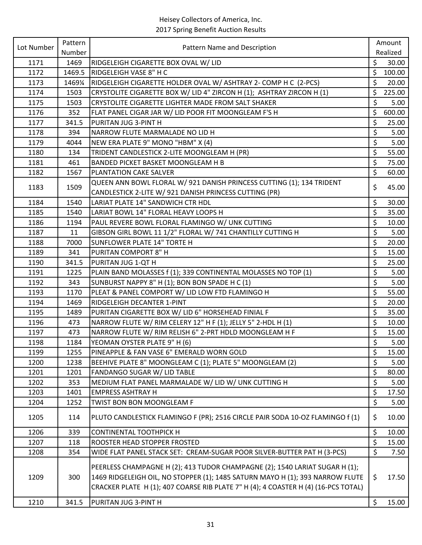| Lot Number | Pattern | Pattern Name and Description                                                                                                                                                                                                                       |                      | Amount   |
|------------|---------|----------------------------------------------------------------------------------------------------------------------------------------------------------------------------------------------------------------------------------------------------|----------------------|----------|
|            | Number  |                                                                                                                                                                                                                                                    |                      | Realized |
| 1171       | 1469    | RIDGELEIGH CIGARETTE BOX OVAL W/ LID                                                                                                                                                                                                               | \$                   | 30.00    |
| 1172       | 1469.5  | RIDGELEIGH VASE 8" H C                                                                                                                                                                                                                             | \$                   | 100.00   |
| 1173       | 1469¼   | RIDGELEIGH CIGARETTE HOLDER OVAL W/ ASHTRAY 2- COMP H C (2-PCS)                                                                                                                                                                                    | \$                   | 20.00    |
| 1174       | 1503    | CRYSTOLITE CIGARETTE BOX W/ LID 4" ZIRCON H (1); ASHTRAY ZIRCON H (1)                                                                                                                                                                              | \$                   | 225.00   |
| 1175       | 1503    | CRYSTOLITE CIGARETTE LIGHTER MADE FROM SALT SHAKER                                                                                                                                                                                                 | \$                   | 5.00     |
| 1176       | 352     | FLAT PANEL CIGAR JAR W/ LID POOR FIT MOONGLEAM F'S H                                                                                                                                                                                               | \$                   | 600.00   |
| 1177       | 341.5   | PURITAN JUG 3-PINT H                                                                                                                                                                                                                               | \$                   | 25.00    |
| 1178       | 394     | NARROW FLUTE MARMALADE NO LID H                                                                                                                                                                                                                    | \$                   | 5.00     |
| 1179       | 4044    | NEW ERA PLATE 9" MONO "HBM" X (4)                                                                                                                                                                                                                  | \$                   | 5.00     |
| 1180       | 134     | TRIDENT CANDLESTICK 2-LITE MOONGLEAM H (PR)                                                                                                                                                                                                        | \$                   | 55.00    |
| 1181       | 461     | BANDED PICKET BASKET MOONGLEAM H B                                                                                                                                                                                                                 | \$                   | 75.00    |
| 1182       | 1567    | PLANTATION CAKE SALVER                                                                                                                                                                                                                             | $\zeta$              | 60.00    |
| 1183       | 1509    | QUEEN ANN BOWL FLORAL W/ 921 DANISH PRINCESS CUTTING (1); 134 TRIDENT                                                                                                                                                                              | \$                   | 45.00    |
|            |         | CANDLESTICK 2-LITE W/ 921 DANISH PRINCESS CUTTING (PR)                                                                                                                                                                                             |                      |          |
| 1184       | 1540    | LARIAT PLATE 14" SANDWICH CTR HDL                                                                                                                                                                                                                  | \$                   | 30.00    |
| 1185       | 1540    | LARIAT BOWL 14" FLORAL HEAVY LOOPS H                                                                                                                                                                                                               | \$                   | 35.00    |
| 1186       | 1194    | PAUL REVERE BOWL FLORAL FLAMINGO W/ UNK CUTTING                                                                                                                                                                                                    | \$                   | 10.00    |
| 1187       | 11      | GIBSON GIRL BOWL 11 1/2" FLORAL W/ 741 CHANTILLY CUTTING H                                                                                                                                                                                         | \$                   | 5.00     |
| 1188       | 7000    | SUNFLOWER PLATE 14" TORTE H                                                                                                                                                                                                                        | \$                   | 20.00    |
| 1189       | 341     | PURITAN COMPORT 8" H                                                                                                                                                                                                                               | $\zeta$              | 15.00    |
| 1190       | 341.5   | PURITAN JUG 1-QT H                                                                                                                                                                                                                                 | \$                   | 25.00    |
| 1191       | 1225    | PLAIN BAND MOLASSES f (1); 339 CONTINENTAL MOLASSES NO TOP (1)                                                                                                                                                                                     | \$                   | 5.00     |
| 1192       | 343     | SUNBURST NAPPY 8" H (1); BON BON SPADE H C (1)                                                                                                                                                                                                     | \$                   | 5.00     |
| 1193       | 1170    | PLEAT & PANEL COMPORT W/ LID LOW FTD FLAMINGO H                                                                                                                                                                                                    | \$                   | 55.00    |
| 1194       | 1469    | RIDGELEIGH DECANTER 1-PINT                                                                                                                                                                                                                         | \$                   | 20.00    |
| 1195       | 1489    | PURITAN CIGARETTE BOX W/ LID 6" HORSEHEAD FINIAL F                                                                                                                                                                                                 | \$                   | 35.00    |
| 1196       | 473     | NARROW FLUTE W/ RIM CELERY 12" H F (1); JELLY 5" 2-HDL H (1)                                                                                                                                                                                       | $\boldsymbol{\zeta}$ | 10.00    |
| 1197       | 473     | NARROW FLUTE W/ RIM RELISH 6" 2-PRT HDLD MOONGLEAM H F                                                                                                                                                                                             | \$                   | 15.00    |
| 1198       | 1184    | YEOMAN OYSTER PLATE 9" H (6)                                                                                                                                                                                                                       | \$                   | 5.00     |
| 1199       | 1255    | PINEAPPLE & FAN VASE 6" EMERALD WORN GOLD                                                                                                                                                                                                          | \$                   | 15.00    |
| 1200       | 1238    | BEEHIVE PLATE 8" MOONGLEAM C (1); PLATE 5" MOONGLEAM (2)                                                                                                                                                                                           | \$                   | 5.00     |
| 1201       | 1201    | FANDANGO SUGAR W/ LID TABLE                                                                                                                                                                                                                        | \$                   | 80.00    |
| 1202       | 353     | MEDIUM FLAT PANEL MARMALADE W/ LID W/ UNK CUTTING H                                                                                                                                                                                                | \$                   | 5.00     |
| 1203       | 1401    | <b>EMPRESS ASHTRAY H</b>                                                                                                                                                                                                                           | $\boldsymbol{\zeta}$ | 17.50    |
| 1204       | 1252    | TWIST BON BON MOONGLEAM F                                                                                                                                                                                                                          | \$                   | 5.00     |
| 1205       | 114     | PLUTO CANDLESTICK FLAMINGO F (PR); 2516 CIRCLE PAIR SODA 10-OZ FLAMINGO f (1)                                                                                                                                                                      | \$                   | 10.00    |
| 1206       | 339     | <b>CONTINENTAL TOOTHPICK H</b>                                                                                                                                                                                                                     | \$                   | 10.00    |
| 1207       | 118     | ROOSTER HEAD STOPPER FROSTED                                                                                                                                                                                                                       | \$                   | 15.00    |
| 1208       | 354     | WIDE FLAT PANEL STACK SET: CREAM-SUGAR POOR SILVER-BUTTER PAT H (3-PCS)                                                                                                                                                                            | \$                   | 7.50     |
| 1209       | 300     | PEERLESS CHAMPAGNE H (2); 413 TUDOR CHAMPAGNE (2); 1540 LARIAT SUGAR H (1);<br>1469 RIDGELEIGH OIL, NO STOPPER (1); 1485 SATURN MAYO H (1); 393 NARROW FLUTE<br>CRACKER PLATE H (1); 407 COARSE RIB PLATE 7" H (4); 4 COASTER H (4) (16-PCS TOTAL) | \$                   | 17.50    |
| 1210       | 341.5   | PURITAN JUG 3-PINT H                                                                                                                                                                                                                               | \$                   | 15.00    |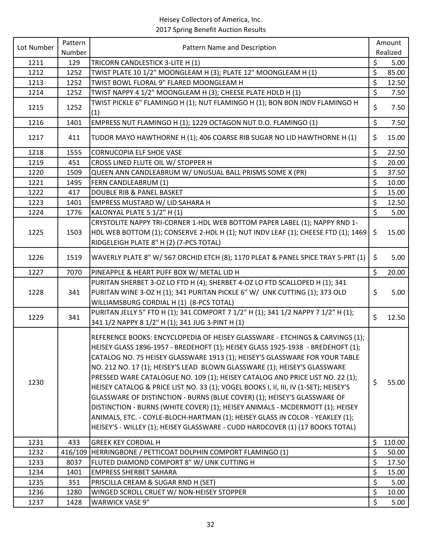| Lot Number | Pattern | Pattern Name and Description                                                                                                                                                                                                                                                                                                                                                                                                                                                                                                                                                                                                                                                                                                                                                                                                        | Amount       |
|------------|---------|-------------------------------------------------------------------------------------------------------------------------------------------------------------------------------------------------------------------------------------------------------------------------------------------------------------------------------------------------------------------------------------------------------------------------------------------------------------------------------------------------------------------------------------------------------------------------------------------------------------------------------------------------------------------------------------------------------------------------------------------------------------------------------------------------------------------------------------|--------------|
|            | Number  |                                                                                                                                                                                                                                                                                                                                                                                                                                                                                                                                                                                                                                                                                                                                                                                                                                     | Realized     |
| 1211       | 129     | TRICORN CANDLESTICK 3-LITE H (1)                                                                                                                                                                                                                                                                                                                                                                                                                                                                                                                                                                                                                                                                                                                                                                                                    | \$<br>5.00   |
| 1212       | 1252    | TWIST PLATE 10 1/2" MOONGLEAM H (3); PLATE 12" MOONGLEAM H (1)                                                                                                                                                                                                                                                                                                                                                                                                                                                                                                                                                                                                                                                                                                                                                                      | \$<br>85.00  |
| 1213       | 1252    | TWIST BOWL FLORAL 9" FLARED MOONGLEAM H                                                                                                                                                                                                                                                                                                                                                                                                                                                                                                                                                                                                                                                                                                                                                                                             | \$<br>12.50  |
| 1214       | 1252    | TWIST NAPPY 4 1/2" MOONGLEAM H (3); CHEESE PLATE HDLD H (1)                                                                                                                                                                                                                                                                                                                                                                                                                                                                                                                                                                                                                                                                                                                                                                         | \$<br>7.50   |
| 1215       | 1252    | TWIST PICKLE 6" FLAMINGO H (1); NUT FLAMINGO H (1); BON BON INDV FLAMINGO H<br>(1)                                                                                                                                                                                                                                                                                                                                                                                                                                                                                                                                                                                                                                                                                                                                                  | \$<br>7.50   |
| 1216       | 1401    | EMPRESS NUT FLAMINGO H (1); 1229 OCTAGON NUT D.O. FLAMINGO (1)                                                                                                                                                                                                                                                                                                                                                                                                                                                                                                                                                                                                                                                                                                                                                                      | \$<br>7.50   |
| 1217       | 411     | TUDOR MAYO HAWTHORNE H (1); 406 COARSE RIB SUGAR NO LID HAWTHORNE H (1)                                                                                                                                                                                                                                                                                                                                                                                                                                                                                                                                                                                                                                                                                                                                                             | \$<br>15.00  |
| 1218       | 1555    | <b>CORNUCOPIA ELF SHOE VASE</b>                                                                                                                                                                                                                                                                                                                                                                                                                                                                                                                                                                                                                                                                                                                                                                                                     | \$<br>22.50  |
| 1219       | 451     | CROSS LINED FLUTE OIL W/ STOPPER H                                                                                                                                                                                                                                                                                                                                                                                                                                                                                                                                                                                                                                                                                                                                                                                                  | \$<br>20.00  |
| 1220       | 1509    | QUEEN ANN CANDLEABRUM W/ UNUSUAL BALL PRISMS SOME X (PR)                                                                                                                                                                                                                                                                                                                                                                                                                                                                                                                                                                                                                                                                                                                                                                            | \$<br>37.50  |
| 1221       | 1495    | FERN CANDLEABRUM (1)                                                                                                                                                                                                                                                                                                                                                                                                                                                                                                                                                                                                                                                                                                                                                                                                                | \$<br>10.00  |
| 1222       | 417     | <b>DOUBLE RIB &amp; PANEL BASKET</b>                                                                                                                                                                                                                                                                                                                                                                                                                                                                                                                                                                                                                                                                                                                                                                                                | \$<br>15.00  |
| 1223       | 1401    | EMPRESS MUSTARD W/ LID SAHARA H                                                                                                                                                                                                                                                                                                                                                                                                                                                                                                                                                                                                                                                                                                                                                                                                     | \$<br>12.50  |
| 1224       | 1776    | KALONYAL PLATE 5 1/2" H (1)                                                                                                                                                                                                                                                                                                                                                                                                                                                                                                                                                                                                                                                                                                                                                                                                         | \$<br>5.00   |
| 1225       | 1503    | CRYSTOLITE NAPPY TRI-CORNER 1-HDL WEB BOTTOM PAPER LABEL (1); NAPPY RND 1-<br>HDL WEB BOTTOM (1); CONSERVE 2-HDL H (1); NUT INDV LEAF (1); CHEESE FTD (1); 1469                                                                                                                                                                                                                                                                                                                                                                                                                                                                                                                                                                                                                                                                     | \$<br>15.00  |
|            |         | RIDGELEIGH PLATE 8" H (2) (7-PCS TOTAL)                                                                                                                                                                                                                                                                                                                                                                                                                                                                                                                                                                                                                                                                                                                                                                                             |              |
| 1226       | 1519    | WAVERLY PLATE 8" W/ 567 ORCHID ETCH (8); 1170 PLEAT & PANEL SPICE TRAY 5-PRT (1)                                                                                                                                                                                                                                                                                                                                                                                                                                                                                                                                                                                                                                                                                                                                                    | \$<br>5.00   |
| 1227       | 7070    | PINEAPPLE & HEART PUFF BOX W/ METAL LID H                                                                                                                                                                                                                                                                                                                                                                                                                                                                                                                                                                                                                                                                                                                                                                                           | \$<br>20.00  |
| 1228       | 341     | PURITAN SHERBET 3-OZ LO FTD H (4); SHERBET 4-OZ LO FTD SCALLOPED H (1); 341<br>PURITAN WINE 3-OZ H (1); 341 PURITAN PICKLE 6" W/ UNK CUTTING (1); 373 OLD<br>WILLIAMSBURG CORDIAL H (1) (8-PCS TOTAL)                                                                                                                                                                                                                                                                                                                                                                                                                                                                                                                                                                                                                               | \$<br>5.00   |
| 1229       | 341     | PURITAN JELLY 5" FTD H (1); 341 COMPORT 7 1/2" H (1); 341 1/2 NAPPY 7 1/2" H (1);<br>341 1/2 NAPPY 8 1/2" H (1); 341 JUG 3-PINT H (1)                                                                                                                                                                                                                                                                                                                                                                                                                                                                                                                                                                                                                                                                                               | \$<br>12.50  |
| 1230       |         | REFERENCE BOOKS: ENCYCLOPEDIA OF HEISEY GLASSWARE - ETCHINGS & CARVINGS (1);<br>HEISEY GLASS 1896-1957 - BREDEHOFT (1); HEISEY GLASS 1925-1938 - BREDEHOFT (1);<br>CATALOG NO. 75 HEISEY GLASSWARE 1913 (1); HEISEY'S GLASSWARE FOR YOUR TABLE<br>NO. 212 NO. 17 (1); HEISEY'S LEAD BLOWN GLASSWARE (1); HEISEY'S GLASSWARE<br>PRESSED WARE CATALOGUE NO. 109 (1); HEISEY CATALOG AND PRICE LIST NO. 22 (1);<br>HEISEY CATALOG & PRICE LIST NO. 33 (1); VOGEL BOOKS I, II, III, IV (1-SET); HEISEY'S<br>GLASSWARE OF DISTINCTION - BURNS (BLUE COVER) (1); HEISEY'S GLASSWARE OF<br>DISTINCTION - BURNS (WHITE COVER) (1); HEISEY ANIMALS - MCDERMOTT (1); HEISEY<br>ANIMALS, ETC. - COYLE-BLOCH-HARTMAN (1); HEISEY GLASS IN COLOR - YEAKLEY (1);<br>HEISEY'S - WILLEY (1); HEISEY GLASSWARE - CUDD HARDCOVER (1) (17 BOOKS TOTAL) | \$<br>55.00  |
| 1231       | 433     | <b>GREEK KEY CORDIAL H</b>                                                                                                                                                                                                                                                                                                                                                                                                                                                                                                                                                                                                                                                                                                                                                                                                          | \$<br>110.00 |
| 1232       | 416/109 | HERRINGBONE / PETTICOAT DOLPHIN COMPORT FLAMINGO (1)                                                                                                                                                                                                                                                                                                                                                                                                                                                                                                                                                                                                                                                                                                                                                                                | \$<br>50.00  |
| 1233       | 8037    | FLUTED DIAMOND COMPORT 8" W/ UNK CUTTING H                                                                                                                                                                                                                                                                                                                                                                                                                                                                                                                                                                                                                                                                                                                                                                                          | \$<br>17.50  |
| 1234       | 1401    | <b>EMPRESS SHERBET SAHARA</b>                                                                                                                                                                                                                                                                                                                                                                                                                                                                                                                                                                                                                                                                                                                                                                                                       | \$<br>15.00  |
| 1235       | 351     | PRISCILLA CREAM & SUGAR RND H (SET)                                                                                                                                                                                                                                                                                                                                                                                                                                                                                                                                                                                                                                                                                                                                                                                                 | \$<br>5.00   |
| 1236       | 1280    | WINGED SCROLL CRUET W/ NON-HEISEY STOPPER                                                                                                                                                                                                                                                                                                                                                                                                                                                                                                                                                                                                                                                                                                                                                                                           | \$<br>10.00  |
| 1237       | 1428    | <b>WARWICK VASE 9"</b>                                                                                                                                                                                                                                                                                                                                                                                                                                                                                                                                                                                                                                                                                                                                                                                                              | \$<br>5.00   |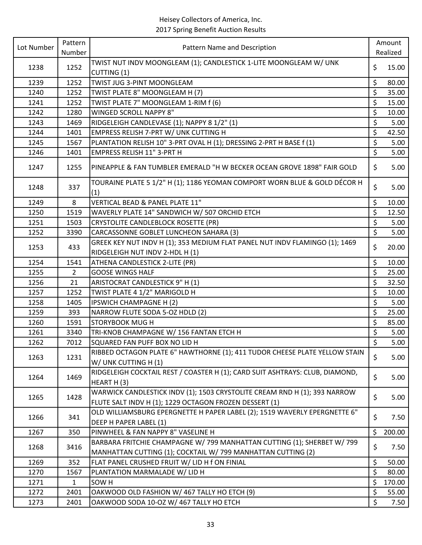| Lot Number | Pattern        | Pattern Name and Description                                                                                                        |                          | Amount   |
|------------|----------------|-------------------------------------------------------------------------------------------------------------------------------------|--------------------------|----------|
|            | Number         |                                                                                                                                     |                          | Realized |
| 1238       | 1252           | TWIST NUT INDV MOONGLEAM (1); CANDLESTICK 1-LITE MOONGLEAM W/ UNK                                                                   | \$                       | 15.00    |
|            |                | CUTTING (1)                                                                                                                         |                          |          |
| 1239       | 1252           | TWIST JUG 3-PINT MOONGLEAM                                                                                                          | \$                       | 80.00    |
| 1240       | 1252           | TWIST PLATE 8" MOONGLEAM H (7)                                                                                                      | \$                       | 35.00    |
| 1241       | 1252           | TWIST PLATE 7" MOONGLEAM 1-RIM f (6)                                                                                                | \$                       | 15.00    |
| 1242       | 1280           | <b>WINGED SCROLL NAPPY 8"</b>                                                                                                       | \$                       | 10.00    |
| 1243       | 1469           | RIDGELEIGH CANDLEVASE (1); NAPPY 8 1/2" (1)                                                                                         | \$                       | 5.00     |
| 1244       | 1401           | EMPRESS RELISH 7-PRT W/ UNK CUTTING H                                                                                               | \$                       | 42.50    |
| 1245       | 1567           | PLANTATION RELISH 10" 3-PRT OVAL H (1); DRESSING 2-PRT H BASE f (1)                                                                 | $\overline{\xi}$         | 5.00     |
| 1246       | 1401           | EMPRESS RELISH 11" 3-PRT H                                                                                                          | $\zeta$                  | 5.00     |
| 1247       | 1255           | PINEAPPLE & FAN TUMBLER EMERALD "H W BECKER OCEAN GROVE 1898" FAIR GOLD                                                             | \$                       | 5.00     |
| 1248       | 337            | TOURAINE PLATE 5 1/2" H (1); 1186 YEOMAN COMPORT WORN BLUE & GOLD DÉCOR H<br>(1)                                                    | \$                       | 5.00     |
| 1249       | 8              | VERTICAL BEAD & PANEL PLATE 11"                                                                                                     | \$                       | 10.00    |
| 1250       | 1519           | WAVERLY PLATE 14" SANDWICH W/ 507 ORCHID ETCH                                                                                       | \$                       | 12.50    |
| 1251       | 1503           | CRYSTOLITE CANDLEBLOCK ROSETTE (PR)                                                                                                 | \$                       | 5.00     |
| 1252       | 3390           | CARCASSONNE GOBLET LUNCHEON SAHARA (3)                                                                                              | $\overline{\mathcal{S}}$ | 5.00     |
|            |                | GREEK KEY NUT INDV H (1); 353 MEDIUM FLAT PANEL NUT INDV FLAMINGO (1); 1469                                                         |                          |          |
| 1253       | 433            | RIDGELEIGH NUT INDV 2-HDL H (1)                                                                                                     | \$                       | 20.00    |
| 1254       | 1541           | ATHENA CANDLESTICK 2-LITE (PR)                                                                                                      | \$                       | 10.00    |
| 1255       | $\overline{2}$ | <b>GOOSE WINGS HALF</b>                                                                                                             | \$                       | 25.00    |
| 1256       | 21             | ARISTOCRAT CANDLESTICK 9" H (1)                                                                                                     | \$                       | 32.50    |
| 1257       | 1252           | TWIST PLATE 4 1/2" MARIGOLD H                                                                                                       | \$                       | 10.00    |
| 1258       | 1405           | <b>IPSWICH CHAMPAGNE H (2)</b>                                                                                                      | \$                       | 5.00     |
| 1259       | 393            | NARROW FLUTE SODA 5-OZ HDLD (2)                                                                                                     | \$                       | 25.00    |
| 1260       | 1591           | <b>STORYBOOK MUGH</b>                                                                                                               | \$                       | 85.00    |
| 1261       | 3340           | TRI-KNOB CHAMPAGNE W/ 156 FANTAN ETCH H                                                                                             | $\overline{\xi}$         | 5.00     |
| 1262       | 7012           | SQUARED FAN PUFF BOX NO LID H                                                                                                       | \$                       | 5.00     |
|            |                | RIBBED OCTAGON PLATE 6" HAWTHORNE (1); 411 TUDOR CHEESE PLATE YELLOW STAIN                                                          |                          |          |
| 1263       | 1231           | W/ UNK CUTTING H (1)                                                                                                                | \$                       | 5.00     |
| 1264       | 1469           | RIDGELEIGH COCKTAIL REST / COASTER H (1); CARD SUIT ASHTRAYS: CLUB, DIAMOND,<br>HEART H(3)                                          | $\zeta$                  | 5.00     |
| 1265       | 1428           | WARWICK CANDLESTICK INDV (1); 1503 CRYSTOLITE CREAM RND H (1); 393 NARROW<br>FLUTE SALT INDV H (1); 1229 OCTAGON FROZEN DESSERT (1) | \$                       | 5.00     |
| 1266       | 341            | OLD WILLIAMSBURG EPERGNETTE H PAPER LABEL (2); 1519 WAVERLY EPERGNETTE 6"<br>DEEP H PAPER LABEL (1)                                 | \$                       | 7.50     |
| 1267       | 350            | PINWHEEL & FAN NAPPY 8" VASELINE H                                                                                                  | \$                       | 200.00   |
|            |                | BARBARA FRITCHIE CHAMPAGNE W/ 799 MANHATTAN CUTTING (1); SHERBET W/ 799                                                             |                          |          |
| 1268       | 3416           | MANHATTAN CUTTING (1); COCKTAIL W/ 799 MANHATTAN CUTTING (2)                                                                        | \$                       | 7.50     |
| 1269       | 352            | FLAT PANEL CRUSHED FRUIT W/ LID H f ON FINIAL                                                                                       | \$                       | 50.00    |
| 1270       | 1567           | PLANTATION MARMALADE W/ LID H                                                                                                       | \$                       | 80.00    |
| 1271       | $\mathbf{1}$   | SOW <sub>H</sub>                                                                                                                    | \$                       | 170.00   |
| 1272       | 2401           | OAKWOOD OLD FASHION W/ 467 TALLY HO ETCH (9)                                                                                        | \$                       | 55.00    |
| 1273       | 2401           | OAKWOOD SODA 10-OZ W/ 467 TALLY HO ETCH                                                                                             | \$                       | 7.50     |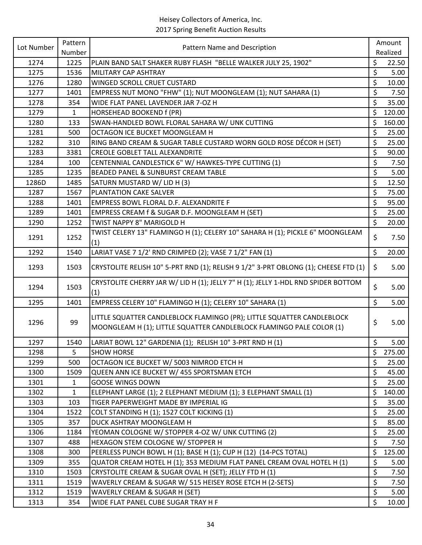| Lot Number | Pattern      | Pattern Name and Description                                                                                                                   |                          | Amount   |
|------------|--------------|------------------------------------------------------------------------------------------------------------------------------------------------|--------------------------|----------|
|            | Number       |                                                                                                                                                |                          | Realized |
| 1274       | 1225         | PLAIN BAND SALT SHAKER RUBY FLASH "BELLE WALKER JULY 25, 1902"                                                                                 | \$                       | 22.50    |
| 1275       | 1536         | MILITARY CAP ASHTRAY                                                                                                                           | \$                       | 5.00     |
| 1276       | 1280         | WINGED SCROLL CRUET CUSTARD                                                                                                                    | \$                       | 10.00    |
| 1277       | 1401         | EMPRESS NUT MONO "FHW" (1); NUT MOONGLEAM (1); NUT SAHARA (1)                                                                                  | \$                       | 7.50     |
| 1278       | 354          | WIDE FLAT PANEL LAVENDER JAR 7-OZ H                                                                                                            | \$                       | 35.00    |
| 1279       | $\mathbf{1}$ | HORSEHEAD BOOKEND f (PR)                                                                                                                       | \$                       | 120.00   |
| 1280       | 133          | SWAN-HANDLED BOWL FLORAL SAHARA W/ UNK CUTTING                                                                                                 | \$                       | 160.00   |
| 1281       | 500          | OCTAGON ICE BUCKET MOONGLEAM H                                                                                                                 | \$                       | 25.00    |
| 1282       | 310          | RING BAND CREAM & SUGAR TABLE CUSTARD WORN GOLD ROSE DÉCOR H (SET)                                                                             | \$                       | 25.00    |
| 1283       | 3381         | <b>CREOLE GOBLET TALL ALEXANDRITE</b>                                                                                                          | \$                       | 90.00    |
| 1284       | 100          | CENTENNIAL CANDLESTICK 6" W/ HAWKES-TYPE CUTTING (1)                                                                                           | \$                       | 7.50     |
| 1285       | 1235         | BEADED PANEL & SUNBURST CREAM TABLE                                                                                                            | \$                       | 5.00     |
| 1286D      | 1485         | SATURN MUSTARD W/ LID H (3)                                                                                                                    | \$                       | 12.50    |
| 1287       | 1567         | PLANTATION CAKE SALVER                                                                                                                         | \$                       | 75.00    |
| 1288       | 1401         | EMPRESS BOWL FLORAL D.F. ALEXANDRITE F                                                                                                         | \$                       | 95.00    |
| 1289       | 1401         | EMPRESS CREAM f & SUGAR D.F. MOONGLEAM H (SET)                                                                                                 | \$                       | 25.00    |
| 1290       | 1252         | TWIST NAPPY 8" MARIGOLD H                                                                                                                      | $\overline{\mathcal{S}}$ | 20.00    |
|            |              | TWIST CELERY 13" FLAMINGO H (1); CELERY 10" SAHARA H (1); PICKLE 6" MOONGLEAM                                                                  |                          |          |
| 1291       | 1252         | (1)                                                                                                                                            | \$                       | 7.50     |
| 1292       | 1540         | LARIAT VASE 7 1/2' RND CRIMPED (2); VASE 7 1/2" FAN (1)                                                                                        | \$                       | 20.00    |
| 1293       | 1503         | CRYSTOLITE RELISH 10" 5-PRT RND (1); RELISH 9 1/2" 3-PRT OBLONG (1); CHEESE FTD (1)                                                            | \$                       | 5.00     |
|            |              |                                                                                                                                                |                          |          |
| 1294       | 1503         | CRYSTOLITE CHERRY JAR W/ LID H (1); JELLY 7" H (1); JELLY 1-HDL RND SPIDER BOTTOM<br>(1)                                                       | \$                       | 5.00     |
| 1295       | 1401         | EMPRESS CELERY 10" FLAMINGO H (1); CELERY 10" SAHARA (1)                                                                                       | \$                       | 5.00     |
| 1296       | 99           | LITTLE SQUATTER CANDLEBLOCK FLAMINGO (PR); LITTLE SQUATTER CANDLEBLOCK<br>MOONGLEAM H (1); LITTLE SQUATTER CANDLEBLOCK FLAMINGO PALE COLOR (1) | \$                       | 5.00     |
| 1297       | 1540         | LARIAT BOWL 12" GARDENIA (1); RELISH 10" 3-PRT RND H (1)                                                                                       | \$                       | 5.00     |
| 1298       | 5            | <b>SHOW HORSE</b>                                                                                                                              | \$                       | 275.00   |
| 1299       | 500          | OCTAGON ICE BUCKET W/ 5003 NIMROD ETCH H                                                                                                       | \$                       | 25.00    |
| 1300       | 1509         | QUEEN ANN ICE BUCKET W/ 455 SPORTSMAN ETCH                                                                                                     | \$                       | 45.00    |
| 1301       | 1            | <b>GOOSE WINGS DOWN</b>                                                                                                                        | \$                       | 25.00    |
| 1302       | $\mathbf{1}$ | ELEPHANT LARGE (1); 2 ELEPHANT MEDIUM (1); 3 ELEPHANT SMALL (1)                                                                                | \$                       | 140.00   |
| 1303       | 103          | TIGER PAPERWEIGHT MADE BY IMPERIAL IG                                                                                                          | \$                       | 35.00    |
| 1304       | 1522         | COLT STANDING H (1); 1527 COLT KICKING (1)                                                                                                     | \$                       | 25.00    |
| 1305       | 357          | DUCK ASHTRAY MOONGLEAM H                                                                                                                       | \$                       | 85.00    |
| 1306       | 1184         | YEOMAN COLOGNE W/ STOPPER 4-OZ W/ UNK CUTTING (2)                                                                                              | \$                       | 25.00    |
| 1307       | 488          | HEXAGON STEM COLOGNE W/ STOPPER H                                                                                                              | $\zeta$                  | 7.50     |
| 1308       | 300          | PEERLESS PUNCH BOWL H (1); BASE H (1); CUP H (12) (14-PCS TOTAL)                                                                               | \$                       | 125.00   |
| 1309       | 355          | QUATOR CREAM HOTEL H (1); 353 MEDIUM FLAT PANEL CREAM OVAL HOTEL H (1)                                                                         | \$                       | 5.00     |
| 1310       | 1503         | CRYSTOLITE CREAM & SUGAR OVAL H (SET); JELLY FTD H (1)                                                                                         | \$                       | 7.50     |
| 1311       | 1519         | WAVERLY CREAM & SUGAR W/ 515 HEISEY ROSE ETCH H (2-SETS)                                                                                       | \$                       | 7.50     |
| 1312       | 1519         | WAVERLY CREAM & SUGAR H (SET)                                                                                                                  | \$                       | 5.00     |
| 1313       | 354          | WIDE FLAT PANEL CUBE SUGAR TRAY H F                                                                                                            | $\zeta$                  | 10.00    |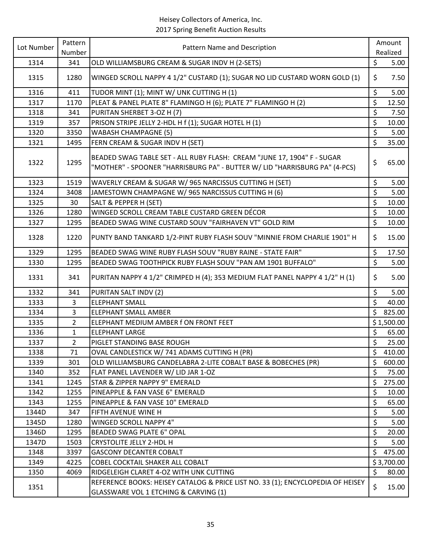| Lot Number | Pattern        | Pattern Name and Description                                                                                                                          |                          | Amount     |
|------------|----------------|-------------------------------------------------------------------------------------------------------------------------------------------------------|--------------------------|------------|
|            | Number         |                                                                                                                                                       |                          | Realized   |
| 1314       | 341            | OLD WILLIAMSBURG CREAM & SUGAR INDV H (2-SETS)                                                                                                        | \$                       | 5.00       |
| 1315       | 1280           | WINGED SCROLL NAPPY 4 1/2" CUSTARD (1); SUGAR NO LID CUSTARD WORN GOLD (1)                                                                            | \$                       | 7.50       |
| 1316       | 411            | TUDOR MINT (1); MINT W/ UNK CUTTING H (1)                                                                                                             | \$                       | 5.00       |
| 1317       | 1170           | PLEAT & PANEL PLATE 8" FLAMINGO H (6); PLATE 7" FLAMINGO H (2)                                                                                        | \$                       | 12.50      |
| 1318       | 341            | PURITAN SHERBET 3-OZ H (7)                                                                                                                            | $\overline{\xi}$         | 7.50       |
| 1319       | 357            | PRISON STRIPE JELLY 2-HDL H f (1); SUGAR HOTEL H (1)                                                                                                  | \$                       | 10.00      |
| 1320       | 3350           | <b>WABASH CHAMPAGNE (5)</b>                                                                                                                           | \$                       | 5.00       |
| 1321       | 1495           | FERN CREAM & SUGAR INDV H (SET)                                                                                                                       | $\zeta$                  | 35.00      |
| 1322       | 1295           | BEADED SWAG TABLE SET - ALL RUBY FLASH: CREAM "JUNE 17, 1904" F - SUGAR<br>"MOTHER" - SPOONER "HARRISBURG PA" - BUTTER W/ LID "HARRISBURG PA" (4-PCS) | \$                       | 65.00      |
| 1323       | 1519           | WAVERLY CREAM & SUGAR W/ 965 NARCISSUS CUTTING H (SET)                                                                                                | \$                       | 5.00       |
| 1324       | 3408           | JAMESTOWN CHAMPAGNE W/ 965 NARCISSUS CUTTING H (6)                                                                                                    | \$                       | 5.00       |
| 1325       | 30             | SALT & PEPPER H (SET)                                                                                                                                 | \$                       | 10.00      |
| 1326       | 1280           | WINGED SCROLL CREAM TABLE CUSTARD GREEN DÉCOR                                                                                                         | \$                       | 10.00      |
| 1327       | 1295           | BEADED SWAG WINE CUSTARD SOUV "FAIRHAVEN VT" GOLD RIM                                                                                                 | $\overline{\xi}$         | 10.00      |
| 1328       | 1220           | PUNTY BAND TANKARD 1/2-PINT RUBY FLASH SOUV "MINNIE FROM CHARLIE 1901" H                                                                              | \$                       | 15.00      |
| 1329       | 1295           | BEADED SWAG WINE RUBY FLASH SOUV "RUBY RAINE - STATE FAIR"                                                                                            | \$                       | 17.50      |
| 1330       | 1295           | BEADED SWAG TOOTHPICK RUBY FLASH SOUV "PAN AM 1901 BUFFALO"                                                                                           | \$                       | 5.00       |
| 1331       | 341            | PURITAN NAPPY 4 1/2" CRIMPED H (4); 353 MEDIUM FLAT PANEL NAPPY 4 1/2" H (1)                                                                          | \$                       | 5.00       |
| 1332       | 341            | PURITAN SALT INDV (2)                                                                                                                                 | \$                       | 5.00       |
| 1333       | $\overline{3}$ | <b>ELEPHANT SMALL</b>                                                                                                                                 | $\overline{\mathcal{S}}$ | 40.00      |
| 1334       | 3              | <b>ELEPHANT SMALL AMBER</b>                                                                                                                           | \$                       | 825.00     |
| 1335       | $\overline{2}$ | ELEPHANT MEDIUM AMBER f ON FRONT FEET                                                                                                                 |                          | \$1,500.00 |
| 1336       | 1              | <b>ELEPHANT LARGE</b>                                                                                                                                 | \$                       | 65.00      |
| 1337       | $\overline{2}$ | PIGLET STANDING BASE ROUGH                                                                                                                            | $\zeta$                  | 25.00      |
| 1338       | 71             | OVAL CANDLESTICK W/741 ADAMS CUTTING H (PR)                                                                                                           | \$                       | 410.00     |
| 1339       | 301            | OLD WILLIAMSBURG CANDELABRA 2-LITE COBALT BASE & BOBECHES (PR)                                                                                        | \$                       | 600.00     |
| 1340       | 352            | FLAT PANEL LAVENDER W/ LID JAR 1-OZ                                                                                                                   | \$                       | 75.00      |
| 1341       | 1245           | STAR & ZIPPER NAPPY 9" EMERALD                                                                                                                        | \$                       | 275.00     |
| 1342       | 1255           | PINEAPPLE & FAN VASE 6" EMERALD                                                                                                                       | \$                       | 10.00      |
| 1343       | 1255           | PINEAPPLE & FAN VASE 10" EMERALD                                                                                                                      | \$                       | 65.00      |
| 1344D      | 347            | FIFTH AVENUE WINE H                                                                                                                                   | \$                       | 5.00       |
| 1345D      | 1280           | WINGED SCROLL NAPPY 4"                                                                                                                                | \$                       | 5.00       |
| 1346D      | 1295           | <b>BEADED SWAG PLATE 6" OPAL</b>                                                                                                                      | \$                       | 20.00      |
| 1347D      | 1503           | <b>CRYSTOLITE JELLY 2-HDL H</b>                                                                                                                       | \$                       | 5.00       |
| 1348       | 3397           | <b>GASCONY DECANTER COBALT</b>                                                                                                                        | \$                       | 475.00     |
| 1349       | 4225           | COBEL COCKTAIL SHAKER ALL COBALT                                                                                                                      |                          | \$3,700.00 |
| 1350       | 4069           | RIDGELEIGH CLARET 4-OZ WITH UNK CUTTING                                                                                                               | \$                       | 80.00      |
| 1351       |                | REFERENCE BOOKS: HEISEY CATALOG & PRICE LIST NO. 33 (1); ENCYCLOPEDIA OF HEISEY<br>GLASSWARE VOL 1 ETCHING & CARVING (1)                              | \$                       | 15.00      |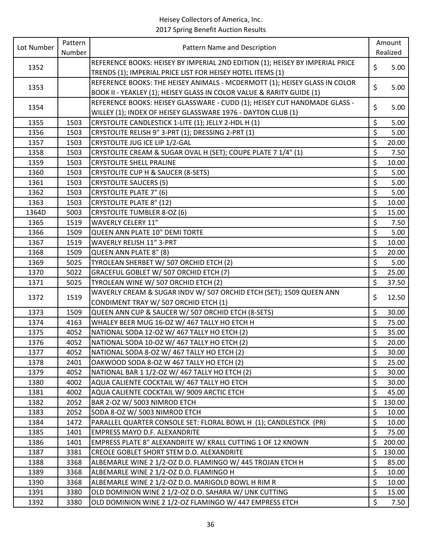| Lot Number | Pattern | Pattern Name and Description                                                  |                          | Amount   |
|------------|---------|-------------------------------------------------------------------------------|--------------------------|----------|
|            | Number  |                                                                               |                          | Realized |
| 1352       |         | REFERENCE BOOKS: HEISEY BY IMPERIAL 2ND EDITION (1); HEISEY BY IMPERIAL PRICE | \$                       | 5.00     |
|            |         | TRENDS (1); IMPERIAL PRICE LIST FOR HEISEY HOTEL ITEMS (1)                    |                          |          |
| 1353       |         | REFERENCE BOOKS: THE HEISEY ANIMALS - MCDERMOTT (1); HEISEY GLASS IN COLOR    | \$                       | 5.00     |
|            |         | BOOK II - YEAKLEY (1); HEISEY GLASS IN COLOR VALUE & RARITY GUIDE (1)         |                          |          |
| 1354       |         | REFERENCE BOOKS: HEISEY GLASSWARE - CUDD (1); HEISEY CUT HANDMADE GLASS -     | \$                       | 5.00     |
|            |         | WILLEY (1); INDEX OF HEISEY GLASSWARE 1976 - DAYTON CLUB (1)                  |                          |          |
| 1355       | 1503    | CRYSTOLITE CANDLESTICK 1-LITE (1); JELLY 2-HDL H (1)                          | \$                       | 5.00     |
| 1356       | 1503    | CRYSTOLITE RELISH 9" 3-PRT (1); DRESSING 2-PRT (1)                            | \$                       | 5.00     |
| 1357       | 1503    | CRYSTOLITE JUG ICE LIP 1/2-GAL                                                | \$                       | 20.00    |
| 1358       | 1503    | CRYSTOLITE CREAM & SUGAR OVAL H (SET); COUPE PLATE 7 1/4" (1)                 | \$                       | 7.50     |
| 1359       | 1503    | <b>CRYSTOLITE SHELL PRALINE</b>                                               | \$                       | 10.00    |
| 1360       | 1503    | CRYSTOLITE CUP H & SAUCER (8-SETS)                                            | \$                       | 5.00     |
| 1361       | 1503    | <b>CRYSTOLITE SAUCERS (5)</b>                                                 | $\overline{\mathcal{S}}$ | 5.00     |
| 1362       | 1503    | <b>CRYSTOLITE PLATE 7" (6)</b>                                                | \$                       | 5.00     |
| 1363       | 1503    | <b>CRYSTOLITE PLATE 8" (12)</b>                                               | \$                       | 10.00    |
| 1364D      | 5003    | <b>CRYSTOLITE TUMBLER 8-OZ (6)</b>                                            | \$                       | 15.00    |
| 1365       | 1519    | <b>WAVERLY CELERY 11"</b>                                                     | \$                       | 7.50     |
| 1366       | 1509    | QUEEN ANN PLATE 10" DEMI TORTE                                                | \$                       | 5.00     |
| 1367       | 1519    | <b>WAVERLY RELISH 11" 3-PRT</b>                                               | \$                       | 10.00    |
| 1368       | 1509    | QUEEN ANN PLATE 8" (8)                                                        | \$                       | 20.00    |
| 1369       | 5025    | TYROLEAN SHERBET W/ 507 ORCHID ETCH (2)                                       | \$                       | 5.00     |
| 1370       | 5022    | GRACEFUL GOBLET W/ 507 ORCHID ETCH (7)                                        | \$                       | 25.00    |
| 1371       | 5025    | TYROLEAN WINE W/ 507 ORCHID ETCH (2)                                          | \$                       | 37.50    |
|            | 1519    | WAVERLY CREAM & SUGAR INDV W/ 507 ORCHID ETCH (SET); 1509 QUEEN ANN           | \$                       | 12.50    |
| 1372       |         | CONDIMENT TRAY W/ 507 ORCHID ETCH (1)                                         |                          |          |
| 1373       | 1509    | QUEEN ANN CUP & SAUCER W/ 507 ORCHID ETCH (8-SETS)                            | \$                       | 30.00    |
| 1374       | 4163    | WHALEY BEER MUG 16-OZ W/ 467 TALLY HO ETCH H                                  | \$                       | 75.00    |
| 1375       | 4052    | NATIONAL SODA 12-OZ W/ 467 TALLY HO ETCH (2)                                  | \$                       | 35.00    |
| 1376       | 4052    | NATIONAL SODA 10-OZ W/ 467 TALLY HO ETCH (2)                                  | \$                       | 20.00    |
| 1377       | 4052    | NATIONAL SODA 8-OZ W/467 TALLY HO ETCH (2)                                    | \$                       | 30.00    |
| 1378       | 2401    | OAKWOOD SODA 8-OZ W 467 TALLY HO ETCH (2)                                     | \$                       | 25.00    |
| 1379       | 4052    | NATIONAL BAR 1 1/2-OZ W/ 467 TALLY HO ETCH (2)                                | \$                       | 30.00    |
| 1380       | 4002    | AQUA CALIENTE COCKTAIL W/ 467 TALLY HO ETCH                                   | \$                       | 30.00    |
| 1381       | 4002    | AQUA CALIENTE COCKTAIL W/ 9009 ARCTIC ETCH                                    | \$                       | 45.00    |
| 1382       | 2052    | BAR 2-OZ W/ 5003 NIMROD ETCH                                                  | \$                       | 130.00   |
| 1383       | 2052    | SODA 8-OZ W/ 5003 NIMROD ETCH                                                 | \$                       | 10.00    |
| 1384       | 1472    | PARALLEL QUARTER CONSOLE SET: FLORAL BOWL H (1); CANDLESTICK (PR)             | \$                       | 10.00    |
| 1385       | 1401    | <b>EMPRESS MAYO D.F. ALEXANDRITE</b>                                          | \$                       | 75.00    |
| 1386       | 1401    | EMPRESS PLATE 8" ALEXANDRITE W/ KRALL CUTTING 1 OF 12 KNOWN                   | \$                       | 200.00   |
| 1387       | 3381    | CREOLE GOBLET SHORT STEM D.O. ALEXANDRITE                                     | \$                       | 130.00   |
| 1388       | 3368    | ALBEMARLE WINE 2 1/2-OZ D.O. FLAMINGO W/ 445 TROJAN ETCH H                    | \$                       | 85.00    |
| 1389       | 3368    | ALBEMARLE WINE 2 1/2-OZ D.O. FLAMINGO H                                       | \$                       | 10.00    |
| 1390       | 3368    | ALBEMARLE WINE 2 1/2-OZ D.O. MARIGOLD BOWL H RIM R                            | \$                       | 10.00    |
| 1391       | 3380    | OLD DOMINION WINE 2 1/2-OZ D.O. SAHARA W/ UNK CUTTING                         | \$                       | 15.00    |
| 1392       | 3380    | OLD DOMINION WINE 2 1/2-OZ FLAMINGO W/ 447 EMPRESS ETCH                       | $\zeta$                  | 7.50     |